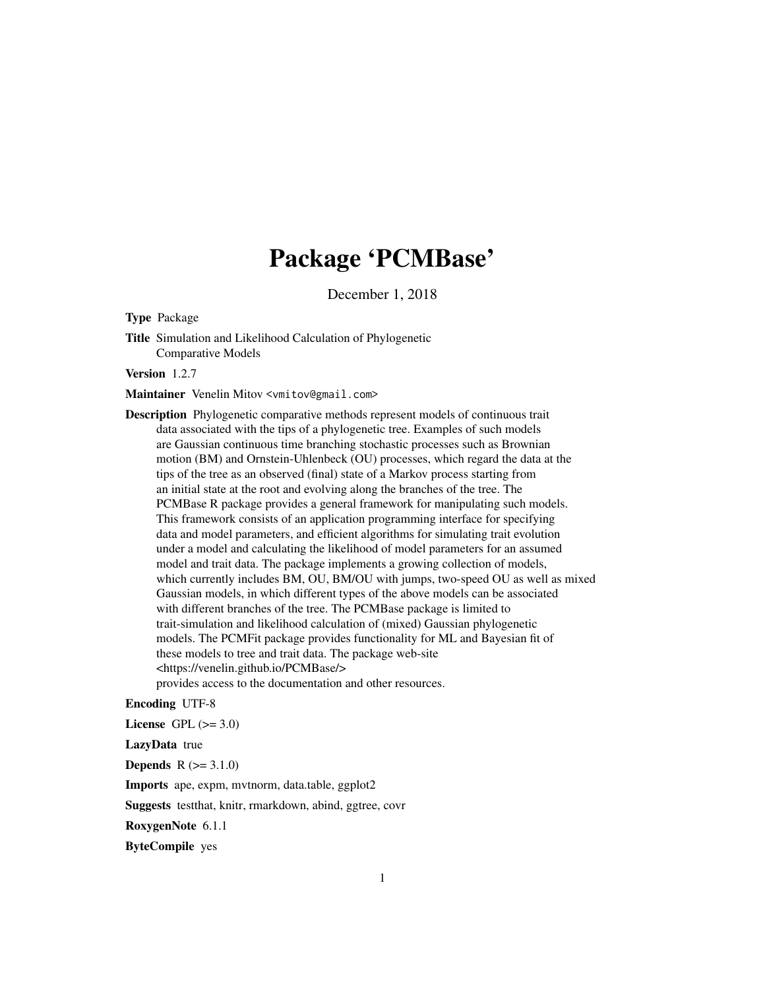# Package 'PCMBase'

December 1, 2018

<span id="page-0-0"></span>Type Package

Title Simulation and Likelihood Calculation of Phylogenetic Comparative Models

Version 1.2.7

Maintainer Venelin Mitov <vmitov@gmail.com>

Description Phylogenetic comparative methods represent models of continuous trait data associated with the tips of a phylogenetic tree. Examples of such models are Gaussian continuous time branching stochastic processes such as Brownian motion (BM) and Ornstein-Uhlenbeck (OU) processes, which regard the data at the tips of the tree as an observed (final) state of a Markov process starting from an initial state at the root and evolving along the branches of the tree. The PCMBase R package provides a general framework for manipulating such models. This framework consists of an application programming interface for specifying data and model parameters, and efficient algorithms for simulating trait evolution under a model and calculating the likelihood of model parameters for an assumed model and trait data. The package implements a growing collection of models, which currently includes BM, OU, BM/OU with jumps, two-speed OU as well as mixed Gaussian models, in which different types of the above models can be associated with different branches of the tree. The PCMBase package is limited to trait-simulation and likelihood calculation of (mixed) Gaussian phylogenetic models. The PCMFit package provides functionality for ML and Bayesian fit of these models to tree and trait data. The package web-site <https://venelin.github.io/PCMBase/> provides access to the documentation and other resources.

Encoding UTF-8

License GPL  $(>= 3.0)$ 

LazyData true

**Depends**  $R (= 3.1.0)$ 

Imports ape, expm, mvtnorm, data.table, ggplot2

Suggests testthat, knitr, rmarkdown, abind, ggtree, covr

RoxygenNote 6.1.1

ByteCompile yes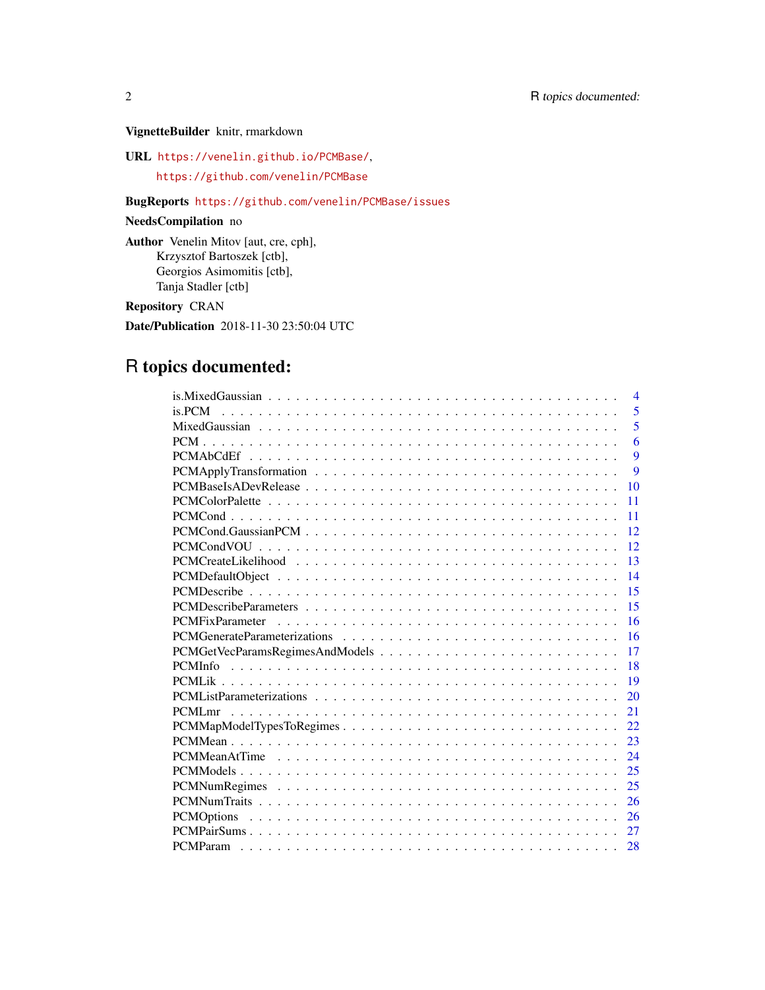### VignetteBuilder knitr, rmarkdown

URL <https://venelin.github.io/PCMBase/>,

<https://github.com/venelin/PCMBase>

### BugReports <https://github.com/venelin/PCMBase/issues>

## NeedsCompilation no

Author Venelin Mitov [aut, cre, cph], Krzysztof Bartoszek [ctb], Georgios Asimomitis [ctb], Tanja Stadler [ctb]

Repository CRAN

Date/Publication 2018-11-30 23:50:04 UTC

# R topics documented:

| $\overline{\mathcal{A}}$ |
|--------------------------|
| 5<br>is.PCM              |
| 5                        |
| 6                        |
| 9                        |
| 9                        |
| 10                       |
| 11                       |
| 11                       |
| 12                       |
| 12                       |
| 13                       |
| 14                       |
| 15                       |
| 15                       |
| 16                       |
| 16                       |
| 17                       |
| 18                       |
| 19                       |
| 20                       |
| 21                       |
| 22                       |
| 23                       |
| 24                       |
| 25                       |
| 25                       |
| 26                       |
| 26                       |
| 27                       |
| 28                       |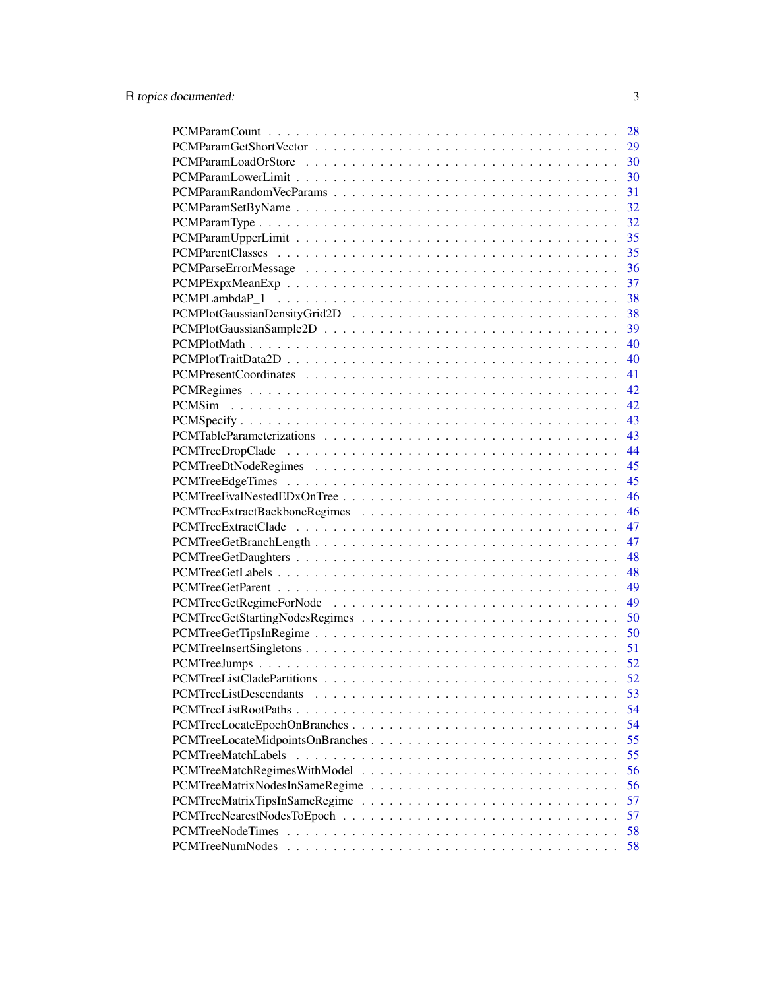|                               | 28 |
|-------------------------------|----|
|                               | 29 |
|                               | 30 |
|                               | 30 |
|                               | 31 |
|                               | 32 |
|                               | 32 |
|                               | 35 |
|                               | 35 |
|                               | 36 |
|                               | 37 |
|                               | 38 |
|                               | 38 |
|                               | 39 |
|                               | 40 |
|                               | 40 |
|                               | 41 |
|                               | 42 |
|                               | 42 |
|                               | 43 |
|                               | 43 |
|                               | 44 |
|                               | 45 |
|                               | 45 |
|                               | 46 |
|                               | 46 |
|                               | 47 |
|                               | 47 |
|                               | 48 |
|                               | 48 |
|                               | 49 |
|                               | 49 |
|                               | 50 |
|                               | 50 |
|                               | 51 |
|                               | 52 |
|                               | 52 |
| <b>PCMTreeListDescendants</b> | 53 |
| PCMTreeListRootPaths          | 54 |
|                               | 54 |
|                               | 55 |
| PCMTreeMatchLabels            | 55 |
|                               | 56 |
|                               | 56 |
|                               | 57 |
|                               | 57 |
| <b>PCMTreeNodeTimes</b>       | 58 |
| <b>PCMTreeNumNodes</b>        | 58 |
|                               |    |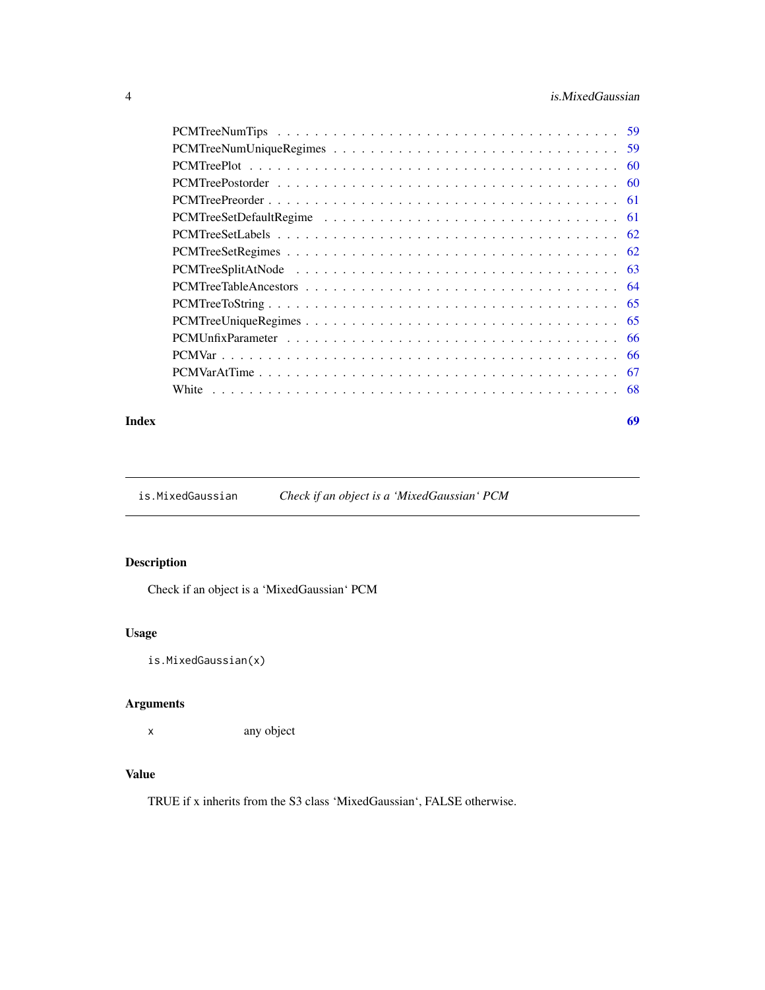### <span id="page-3-0"></span>4 is.MixedGaussian

| -60 |
|-----|
| -60 |
|     |
|     |
|     |
|     |
|     |
|     |
|     |
|     |
| -66 |
|     |
| -67 |
|     |
|     |

#### **Index** [69](#page-68-0)

is.MixedGaussian *Check if an object is a 'MixedGaussian' PCM*

### Description

Check if an object is a 'MixedGaussian' PCM

### Usage

is.MixedGaussian(x)

### Arguments

x any object

### Value

TRUE if x inherits from the S3 class 'MixedGaussian', FALSE otherwise.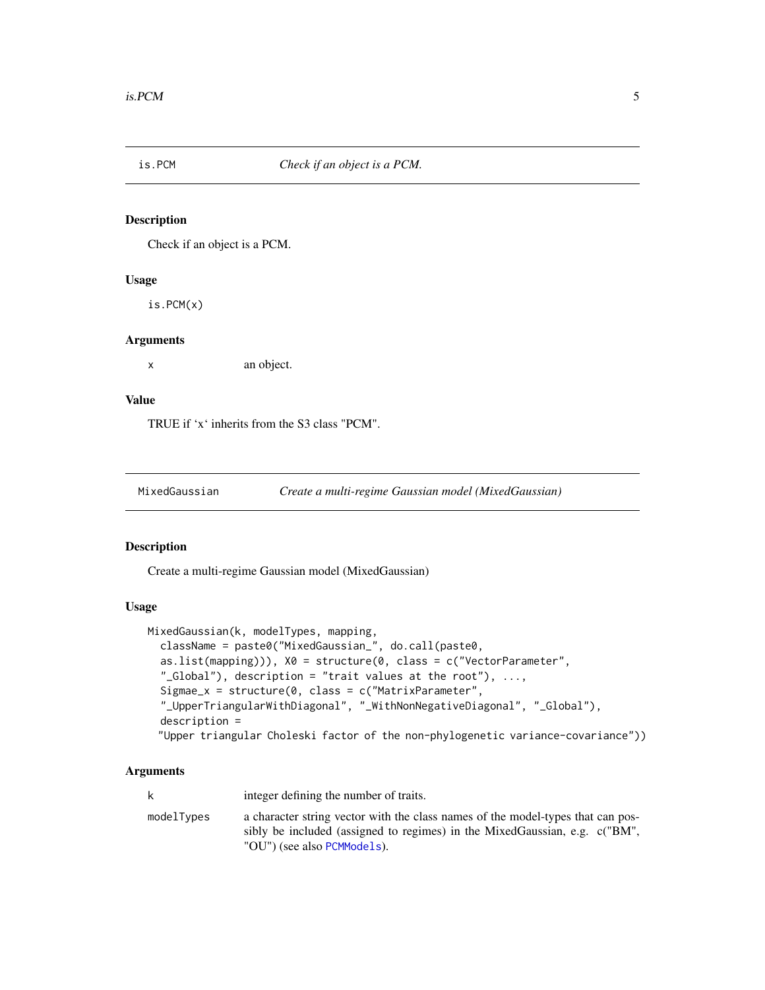<span id="page-4-0"></span>

### **Description**

Check if an object is a PCM.

#### Usage

is.PCM(x)

#### Arguments

x an object.

### Value

TRUE if 'x' inherits from the S3 class "PCM".

<span id="page-4-1"></span>

#### Description

Create a multi-regime Gaussian model (MixedGaussian)

#### Usage

```
MixedGaussian(k, modelTypes, mapping,
  className = paste0("MixedGaussian_", do.call(paste0,
  as.list(mapping)), X0 = structure(0, class = c("VectorParameter","_Global"), description = "trait values at the root"), \dots,
  Sigmae_x = structure(0, class = c("MatrixParameter","_UpperTriangularWithDiagonal", "_WithNonNegativeDiagonal", "_Global"),
  description =
 "Upper triangular Choleski factor of the non-phylogenetic variance-covariance"))
```
#### Arguments

k integer defining the number of traits. modelTypes a character string vector with the class names of the model-types that can possibly be included (assigned to regimes) in the MixedGaussian, e.g. c("BM", "OU") (see also [PCMModels](#page-24-1)).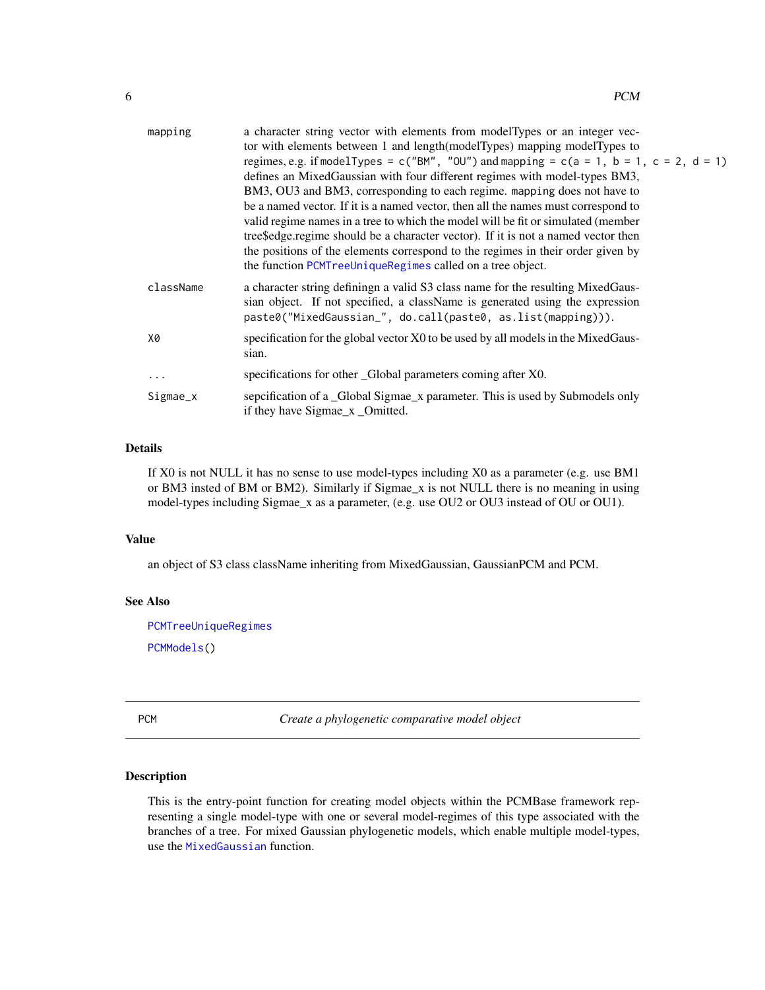<span id="page-5-0"></span>

| mapping   | a character string vector with elements from modelTypes or an integer vec-<br>tor with elements between 1 and length (model Types) mapping model Types to<br>regimes, e.g. if model Types = c("BM", "OU") and mapping = c(a = 1, b = 1, c = 2, d = 1)<br>defines an MixedGaussian with four different regimes with model-types BM3,<br>BM3, OU3 and BM3, corresponding to each regime. mapping does not have to<br>be a named vector. If it is a named vector, then all the names must correspond to<br>valid regime names in a tree to which the model will be fit or simulated (member<br>tree Sedge regime should be a character vector). If it is not a named vector then<br>the positions of the elements correspond to the regimes in their order given by<br>the function PCMT reellnique Regimes called on a tree object. |
|-----------|-----------------------------------------------------------------------------------------------------------------------------------------------------------------------------------------------------------------------------------------------------------------------------------------------------------------------------------------------------------------------------------------------------------------------------------------------------------------------------------------------------------------------------------------------------------------------------------------------------------------------------------------------------------------------------------------------------------------------------------------------------------------------------------------------------------------------------------|
| className | a character string defining a valid S3 class name for the resulting MixedGaus-<br>sian object. If not specified, a className is generated using the expression<br>paste0("MixedGaussian_", do.call(paste0, as.list(mapping))).                                                                                                                                                                                                                                                                                                                                                                                                                                                                                                                                                                                                    |
| X0        | specification for the global vector X0 to be used by all models in the MixedGaus-<br>sian.                                                                                                                                                                                                                                                                                                                                                                                                                                                                                                                                                                                                                                                                                                                                        |
| $\cdots$  | specifications for other _Global parameters coming after X0.                                                                                                                                                                                                                                                                                                                                                                                                                                                                                                                                                                                                                                                                                                                                                                      |
| Sigmae_x  | sepcification of a _Global Sigmae_x parameter. This is used by Submodels only<br>if they have Sigmae_x _Omitted.                                                                                                                                                                                                                                                                                                                                                                                                                                                                                                                                                                                                                                                                                                                  |

### Details

If X0 is not NULL it has no sense to use model-types including X0 as a parameter (e.g. use BM1 or BM3 insted of BM or BM2). Similarly if Sigmae\_x is not NULL there is no meaning in using model-types including Sigmae\_x as a parameter, (e.g. use OU2 or OU3 instead of OU or OU1).

### Value

an object of S3 class className inheriting from MixedGaussian, GaussianPCM and PCM.

#### See Also

[PCMTreeUniqueRegimes](#page-64-1)

[PCMModels\(](#page-24-1))

PCM *Create a phylogenetic comparative model object*

### Description

This is the entry-point function for creating model objects within the PCMBase framework representing a single model-type with one or several model-regimes of this type associated with the branches of a tree. For mixed Gaussian phylogenetic models, which enable multiple model-types, use the [MixedGaussian](#page-4-1) function.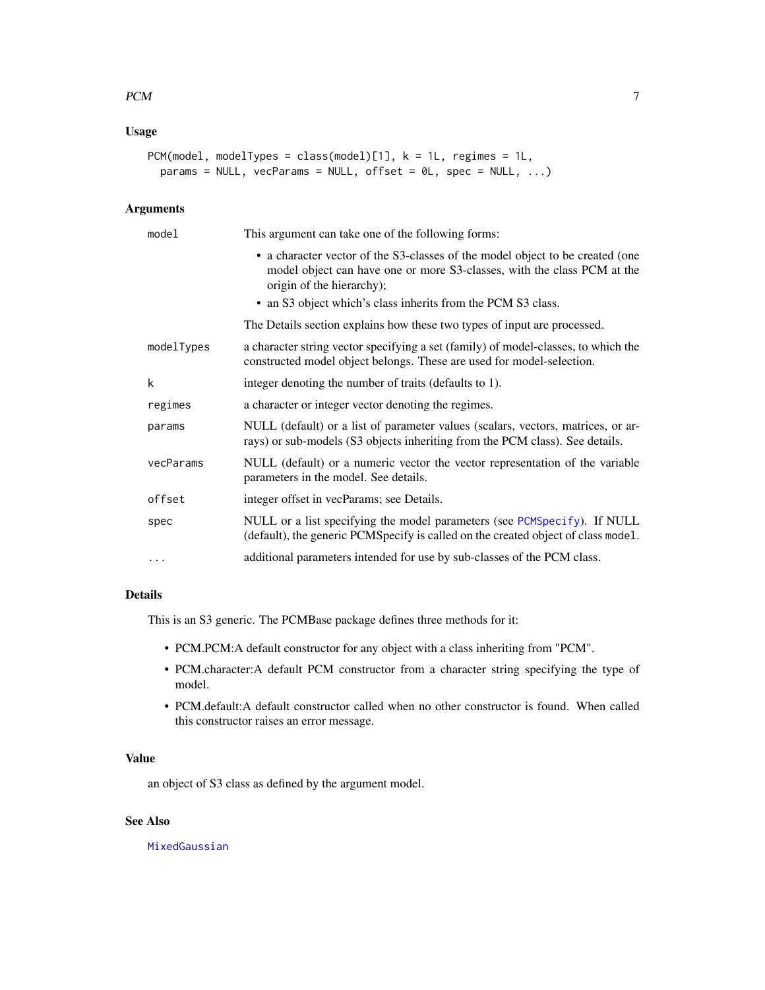### <span id="page-6-0"></span>Usage

```
PCM(model, modelTypes = class(model)[1], k = 1L, regimes = 1L,
  params = NULL, vecParameters = NULL, offset = 0L, spec = NULL, ...)
```
### Arguments

| model      | This argument can take one of the following forms:                                                                                                                                                                                                    |  |
|------------|-------------------------------------------------------------------------------------------------------------------------------------------------------------------------------------------------------------------------------------------------------|--|
|            | • a character vector of the S3-classes of the model object to be created (one<br>model object can have one or more S3-classes, with the class PCM at the<br>origin of the hierarchy);<br>• an S3 object which's class inherits from the PCM S3 class. |  |
|            | The Details section explains how these two types of input are processed.                                                                                                                                                                              |  |
| modelTypes | a character string vector specifying a set (family) of model-classes, to which the<br>constructed model object belongs. These are used for model-selection.                                                                                           |  |
| k          | integer denoting the number of traits (defaults to 1).                                                                                                                                                                                                |  |
| regimes    | a character or integer vector denoting the regimes.                                                                                                                                                                                                   |  |
| params     | NULL (default) or a list of parameter values (scalars, vectors, matrices, or ar-<br>rays) or sub-models (S3 objects inheriting from the PCM class). See details.                                                                                      |  |
| vecParams  | NULL (default) or a numeric vector the vector representation of the variable<br>parameters in the model. See details.                                                                                                                                 |  |
| offset     | integer offset in vecParams; see Details.                                                                                                                                                                                                             |  |
| spec       | NULL or a list specifying the model parameters (see PCMSpecify). If NULL<br>(default), the generic PCMSpecify is called on the created object of class model.                                                                                         |  |
| $\cdots$   | additional parameters intended for use by sub-classes of the PCM class.                                                                                                                                                                               |  |

#### Details

This is an S3 generic. The PCMBase package defines three methods for it:

- PCM.PCM:A default constructor for any object with a class inheriting from "PCM".
- PCM.character:A default PCM constructor from a character string specifying the type of model.
- PCM.default:A default constructor called when no other constructor is found. When called this constructor raises an error message.

#### Value

an object of S3 class as defined by the argument model.

### See Also

[MixedGaussian](#page-4-1)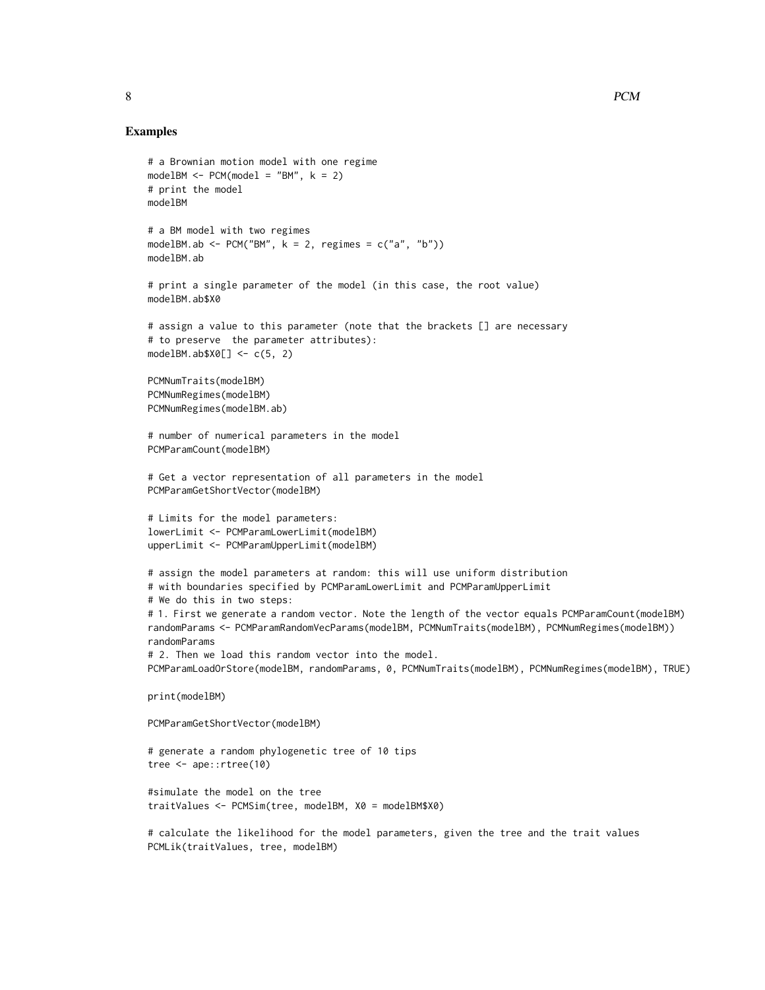#### Examples

PCMLik(traitValues, tree, modelBM)

```
# a Brownian motion model with one regime
modelBM < - PCM(model = "BM", k = 2)# print the model
modelBM
# a BM model with two regimes
modelBM.ab <- PCM("BM", k = 2, regimes = c("a", "b"))
modelBM.ab
# print a single parameter of the model (in this case, the root value)
modelBM.ab$X0
# assign a value to this parameter (note that the brackets [] are necessary
# to preserve the parameter attributes):
modelBM.ab$X0[] < -c(5, 2)PCMNumTraits(modelBM)
PCMNumRegimes(modelBM)
PCMNumRegimes(modelBM.ab)
# number of numerical parameters in the model
PCMParamCount(modelBM)
# Get a vector representation of all parameters in the model
PCMParamGetShortVector(modelBM)
# Limits for the model parameters:
lowerLimit <- PCMParamLowerLimit(modelBM)
upperLimit <- PCMParamUpperLimit(modelBM)
# assign the model parameters at random: this will use uniform distribution
# with boundaries specified by PCMParamLowerLimit and PCMParamUpperLimit
# We do this in two steps:
# 1. First we generate a random vector. Note the length of the vector equals PCMParamCount(modelBM)
randomParams <- PCMParamRandomVecParams(modelBM, PCMNumTraits(modelBM), PCMNumRegimes(modelBM))
randomParams
# 2. Then we load this random vector into the model.
PCMParamLoadOrStore(modelBM, randomParams, 0, PCMNumTraits(modelBM), PCMNumRegimes(modelBM), TRUE)
print(modelBM)
PCMParamGetShortVector(modelBM)
# generate a random phylogenetic tree of 10 tips
tree <- ape::rtree(10)
#simulate the model on the tree
traitValues <- PCMSim(tree, modelBM, X0 = modelBM$X0)
# calculate the likelihood for the model parameters, given the tree and the trait values
```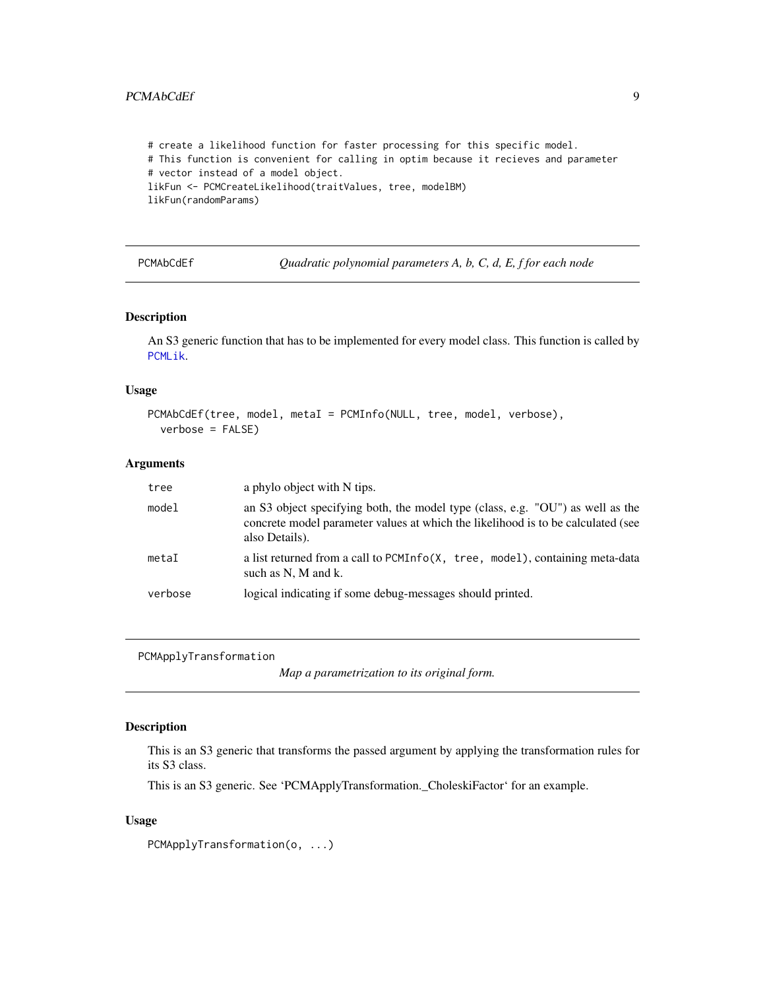### <span id="page-8-0"></span>PCMAbCdEf 9

```
# create a likelihood function for faster processing for this specific model.
# This function is convenient for calling in optim because it recieves and parameter
# vector instead of a model object.
likFun <- PCMCreateLikelihood(traitValues, tree, modelBM)
likFun(randomParams)
```
<span id="page-8-1"></span>PCMAbCdEf *Quadratic polynomial parameters A, b, C, d, E, f for each node*

#### Description

An S3 generic function that has to be implemented for every model class. This function is called by [PCMLik](#page-18-1).

### Usage

```
PCMAbCdEf(tree, model, metaI = PCMInfo(NULL, tree, model, verbose),
  verbose = FALSE)
```
#### Arguments

| tree    | a phylo object with N tips.                                                                                                                                                          |  |
|---------|--------------------------------------------------------------------------------------------------------------------------------------------------------------------------------------|--|
| model   | an S3 object specifying both, the model type (class, e.g. "OU") as well as the<br>concrete model parameter values at which the likelihood is to be calculated (see<br>also Details). |  |
| metaI   | a list returned from a call to PCMInfo(X, tree, model), containing meta-data<br>such as N, M and k.                                                                                  |  |
| verbose | logical indicating if some debug-messages should printed.                                                                                                                            |  |

PCMApplyTransformation

*Map a parametrization to its original form.*

#### Description

This is an S3 generic that transforms the passed argument by applying the transformation rules for its S3 class.

This is an S3 generic. See 'PCMApplyTransformation.\_CholeskiFactor' for an example.

### Usage

PCMApplyTransformation(o, ...)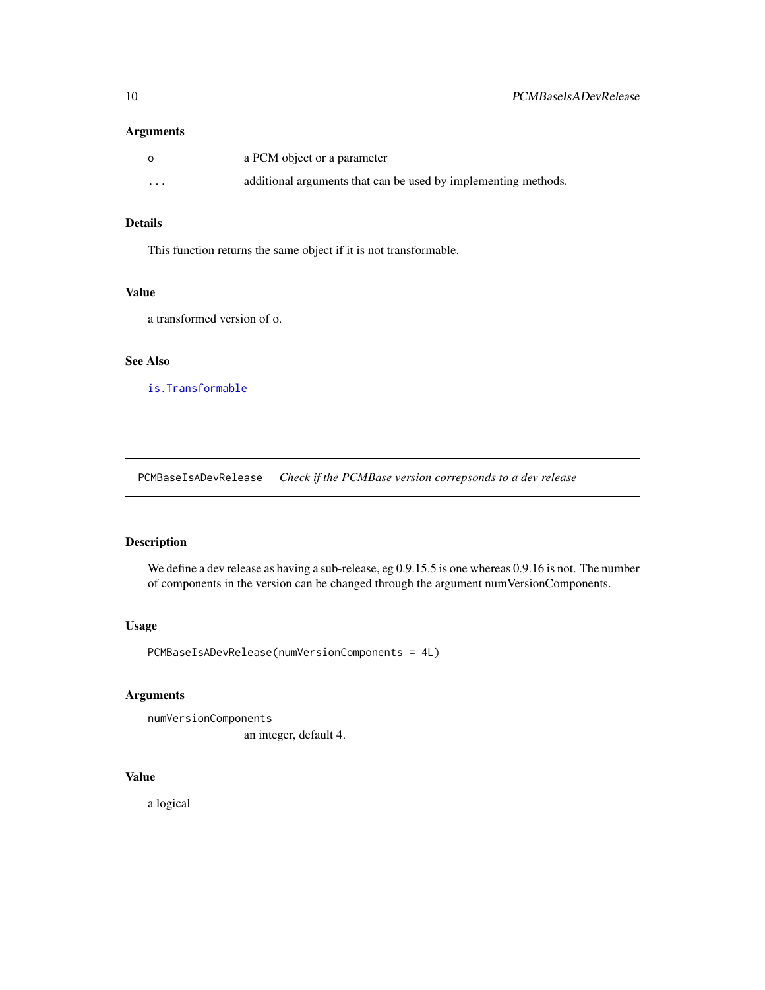#### <span id="page-9-0"></span>Arguments

| $\circ$  | a PCM object or a parameter                                    |
|----------|----------------------------------------------------------------|
| $\cdots$ | additional arguments that can be used by implementing methods. |

### Details

This function returns the same object if it is not transformable.

### Value

a transformed version of o.

## See Also

[is.Transformable](#page-31-1)

PCMBaseIsADevRelease *Check if the PCMBase version correpsonds to a dev release*

### Description

We define a dev release as having a sub-release, eg 0.9.15.5 is one whereas 0.9.16 is not. The number of components in the version can be changed through the argument numVersionComponents.

### Usage

PCMBaseIsADevRelease(numVersionComponents = 4L)

### Arguments

numVersionComponents an integer, default 4.

### Value

a logical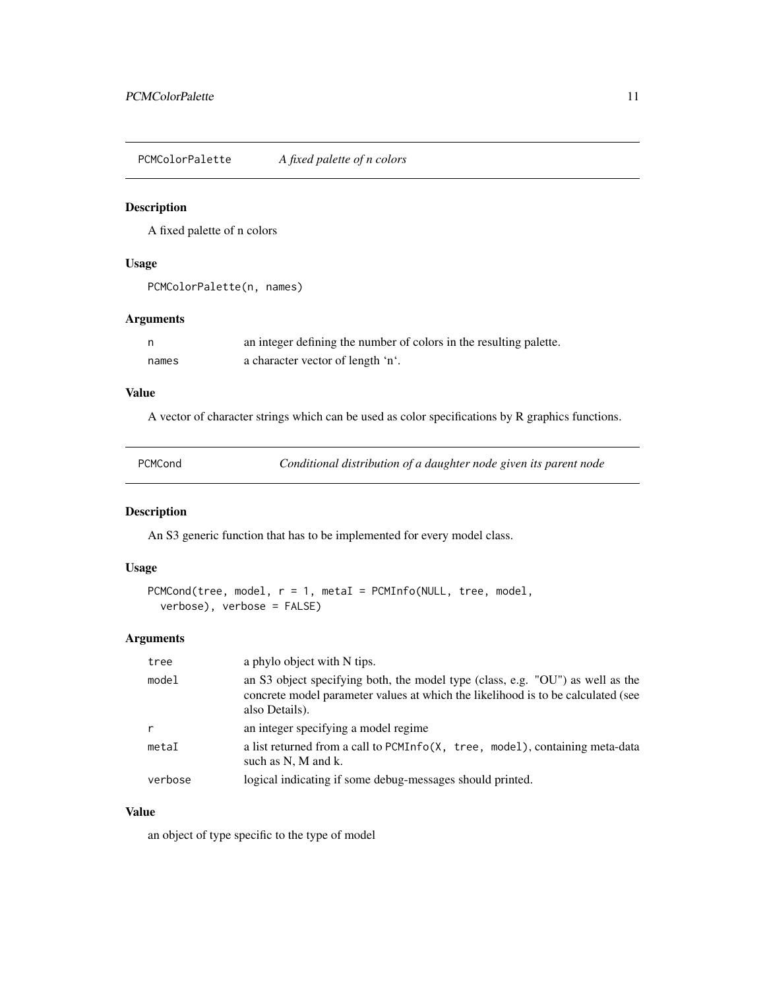<span id="page-10-0"></span>PCMColorPalette *A fixed palette of n colors*

#### Description

A fixed palette of n colors

#### Usage

```
PCMColorPalette(n, names)
```
#### Arguments

| n,    | an integer defining the number of colors in the resulting palette. |
|-------|--------------------------------------------------------------------|
| names | a character vector of length 'n'.                                  |

### Value

A vector of character strings which can be used as color specifications by R graphics functions.

<span id="page-10-1"></span>

| Conditional distribution of a daughter node given its parent node<br>PCMCond |  |
|------------------------------------------------------------------------------|--|
|------------------------------------------------------------------------------|--|

### Description

An S3 generic function that has to be implemented for every model class.

#### Usage

```
PCMCond(tree, model, r = 1, metaI = PCMInfo(NULL, tree, model,
  verbose), verbose = FALSE)
```
### Arguments

| tree    | a phylo object with N tips.                                                                                                                                                          |
|---------|--------------------------------------------------------------------------------------------------------------------------------------------------------------------------------------|
| model   | an S3 object specifying both, the model type (class, e.g. "OU") as well as the<br>concrete model parameter values at which the likelihood is to be calculated (see<br>also Details). |
| r       | an integer specifying a model regime                                                                                                                                                 |
| metaI   | a list returned from a call to PCMInfo(X, tree, model), containing meta-data<br>such as N, M and k.                                                                                  |
| verbose | logical indicating if some debug-messages should printed.                                                                                                                            |

### Value

an object of type specific to the type of model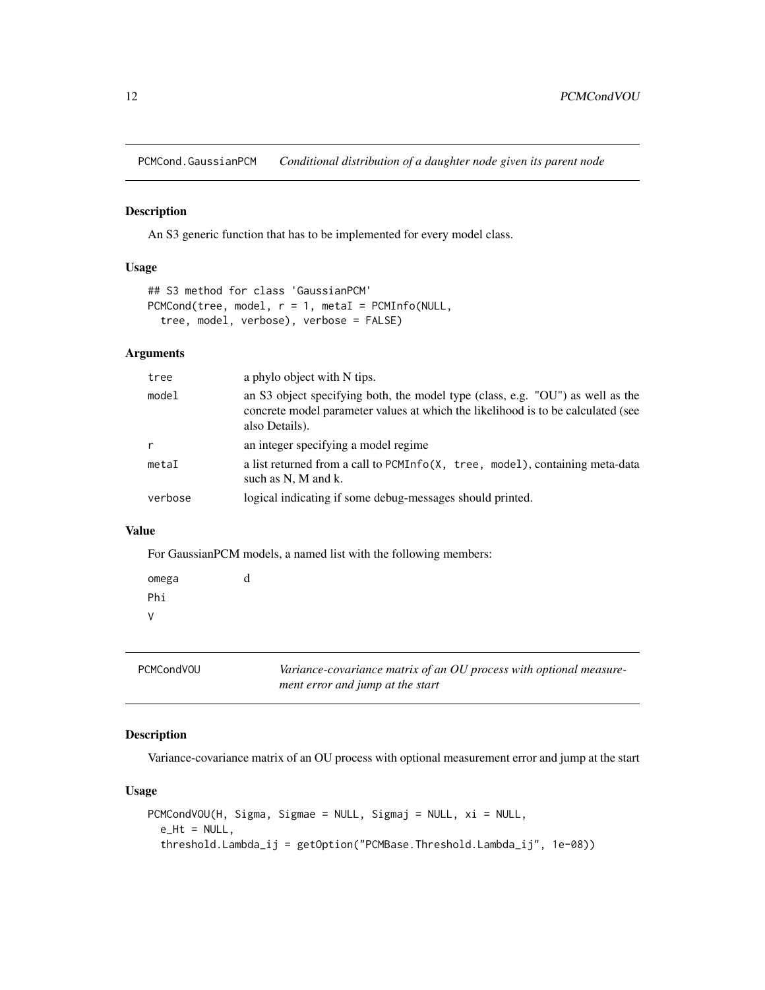<span id="page-11-0"></span>PCMCond.GaussianPCM *Conditional distribution of a daughter node given its parent node*

#### Description

An S3 generic function that has to be implemented for every model class.

### Usage

```
## S3 method for class 'GaussianPCM'
PCMCond(tree, model, r = 1, metaI = PCMInfo(NULL,
  tree, model, verbose), verbose = FALSE)
```
### Arguments

| tree    | a phylo object with N tips.                                                                                                                                                          |
|---------|--------------------------------------------------------------------------------------------------------------------------------------------------------------------------------------|
| model   | an S3 object specifying both, the model type (class, e.g. "OU") as well as the<br>concrete model parameter values at which the likelihood is to be calculated (see<br>also Details). |
| r       | an integer specifying a model regime                                                                                                                                                 |
| metaI   | a list returned from a call to PCMInfo(X, tree, model), containing meta-data<br>such as N, M and k.                                                                                  |
| verbose | logical indicating if some debug-messages should printed.                                                                                                                            |

### Value

For GaussianPCM models, a named list with the following members:

| omega | d |
|-------|---|
| Phi   |   |
| ٧     |   |

| <b>PCMCondVOU</b> | Variance-covariance matrix of an OU process with optional measure-<br>ment error and jump at the start |
|-------------------|--------------------------------------------------------------------------------------------------------|
|                   |                                                                                                        |

### Description

Variance-covariance matrix of an OU process with optional measurement error and jump at the start

### Usage

```
PCMCondVOU(H, Sigma, Sigmae = NULL, Sigmaj = NULL, xi = NULL,
  e_Ht = NULL,
  threshold.Lambda_ij = getOption("PCMBase.Threshold.Lambda_ij", 1e-08))
```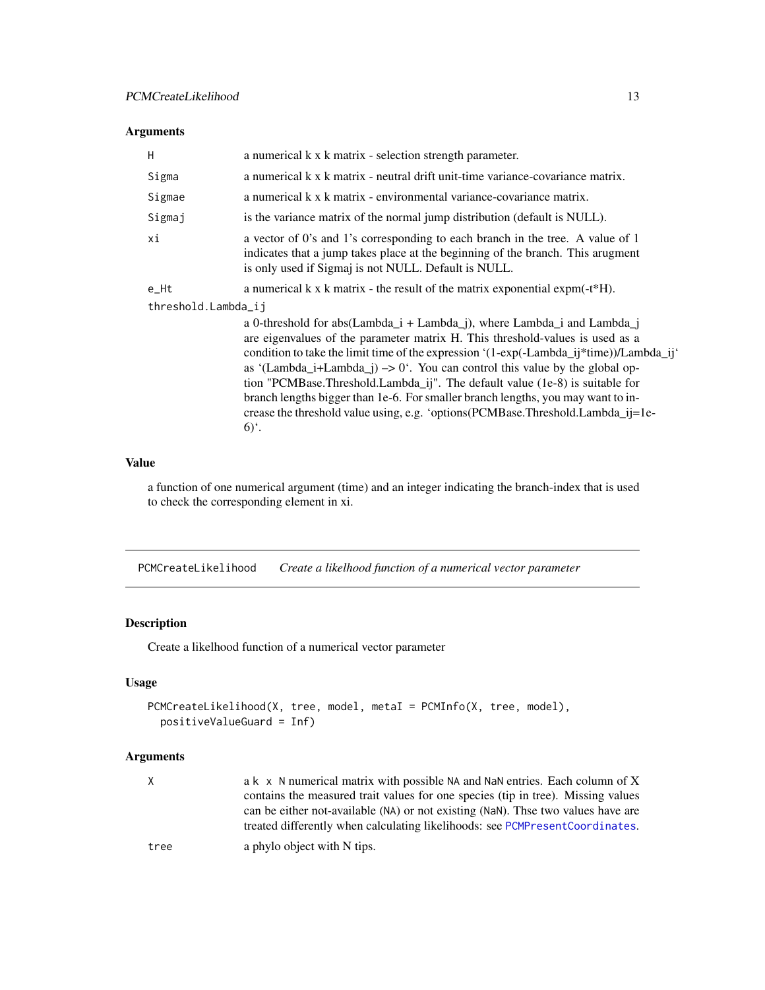### <span id="page-12-0"></span>Arguments

| H                   | a numerical k x k matrix - selection strength parameter.                                                                                                                                                                                                                                                                                                                                                                                                                                                                                                                                                                    |  |
|---------------------|-----------------------------------------------------------------------------------------------------------------------------------------------------------------------------------------------------------------------------------------------------------------------------------------------------------------------------------------------------------------------------------------------------------------------------------------------------------------------------------------------------------------------------------------------------------------------------------------------------------------------------|--|
| Sigma               | a numerical k x k matrix - neutral drift unit-time variance-covariance matrix.                                                                                                                                                                                                                                                                                                                                                                                                                                                                                                                                              |  |
| Sigmae              | a numerical k x k matrix - environmental variance-covariance matrix.                                                                                                                                                                                                                                                                                                                                                                                                                                                                                                                                                        |  |
| Sigmaj              | is the variance matrix of the normal jump distribution (default is NULL).                                                                                                                                                                                                                                                                                                                                                                                                                                                                                                                                                   |  |
| хi                  | a vector of 0's and 1's corresponding to each branch in the tree. A value of 1<br>indicates that a jump takes place at the beginning of the branch. This arugment<br>is only used if Sigmaj is not NULL. Default is NULL.                                                                                                                                                                                                                                                                                                                                                                                                   |  |
| e_Ht                | a numerical $k \times k$ matrix - the result of the matrix exponential expm(-t*H).                                                                                                                                                                                                                                                                                                                                                                                                                                                                                                                                          |  |
| threshold.Lambda_ij |                                                                                                                                                                                                                                                                                                                                                                                                                                                                                                                                                                                                                             |  |
|                     | a 0-threshold for abs(Lambda_i + Lambda_j), where Lambda_i and Lambda_j<br>are eigenvalues of the parameter matrix H. This threshold-values is used as a<br>condition to take the limit time of the expression '(1-exp(-Lambda_ij*time))/Lambda_ij'<br>as '(Lambda_i+Lambda_j) $\rightarrow$ 0'. You can control this value by the global op-<br>tion "PCMBase.Threshold.Lambda_ij". The default value (1e-8) is suitable for<br>branch lengths bigger than 1e-6. For smaller branch lengths, you may want to in-<br>crease the threshold value using, e.g. 'options(PCMBase.Threshold.Lambda_ij=1e-<br>$6)$ <sup>c</sup> . |  |

### Value

a function of one numerical argument (time) and an integer indicating the branch-index that is used to check the corresponding element in xi.

PCMCreateLikelihood *Create a likelhood function of a numerical vector parameter*

### Description

Create a likelhood function of a numerical vector parameter

### Usage

```
PCMCreateLikelihood(X, tree, model, metaI = PCMInfo(X, tree, model),
 positiveValueGuard = Inf)
```
### Arguments

| X.   | a k x N numerical matrix with possible NA and NaN entries. Each column of X      |
|------|----------------------------------------------------------------------------------|
|      | contains the measured trait values for one species (tip in tree). Missing values |
|      | can be either not-available (NA) or not existing (NaN). Thse two values have are |
|      | treated differently when calculating likelihoods: see PCMPresentCoordinates.     |
| tree | a phylo object with N tips.                                                      |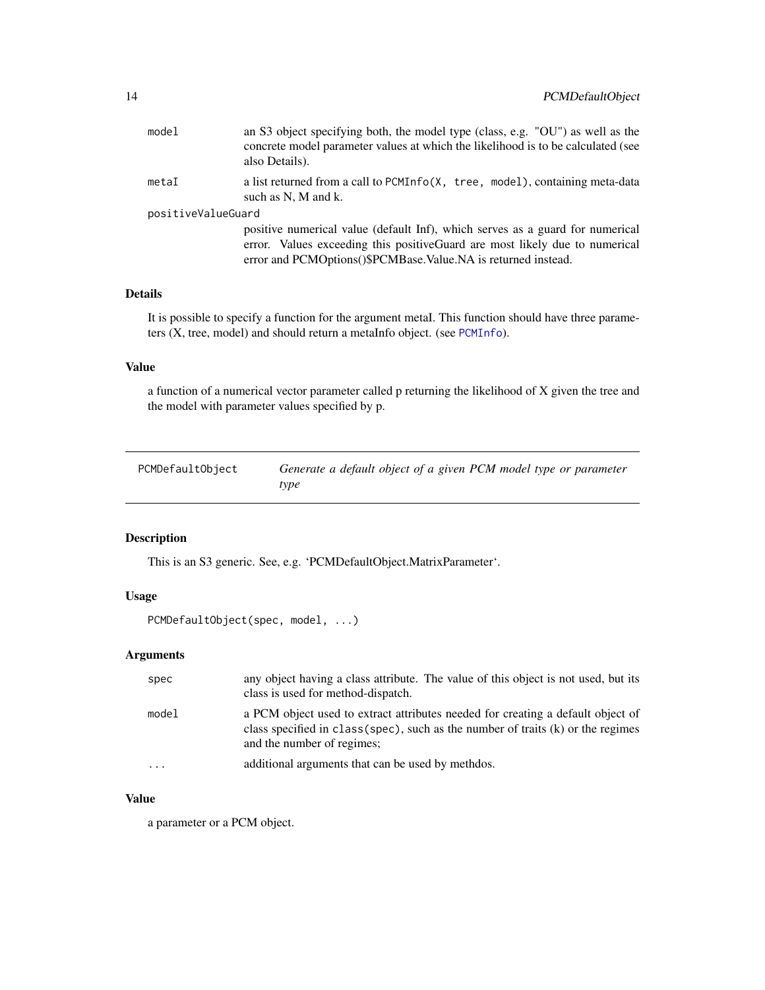<span id="page-13-0"></span>

| model              | an S3 object specifying both, the model type (class, e.g. "OU") as well as the<br>concrete model parameter values at which the likelihood is to be calculated (see<br>also Details).                                           |
|--------------------|--------------------------------------------------------------------------------------------------------------------------------------------------------------------------------------------------------------------------------|
| metaI              | a list returned from a call to PCMInfo(X, tree, model), containing meta-data<br>such as N, M and k.                                                                                                                            |
| positiveValueGuard |                                                                                                                                                                                                                                |
|                    | positive numerical value (default Inf), which serves as a guard for numerical<br>error. Values exceeding this positive Guard are most likely due to numerical<br>error and PCMOptions()\$PCMBase.Value.NA is returned instead. |

### Details

It is possible to specify a function for the argument metaI. This function should have three parameters (X, tree, model) and should return a metaInfo object. (see [PCMInfo](#page-17-1)).

#### Value

a function of a numerical vector parameter called p returning the likelihood of X given the tree and the model with parameter values specified by p.

| PCMDefaultObject | Generate a default object of a given PCM model type or parameter |
|------------------|------------------------------------------------------------------|
|                  | type                                                             |

### Description

This is an S3 generic. See, e.g. 'PCMDefaultObject.MatrixParameter'.

### Usage

```
PCMDefaultObject(spec, model, ...)
```
### Arguments

| spec  | any object having a class attribute. The value of this object is not used, but its<br>class is used for method-dispatch.                                                                            |
|-------|-----------------------------------------------------------------------------------------------------------------------------------------------------------------------------------------------------|
| model | a PCM object used to extract attributes needed for creating a default object of<br>class specified in class (spec), such as the number of traits $(k)$ or the regimes<br>and the number of regimes; |
| .     | additional arguments that can be used by methols.                                                                                                                                                   |

### Value

a parameter or a PCM object.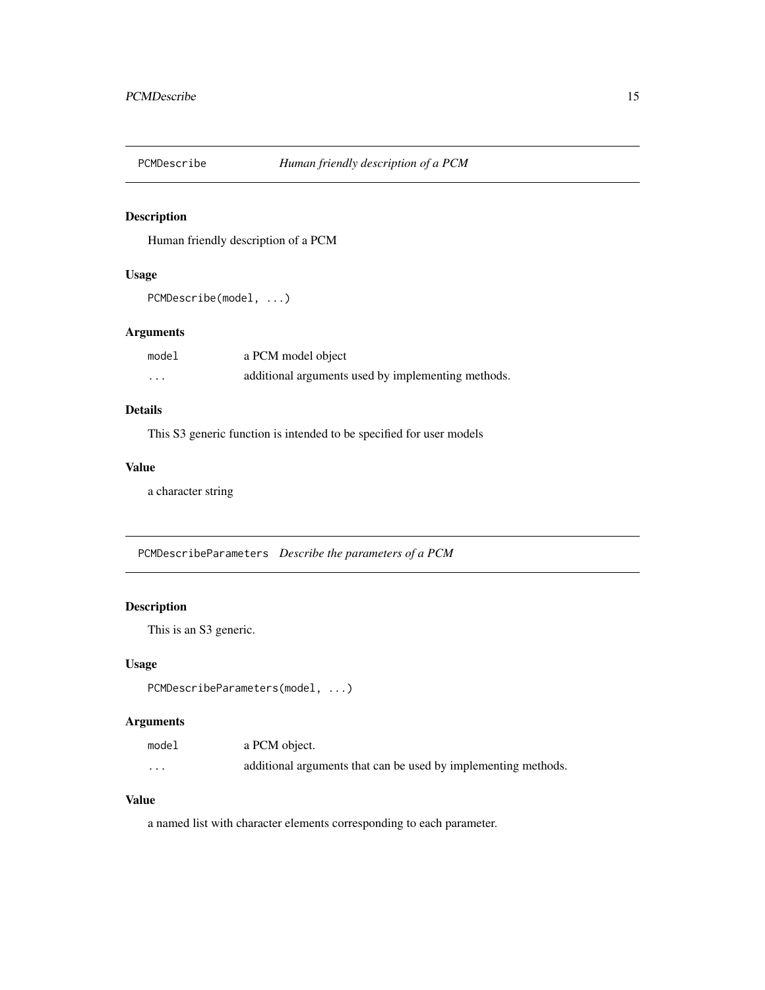<span id="page-14-0"></span>

### Description

Human friendly description of a PCM

### Usage

```
PCMDescribe(model, ...)
```
### Arguments

| model | a PCM model object                                 |
|-------|----------------------------------------------------|
| .     | additional arguments used by implementing methods. |

### Details

This S3 generic function is intended to be specified for user models

### Value

a character string

PCMDescribeParameters *Describe the parameters of a PCM*

### Description

This is an S3 generic.

### Usage

PCMDescribeParameters(model, ...)

### Arguments

| model    | a PCM object.                                                  |
|----------|----------------------------------------------------------------|
| $\cdots$ | additional arguments that can be used by implementing methods. |

### Value

a named list with character elements corresponding to each parameter.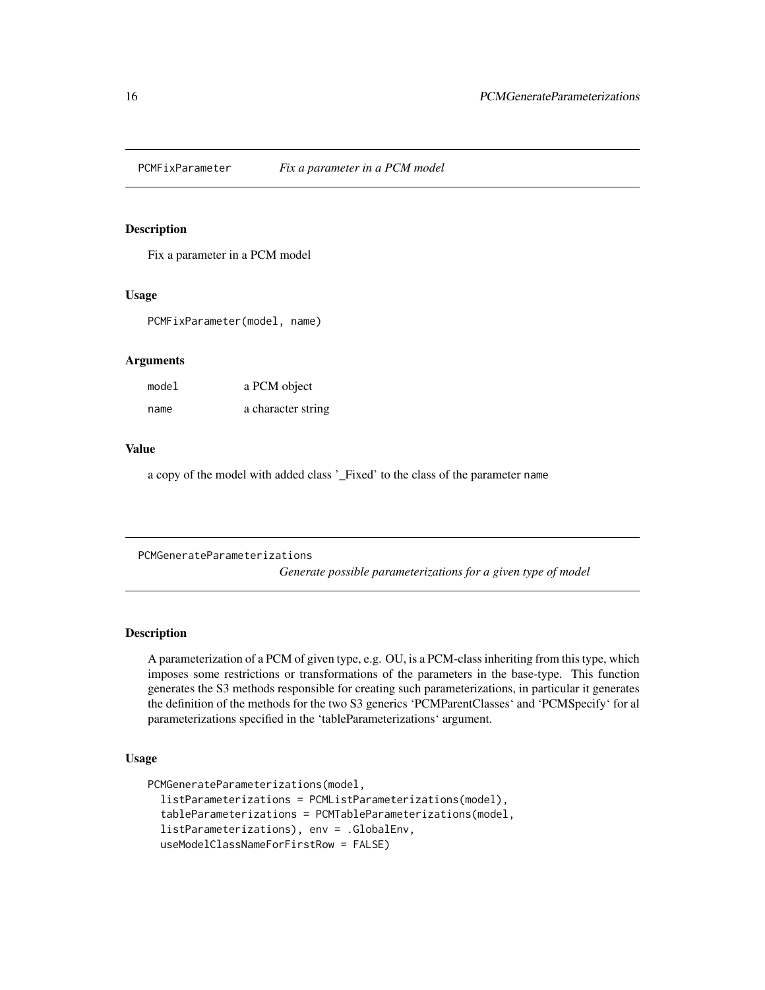<span id="page-15-0"></span>

#### Description

Fix a parameter in a PCM model

#### Usage

PCMFixParameter(model, name)

#### Arguments

| model | a PCM object       |
|-------|--------------------|
| name  | a character string |

#### Value

a copy of the model with added class '\_Fixed' to the class of the parameter name

PCMGenerateParameterizations *Generate possible parameterizations for a given type of model*

### Description

A parameterization of a PCM of given type, e.g. OU, is a PCM-class inheriting from this type, which imposes some restrictions or transformations of the parameters in the base-type. This function generates the S3 methods responsible for creating such parameterizations, in particular it generates the definition of the methods for the two S3 generics 'PCMParentClasses' and 'PCMSpecify' for al parameterizations specified in the 'tableParameterizations' argument.

#### Usage

```
PCMGenerateParameterizations(model,
  listParameterizations = PCMListParameterizations(model),
  tableParameterizations = PCMTableParameterizations(model,
  listParameterizations), env = .GlobalEnv,
  useModelClassNameForFirstRow = FALSE)
```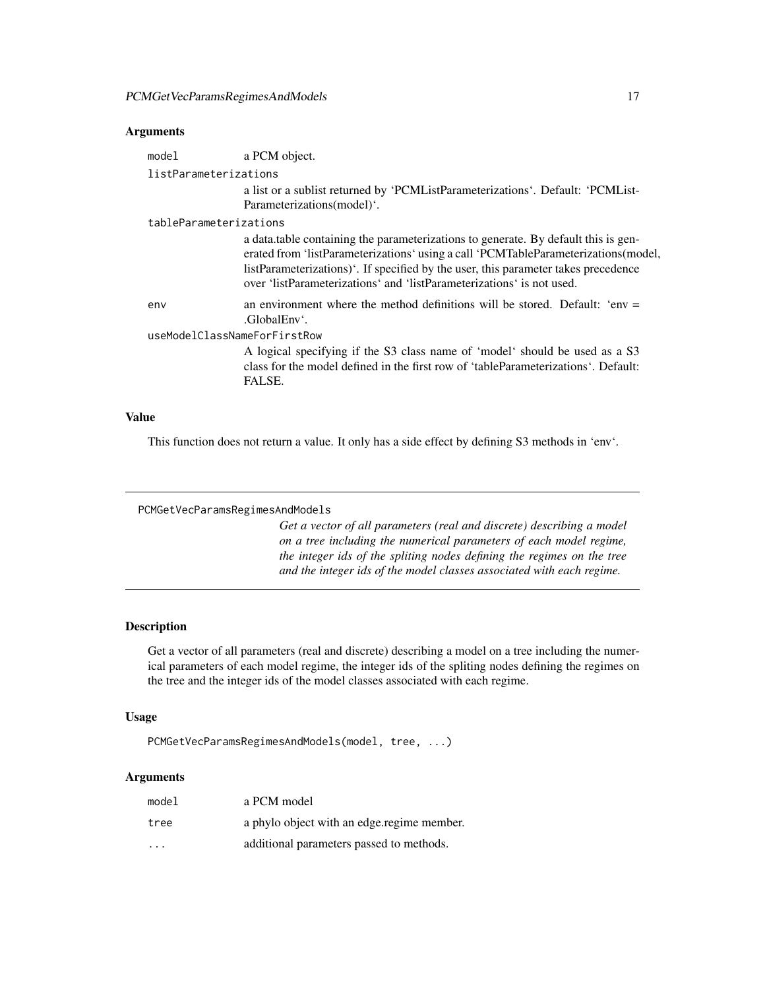#### <span id="page-16-0"></span>Arguments

| model                        | a PCM object.                                                                                                                                                                                                                                                                                                                          |  |
|------------------------------|----------------------------------------------------------------------------------------------------------------------------------------------------------------------------------------------------------------------------------------------------------------------------------------------------------------------------------------|--|
| listParameterizations        |                                                                                                                                                                                                                                                                                                                                        |  |
|                              | a list or a sublist returned by 'PCMListParameterizations'. Default: 'PCMList-                                                                                                                                                                                                                                                         |  |
|                              | Parameterizations(model)'.                                                                                                                                                                                                                                                                                                             |  |
| tableParameterizations       |                                                                                                                                                                                                                                                                                                                                        |  |
|                              | a data.table containing the parameterizations to generate. By default this is gen-<br>erated from 'listParameterizations' using a call 'PCMTableParameterizations(model,<br>listParameterizations). If specified by the user, this parameter takes precedence<br>over 'listParameterizations' and 'listParameterizations' is not used. |  |
| env                          | an environment where the method definitions will be stored. Default: 'env $=$<br>.GlobalEnv'.                                                                                                                                                                                                                                          |  |
| useModelClassNameForFirstRow |                                                                                                                                                                                                                                                                                                                                        |  |
|                              | A logical specifying if the S3 class name of 'model' should be used as a S3<br>class for the model defined in the first row of 'tableParameterizations'. Default:<br>FALSE.                                                                                                                                                            |  |

### Value

This function does not return a value. It only has a side effect by defining S3 methods in 'env'.

```
PCMGetVecParamsRegimesAndModels
```
*Get a vector of all parameters (real and discrete) describing a model on a tree including the numerical parameters of each model regime, the integer ids of the spliting nodes defining the regimes on the tree and the integer ids of the model classes associated with each regime.*

### Description

Get a vector of all parameters (real and discrete) describing a model on a tree including the numerical parameters of each model regime, the integer ids of the spliting nodes defining the regimes on the tree and the integer ids of the model classes associated with each regime.

### Usage

PCMGetVecParamsRegimesAndModels(model, tree, ...)

### Arguments

| model | a PCM model                                |
|-------|--------------------------------------------|
| tree  | a phylo object with an edge regime member. |
| .     | additional parameters passed to methods.   |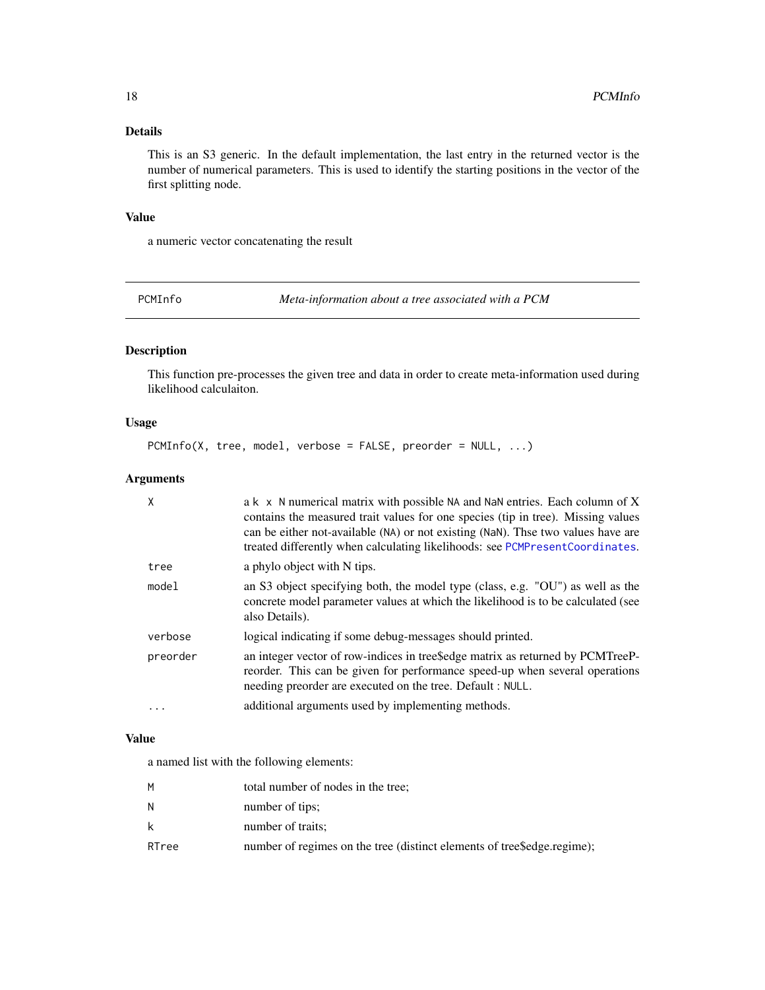### <span id="page-17-0"></span>Details

This is an S3 generic. In the default implementation, the last entry in the returned vector is the number of numerical parameters. This is used to identify the starting positions in the vector of the first splitting node.

#### Value

a numeric vector concatenating the result

<span id="page-17-1"></span>PCMInfo *Meta-information about a tree associated with a PCM*

### Description

This function pre-processes the given tree and data in order to create meta-information used during likelihood calculaiton.

#### Usage

PCMInfo(X, tree, model, verbose = FALSE, preorder = NULL, ...)

#### Arguments

| X         | a k x N numerical matrix with possible NA and NaN entries. Each column of X<br>contains the measured trait values for one species (tip in tree). Missing values<br>can be either not-available (NA) or not existing (NaN). Thse two values have are<br>treated differently when calculating likelihoods: see PCMPresent Coordinates. |
|-----------|--------------------------------------------------------------------------------------------------------------------------------------------------------------------------------------------------------------------------------------------------------------------------------------------------------------------------------------|
| tree      | a phylo object with N tips.                                                                                                                                                                                                                                                                                                          |
| model     | an S3 object specifying both, the model type (class, e.g. "OU") as well as the<br>concrete model parameter values at which the likelihood is to be calculated (see<br>also Details).                                                                                                                                                 |
| verbose   | logical indicating if some debug-messages should printed.                                                                                                                                                                                                                                                                            |
| preorder  | an integer vector of row-indices in tree\$edge matrix as returned by PCMTreeP-<br>reorder. This can be given for performance speed-up when several operations<br>needing preorder are executed on the tree. Default : NULL.                                                                                                          |
| $\ddotsc$ | additional arguments used by implementing methods.                                                                                                                                                                                                                                                                                   |

#### Value

a named list with the following elements:

| м     | total number of nodes in the tree;                                       |
|-------|--------------------------------------------------------------------------|
| N     | number of tips:                                                          |
| k     | number of traits;                                                        |
| RTree | number of regimes on the tree (distinct elements of tree \$edge.regime); |
|       |                                                                          |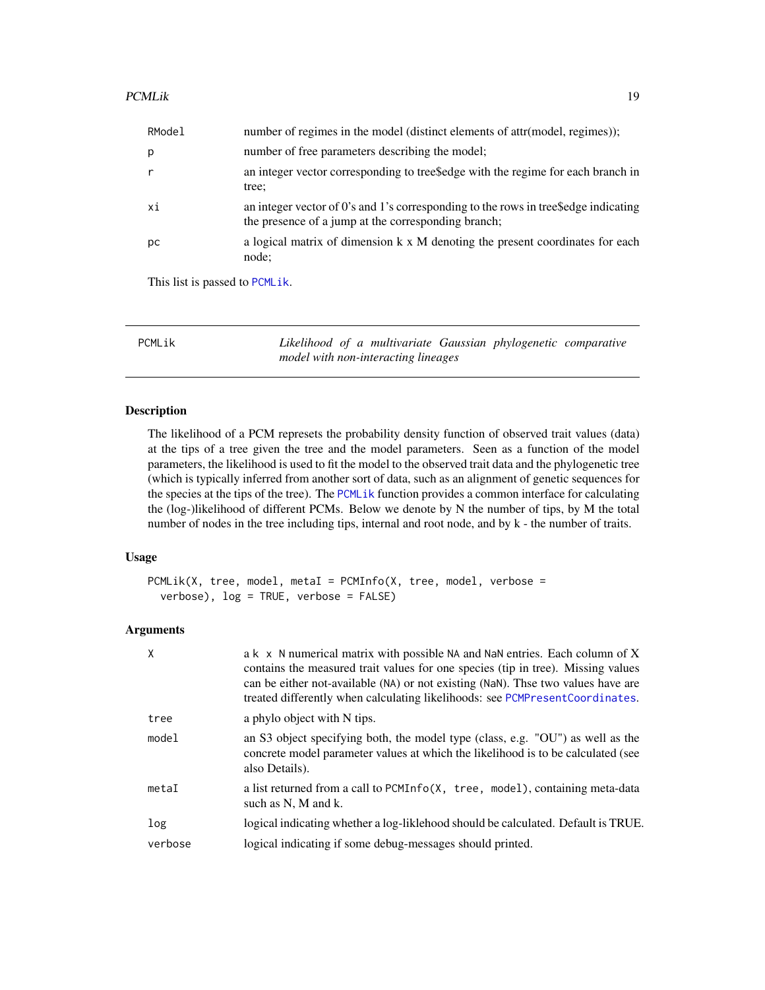<span id="page-18-0"></span>

| RModel | number of regimes in the model (distinct elements of attr(model, regimes));                                                                |
|--------|--------------------------------------------------------------------------------------------------------------------------------------------|
| p      | number of free parameters describing the model;                                                                                            |
| r      | an integer vector corresponding to trees dge with the regime for each branch in<br>tree;                                                   |
| xi     | an integer vector of 0's and 1's corresponding to the rows in trees edge indicating<br>the presence of a jump at the corresponding branch; |
| рc     | a logical matrix of dimension k x M denoting the present coordinates for each<br>node;                                                     |
|        |                                                                                                                                            |

This list is passed to [PCMLik](#page-18-1).

<span id="page-18-1"></span>PCMLik *Likelihood of a multivariate Gaussian phylogenetic comparative model with non-interacting lineages*

#### Description

The likelihood of a PCM represets the probability density function of observed trait values (data) at the tips of a tree given the tree and the model parameters. Seen as a function of the model parameters, the likelihood is used to fit the model to the observed trait data and the phylogenetic tree (which is typically inferred from another sort of data, such as an alignment of genetic sequences for the species at the tips of the tree). The [PCMLik](#page-18-1) function provides a common interface for calculating the (log-)likelihood of different PCMs. Below we denote by N the number of tips, by M the total number of nodes in the tree including tips, internal and root node, and by k - the number of traits.

#### Usage

```
PCMLik(X, tree, model, metal = PCMInfo(X, tree, model, verbose =verbose), log = TRUE, verbose = FALSE)
```
#### Arguments

| a k x N numerical matrix with possible NA and NaN entries. Each column of X<br>contains the measured trait values for one species (tip in tree). Missing values<br>can be either not-available (NA) or not existing (NaN). Thse two values have are<br>treated differently when calculating likelihoods: see PCMPresent Coordinates. |
|--------------------------------------------------------------------------------------------------------------------------------------------------------------------------------------------------------------------------------------------------------------------------------------------------------------------------------------|
| a phylo object with N tips.                                                                                                                                                                                                                                                                                                          |
| an S3 object specifying both, the model type (class, e.g. "OU") as well as the<br>concrete model parameter values at which the likelihood is to be calculated (see<br>also Details).                                                                                                                                                 |
| a list returned from a call to PCMInfo(X, tree, model), containing meta-data<br>such as N, M and k.                                                                                                                                                                                                                                  |
| logical indicating whether a log-liklehood should be calculated. Default is TRUE.                                                                                                                                                                                                                                                    |
| logical indicating if some debug-messages should printed.                                                                                                                                                                                                                                                                            |
|                                                                                                                                                                                                                                                                                                                                      |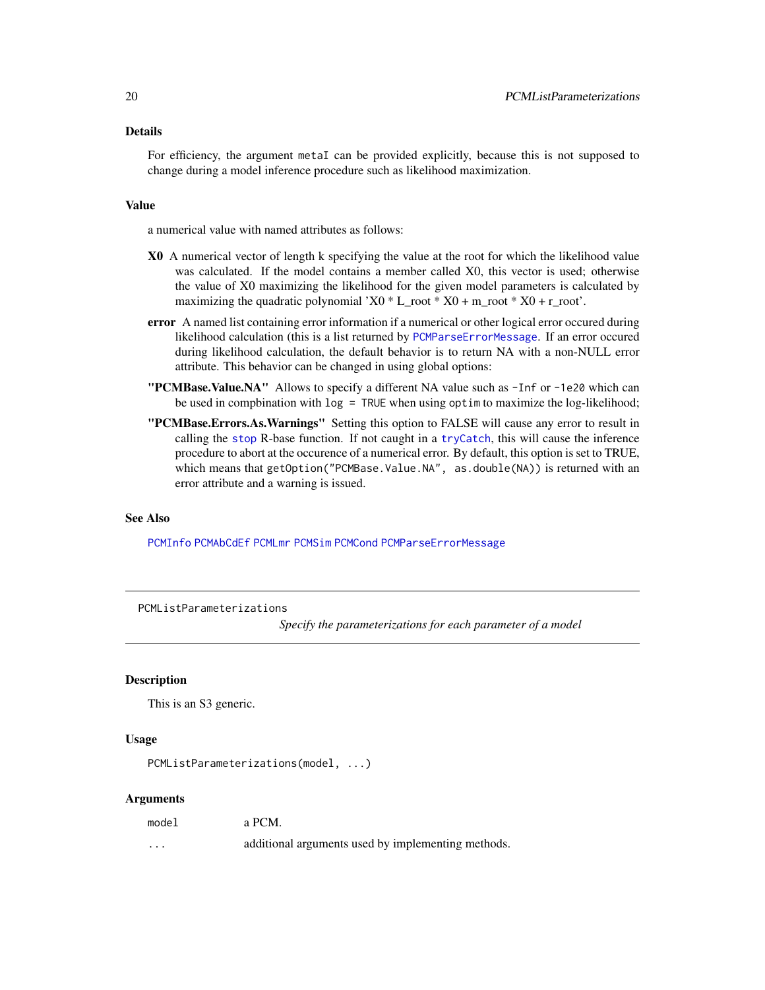#### <span id="page-19-0"></span>Details

For efficiency, the argument metaI can be provided explicitly, because this is not supposed to change during a model inference procedure such as likelihood maximization.

### Value

a numerical value with named attributes as follows:

- X0 A numerical vector of length k specifying the value at the root for which the likelihood value was calculated. If the model contains a member called X0, this vector is used; otherwise the value of X0 maximizing the likelihood for the given model parameters is calculated by maximizing the quadratic polynomial 'X0  $*$  L\_root  $*$  X0 + m\_root  $*$  X0 + r\_root'.
- error A named list containing error information if a numerical or other logical error occured during likelihood calculation (this is a list returned by [PCMParseErrorMessage](#page-35-1). If an error occured during likelihood calculation, the default behavior is to return NA with a non-NULL error attribute. This behavior can be changed in using global options:
- "PCMBase.Value.NA" Allows to specify a different NA value such as -Inf or -1e20 which can be used in compbination with log = TRUE when using optim to maximize the log-likelihood;
- "PCMBase.Errors.As.Warnings" Setting this option to FALSE will cause any error to result in calling the [stop](#page-0-0) R-base function. If not caught in a [tryCatch](#page-0-0), this will cause the inference procedure to abort at the occurence of a numerical error. By default, this option is set to TRUE, which means that getOption("PCMBase.Value.NA", as.double(NA)) is returned with an error attribute and a warning is issued.

#### See Also

[PCMInfo](#page-17-1) [PCMAbCdEf](#page-8-1) [PCMLmr](#page-20-1) [PCMSim](#page-41-1) [PCMCond](#page-10-1) [PCMParseErrorMessage](#page-35-1)

#### PCMListParameterizations

*Specify the parameterizations for each parameter of a model*

#### **Description**

This is an S3 generic.

#### Usage

PCMListParameterizations(model, ...)

#### Arguments

| model | a PCM. |
|-------|--------|
|       |        |

... additional arguments used by implementing methods.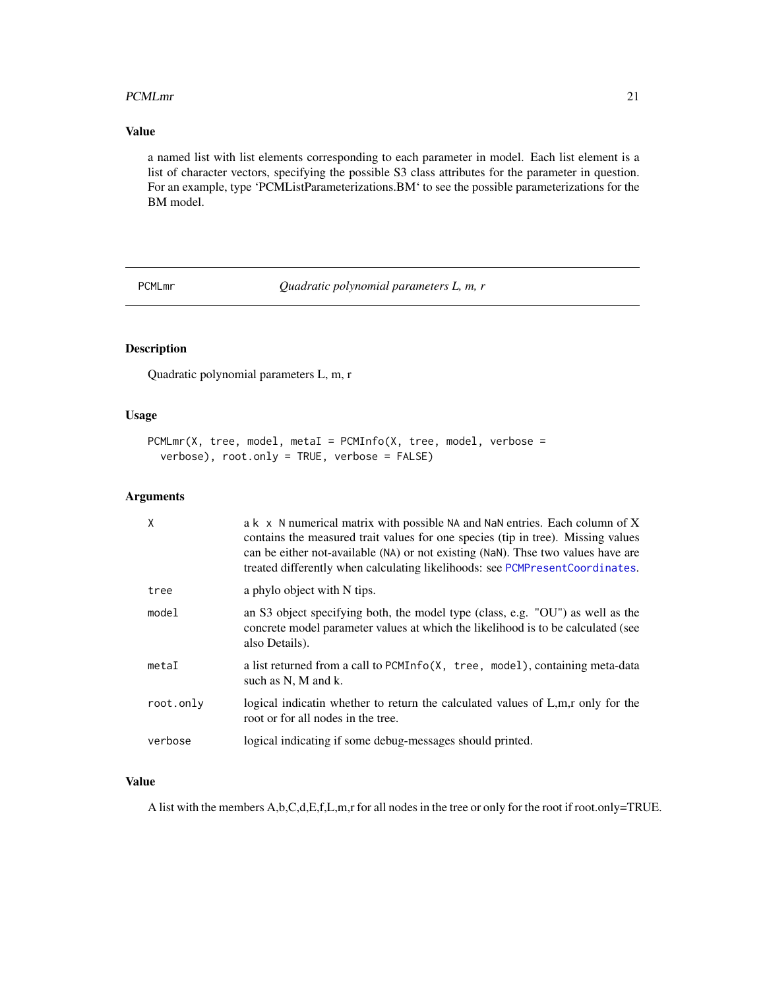#### <span id="page-20-0"></span>PCMLmr 21

### Value

a named list with list elements corresponding to each parameter in model. Each list element is a list of character vectors, specifying the possible S3 class attributes for the parameter in question. For an example, type 'PCMListParameterizations.BM' to see the possible parameterizations for the BM model.

<span id="page-20-1"></span>PCMLmr *Quadratic polynomial parameters L, m, r*

### Description

Quadratic polynomial parameters L, m, r

#### Usage

```
PCMLmr(X, tree, model, metal = PCMInfo(X, tree, model, verbose =verbose), root.only = TRUE, verbose = FALSE)
```
#### Arguments

| X         | a k x N numerical matrix with possible NA and NaN entries. Each column of X<br>contains the measured trait values for one species (tip in tree). Missing values<br>can be either not-available (NA) or not existing (NaN). Thse two values have are<br>treated differently when calculating likelihoods: see PCMPresentCoordinates. |
|-----------|-------------------------------------------------------------------------------------------------------------------------------------------------------------------------------------------------------------------------------------------------------------------------------------------------------------------------------------|
| tree      | a phylo object with N tips.                                                                                                                                                                                                                                                                                                         |
| mode1     | an S3 object specifying both, the model type (class, e.g. "OU") as well as the<br>concrete model parameter values at which the likelihood is to be calculated (see<br>also Details).                                                                                                                                                |
| metaI     | a list returned from a call to PCMInfo(X, tree, model), containing meta-data<br>such as N, M and k.                                                                                                                                                                                                                                 |
| root.only | logical indicatin whether to return the calculated values of L,m,r only for the<br>root or for all nodes in the tree.                                                                                                                                                                                                               |
| verbose   | logical indicating if some debug-messages should printed.                                                                                                                                                                                                                                                                           |

#### Value

A list with the members A,b,C,d,E,f,L,m,r for all nodes in the tree or only for the root if root.only=TRUE.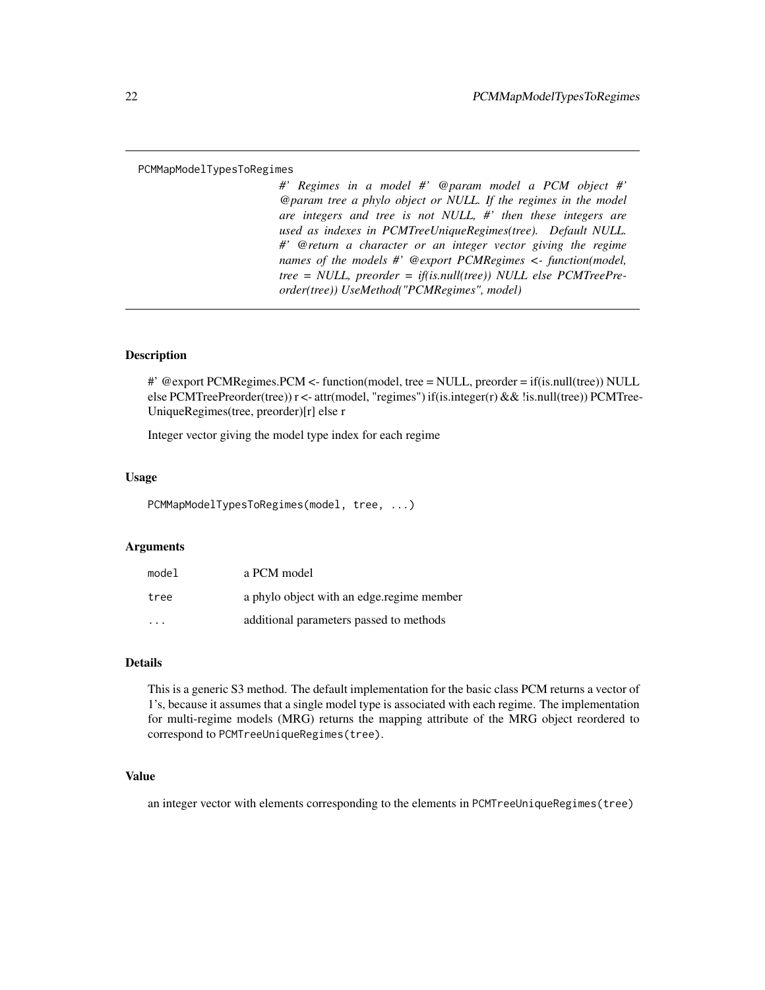#### <span id="page-21-0"></span>PCMMapModelTypesToRegimes

*#' Regimes in a model #' @param model a PCM object #' @param tree a phylo object or NULL. If the regimes in the model are integers and tree is not NULL, #' then these integers are used as indexes in PCMTreeUniqueRegimes(tree). Default NULL. #' @return a character or an integer vector giving the regime names of the models #' @export PCMRegimes <- function(model, tree = NULL, preorder = if(is.null(tree)) NULL else PCMTreePreorder(tree)) UseMethod("PCMRegimes", model)*

### Description

#' @export PCMRegimes.PCM <- function(model, tree = NULL, preorder = if(is.null(tree)) NULL else PCMTreePreorder(tree)) r <- attr(model, "regimes") if(is.integer(r) && !is.null(tree)) PCMTree-UniqueRegimes(tree, preorder)[r] else r

Integer vector giving the model type index for each regime

#### Usage

PCMMapModelTypesToRegimes(model, tree, ...)

#### Arguments

| model                   | a PCM model                               |
|-------------------------|-------------------------------------------|
| tree                    | a phylo object with an edge regime member |
| $\cdot$ $\cdot$ $\cdot$ | additional parameters passed to methods   |

#### Details

This is a generic S3 method. The default implementation for the basic class PCM returns a vector of 1's, because it assumes that a single model type is associated with each regime. The implementation for multi-regime models (MRG) returns the mapping attribute of the MRG object reordered to correspond to PCMTreeUniqueRegimes(tree).

#### Value

an integer vector with elements corresponding to the elements in PCMTreeUniqueRegimes(tree)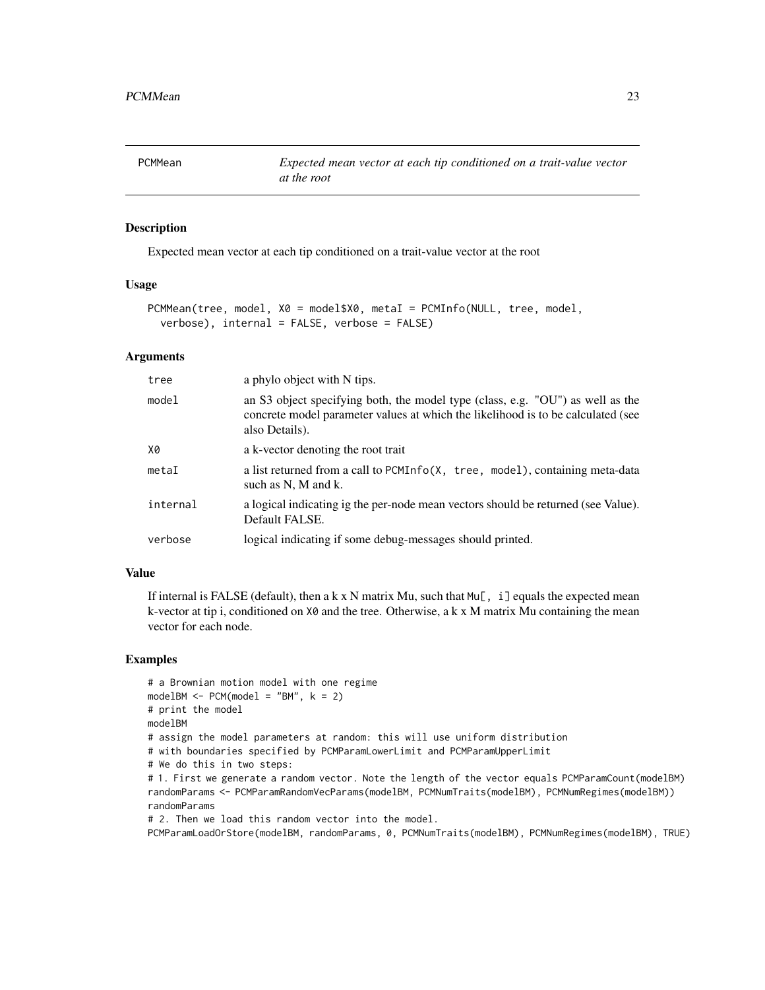<span id="page-22-0"></span>

### Description

Expected mean vector at each tip conditioned on a trait-value vector at the root

#### Usage

```
PCMMean(tree, model, X0 = model$X0, metaI = PCMInfo(NULL, tree, model,
  verbose), internal = FALSE, verbose = FALSE)
```
### Arguments

| tree     | a phylo object with N tips.                                                                                                                                                          |
|----------|--------------------------------------------------------------------------------------------------------------------------------------------------------------------------------------|
| model    | an S3 object specifying both, the model type (class, e.g. "OU") as well as the<br>concrete model parameter values at which the likelihood is to be calculated (see<br>also Details). |
| X0       | a k-vector denoting the root trait                                                                                                                                                   |
| metaI    | a list returned from a call to PCMInfo(X, tree, model), containing meta-data<br>such as N, M and k.                                                                                  |
| internal | a logical indicating ig the per-node mean vectors should be returned (see Value).<br>Default FALSE.                                                                                  |
| verbose  | logical indicating if some debug-messages should printed.                                                                                                                            |

#### Value

If internal is FALSE (default), then a k x N matrix Mu, such that  $Mu[$ , i] equals the expected mean k-vector at tip i, conditioned on  $X\emptyset$  and the tree. Otherwise, a k x M matrix Mu containing the mean vector for each node.

#### Examples

```
# a Brownian motion model with one regime
modelBM < - PCM(model = "BM", k = 2)# print the model
modelBM
# assign the model parameters at random: this will use uniform distribution
# with boundaries specified by PCMParamLowerLimit and PCMParamUpperLimit
# We do this in two steps:
# 1. First we generate a random vector. Note the length of the vector equals PCMParamCount(modelBM)
randomParams <- PCMParamRandomVecParams(modelBM, PCMNumTraits(modelBM), PCMNumRegimes(modelBM))
randomParams
# 2. Then we load this random vector into the model.
PCMParamLoadOrStore(modelBM, randomParams, 0, PCMNumTraits(modelBM), PCMNumRegimes(modelBM), TRUE)
```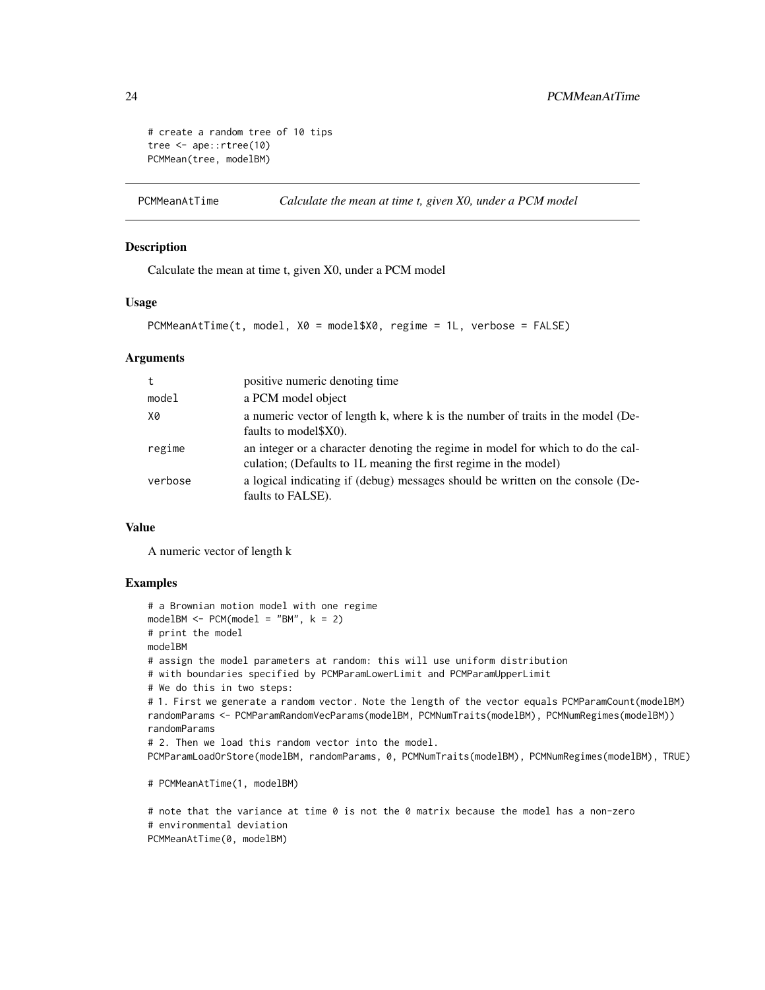```
# create a random tree of 10 tips
tree <- ape::rtree(10)
PCMMean(tree, modelBM)
```
PCMMeanAtTime *Calculate the mean at time t, given X0, under a PCM model*

### Description

Calculate the mean at time t, given X0, under a PCM model

### Usage

```
PCMMeanAtTime(t, model, X0 = model$X0, regime = 1L, verbose = FALSE)
```
#### Arguments

| t       | positive numeric denoting time                                                                                                                      |
|---------|-----------------------------------------------------------------------------------------------------------------------------------------------------|
| model   | a PCM model object                                                                                                                                  |
| X0      | a numeric vector of length k, where k is the number of traits in the model (De-<br>faults to model \$X0).                                           |
| regime  | an integer or a character denoting the regime in model for which to do the cal-<br>culation; (Defaults to 1L meaning the first regime in the model) |
| verbose | a logical indicating if (debug) messages should be written on the console (De-<br>faults to FALSE).                                                 |

#### Value

A numeric vector of length k

#### Examples

```
# a Brownian motion model with one regime
modelBM < - PCM(model = "BM", k = 2)# print the model
modelBM
# assign the model parameters at random: this will use uniform distribution
# with boundaries specified by PCMParamLowerLimit and PCMParamUpperLimit
# We do this in two steps:
# 1. First we generate a random vector. Note the length of the vector equals PCMParamCount(modelBM)
randomParams <- PCMParamRandomVecParams(modelBM, PCMNumTraits(modelBM), PCMNumRegimes(modelBM))
randomParams
# 2. Then we load this random vector into the model.
PCMParamLoadOrStore(modelBM, randomParams, 0, PCMNumTraits(modelBM), PCMNumRegimes(modelBM), TRUE)
```
# PCMMeanAtTime(1, modelBM)

# note that the variance at time 0 is not the 0 matrix because the model has a non-zero # environmental deviation PCMMeanAtTime(0, modelBM)

<span id="page-23-0"></span>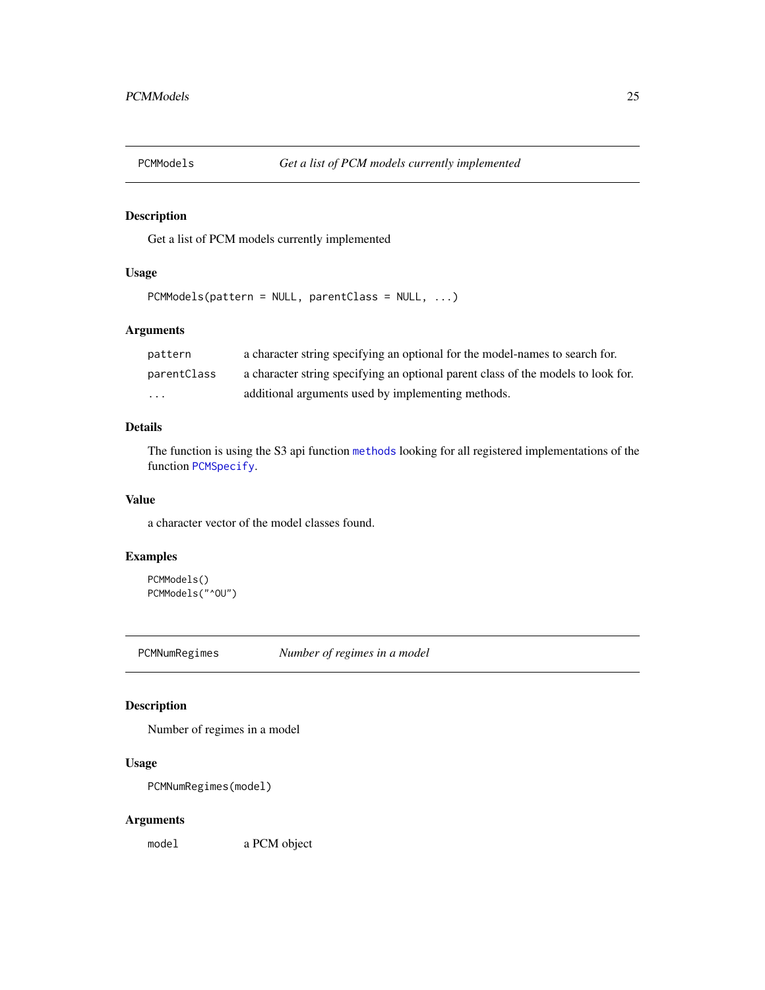<span id="page-24-1"></span><span id="page-24-0"></span>

### Description

Get a list of PCM models currently implemented

#### Usage

```
PCMModels(pattern = NULL, parentClass = NULL, ...)
```
### Arguments

| pattern     | a character string specifying an optional for the model-names to search for.      |
|-------------|-----------------------------------------------------------------------------------|
| parentClass | a character string specifying an optional parent class of the models to look for. |
| .           | additional arguments used by implementing methods.                                |

### Details

The function is using the S3 api function [methods](#page-0-0) looking for all registered implementations of the function [PCMSpecify](#page-42-1).

#### Value

a character vector of the model classes found.

### Examples

```
PCMModels()
PCMModels("^OU")
```
PCMNumRegimes *Number of regimes in a model*

### Description

Number of regimes in a model

### Usage

```
PCMNumRegimes(model)
```
#### Arguments

model a PCM object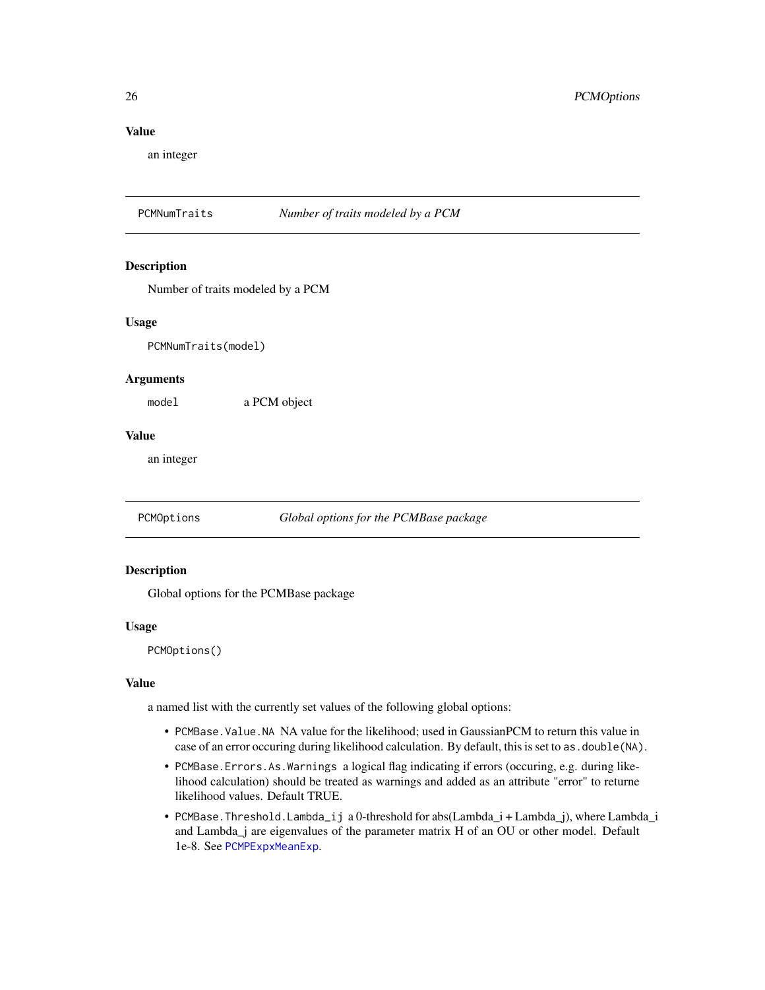### <span id="page-25-0"></span>Value

an integer

PCMNumTraits *Number of traits modeled by a PCM*

#### Description

Number of traits modeled by a PCM

#### Usage

PCMNumTraits(model)

#### Arguments

model a PCM object

#### Value

an integer

PCMOptions *Global options for the PCMBase package*

#### Description

Global options for the PCMBase package

#### Usage

PCMOptions()

#### Value

a named list with the currently set values of the following global options:

- PCMBase.Value.NA NA value for the likelihood; used in GaussianPCM to return this value in case of an error occuring during likelihood calculation. By default, this is set to as. double (NA).
- PCMBase.Errors.As.Warnings a logical flag indicating if errors (occuring, e.g. during likelihood calculation) should be treated as warnings and added as an attribute "error" to returne likelihood values. Default TRUE.
- PCMBase.Threshold.Lambda\_ij a 0-threshold for abs(Lambda\_i + Lambda\_j), where Lambda\_i and Lambda\_j are eigenvalues of the parameter matrix H of an OU or other model. Default 1e-8. See [PCMPExpxMeanExp](#page-36-1).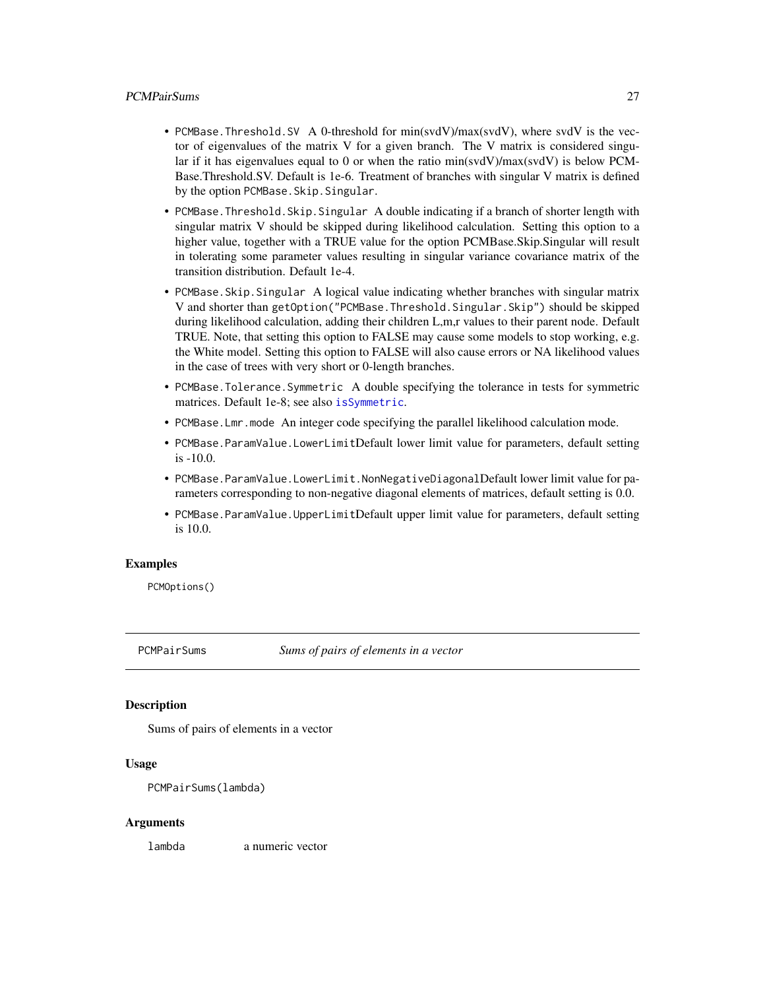#### <span id="page-26-0"></span>PCMPairSums 27

- PCMBase.Threshold.SV A 0-threshold for min(svdV)/max(svdV), where svdV is the vector of eigenvalues of the matrix  $V$  for a given branch. The  $V$  matrix is considered singular if it has eigenvalues equal to 0 or when the ratio min(svdV)/max(svdV) is below PCM-Base.Threshold.SV. Default is 1e-6. Treatment of branches with singular V matrix is defined by the option PCMBase.Skip.Singular.
- PCMBase.Threshold.Skip.Singular A double indicating if a branch of shorter length with singular matrix V should be skipped during likelihood calculation. Setting this option to a higher value, together with a TRUE value for the option PCMBase.Skip.Singular will result in tolerating some parameter values resulting in singular variance covariance matrix of the transition distribution. Default 1e-4.
- PCMBase.Skip.Singular A logical value indicating whether branches with singular matrix V and shorter than getOption("PCMBase.Threshold.Singular.Skip") should be skipped during likelihood calculation, adding their children L,m,r values to their parent node. Default TRUE. Note, that setting this option to FALSE may cause some models to stop working, e.g. the White model. Setting this option to FALSE will also cause errors or NA likelihood values in the case of trees with very short or 0-length branches.
- PCMBase.Tolerance.Symmetric A double specifying the tolerance in tests for symmetric matrices. Default 1e-8; see also [isSymmetric](#page-0-0).
- PCMBase.Lmr.mode An integer code specifying the parallel likelihood calculation mode.
- PCMBase.ParamValue.LowerLimitDefault lower limit value for parameters, default setting is -10.0.
- PCMBase.ParamValue.LowerLimit.NonNegativeDiagonalDefault lower limit value for parameters corresponding to non-negative diagonal elements of matrices, default setting is 0.0.
- PCMBase.ParamValue.UpperLimitDefault upper limit value for parameters, default setting is 10.0.

#### Examples

PCMOptions()

PCMPairSums *Sums of pairs of elements in a vector*

#### **Description**

Sums of pairs of elements in a vector

#### Usage

```
PCMPairSums(lambda)
```
#### Arguments

lambda a numeric vector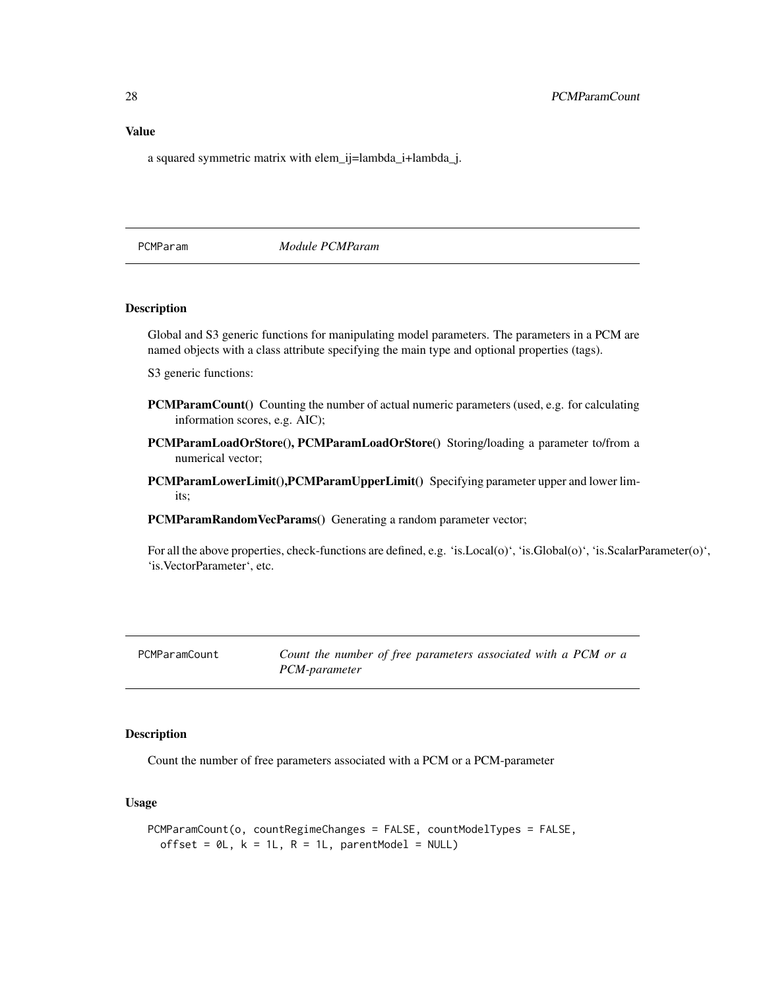### <span id="page-27-0"></span>Value

a squared symmetric matrix with elem\_ij=lambda\_i+lambda\_j.

### PCMParam *Module PCMParam*

### Description

Global and S3 generic functions for manipulating model parameters. The parameters in a PCM are named objects with a class attribute specifying the main type and optional properties (tags).

S3 generic functions:

- **PCMParamCount**() Counting the number of actual numeric parameters (used, e.g. for calculating information scores, e.g. AIC);
- PCMParamLoadOrStore(), PCMParamLoadOrStore() Storing/loading a parameter to/from a numerical vector;
- PCMParamLowerLimit(),PCMParamUpperLimit() Specifying parameter upper and lower limits;
- PCMParamRandomVecParams() Generating a random parameter vector;

For all the above properties, check-functions are defined, e.g. 'is.Local(o)', 'is.Global(o)', 'is.ScalarParameter(o)', 'is.VectorParameter', etc.

PCMParamCount *Count the number of free parameters associated with a PCM or a PCM-parameter*

#### Description

Count the number of free parameters associated with a PCM or a PCM-parameter

#### Usage

```
PCMParamCount(o, countRegimeChanges = FALSE, countModelTypes = FALSE,
 offset = OL, k = 1L, R = 1L, parentModel = NULL)
```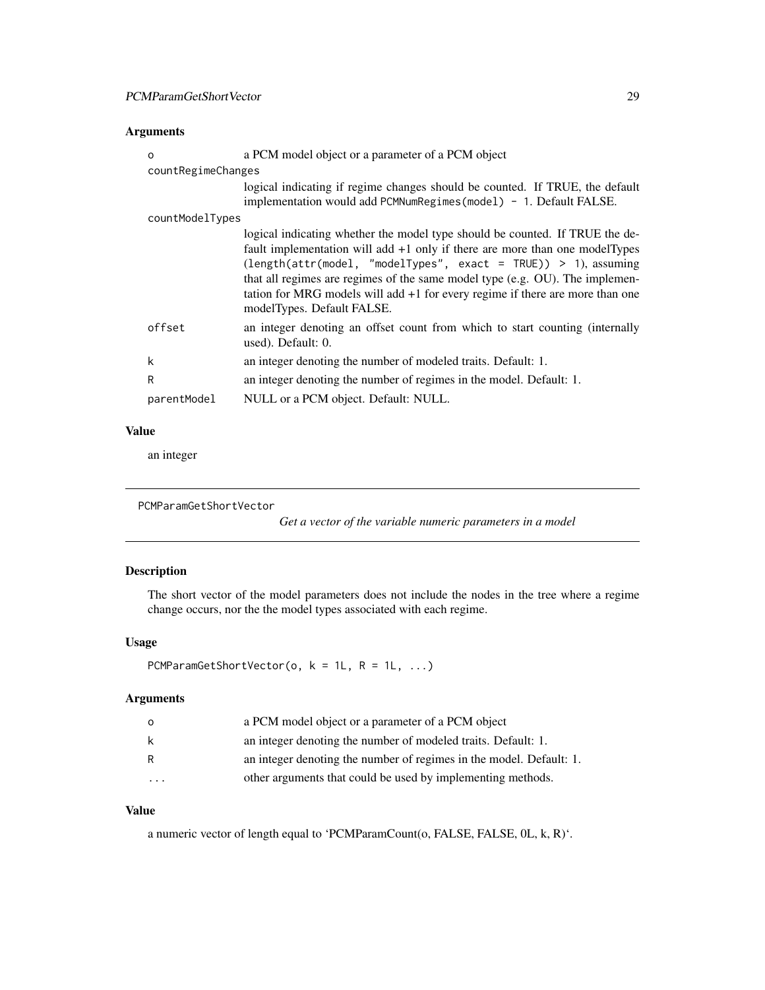### <span id="page-28-0"></span>Arguments

| $\Omega$           | a PCM model object or a parameter of a PCM object                                                                                                                                                                                                                                                                                                                                                                                                               |  |
|--------------------|-----------------------------------------------------------------------------------------------------------------------------------------------------------------------------------------------------------------------------------------------------------------------------------------------------------------------------------------------------------------------------------------------------------------------------------------------------------------|--|
| countRegimeChanges |                                                                                                                                                                                                                                                                                                                                                                                                                                                                 |  |
|                    | logical indicating if regime changes should be counted. If TRUE, the default<br>implementation would add PCMNumRegimes (model) - 1. Default FALSE.                                                                                                                                                                                                                                                                                                              |  |
| countModelTypes    |                                                                                                                                                                                                                                                                                                                                                                                                                                                                 |  |
|                    | logical indicating whether the model type should be counted. If TRUE the de-<br>fault implementation will add $+1$ only if there are more than one modelTypes<br>$\text{length}(\text{attr}(\text{model}, \text{ "modelTypes", exact = TRUE})) > 1, assuming}$<br>that all regimes are regimes of the same model type (e.g. OU). The implemen-<br>tation for MRG models will add $+1$ for every regime if there are more than one<br>modelTypes. Default FALSE. |  |
| offset             | an integer denoting an offset count from which to start counting (internally<br>used). Default: 0.                                                                                                                                                                                                                                                                                                                                                              |  |
| k                  | an integer denoting the number of modeled traits. Default: 1.                                                                                                                                                                                                                                                                                                                                                                                                   |  |
| R                  | an integer denoting the number of regimes in the model. Default: 1.                                                                                                                                                                                                                                                                                                                                                                                             |  |
| parentModel        | NULL or a PCM object. Default: NULL.                                                                                                                                                                                                                                                                                                                                                                                                                            |  |

#### Value

an integer

```
PCMParamGetShortVector
```
*Get a vector of the variable numeric parameters in a model*

### Description

The short vector of the model parameters does not include the nodes in the tree where a regime change occurs, nor the the model types associated with each regime.

### Usage

```
PCMParamGetShortVector(o, k = 1L, R = 1L, ...)
```
### Arguments

| $\Omega$                | a PCM model object or a parameter of a PCM object                   |
|-------------------------|---------------------------------------------------------------------|
| k                       | an integer denoting the number of modeled traits. Default: 1.       |
| R                       | an integer denoting the number of regimes in the model. Default: 1. |
| $\cdot$ $\cdot$ $\cdot$ | other arguments that could be used by implementing methods.         |

### Value

a numeric vector of length equal to 'PCMParamCount(o, FALSE, FALSE, 0L, k, R)'.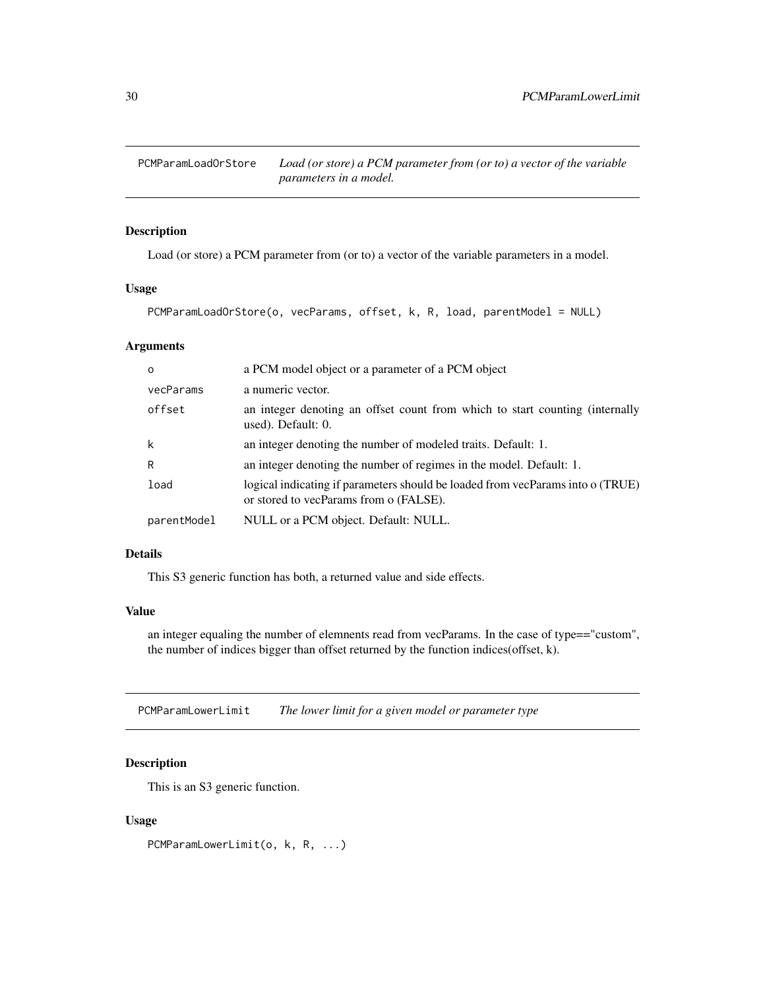<span id="page-29-0"></span>

#### Description

Load (or store) a PCM parameter from (or to) a vector of the variable parameters in a model.

### Usage

PCMParamLoadOrStore(o, vecParams, offset, k, R, load, parentModel = NULL)

#### Arguments

| $\Omega$    | a PCM model object or a parameter of a PCM object                                                                        |
|-------------|--------------------------------------------------------------------------------------------------------------------------|
| vecParams   | a numeric vector.                                                                                                        |
| offset      | an integer denoting an offset count from which to start counting (internally<br>used). Default: 0.                       |
| k           | an integer denoting the number of modeled traits. Default: 1.                                                            |
| R           | an integer denoting the number of regimes in the model. Default: 1.                                                      |
| load        | logical indicating if parameters should be loaded from vecParams into o (TRUE)<br>or stored to vecParams from o (FALSE). |
| parentModel | NULL or a PCM object. Default: NULL.                                                                                     |

#### Details

This S3 generic function has both, a returned value and side effects.

#### Value

an integer equaling the number of elemnents read from vecParams. In the case of type=="custom", the number of indices bigger than offset returned by the function indices(offset, k).

PCMParamLowerLimit *The lower limit for a given model or parameter type*

### Description

This is an S3 generic function.

#### Usage

PCMParamLowerLimit(o, k, R, ...)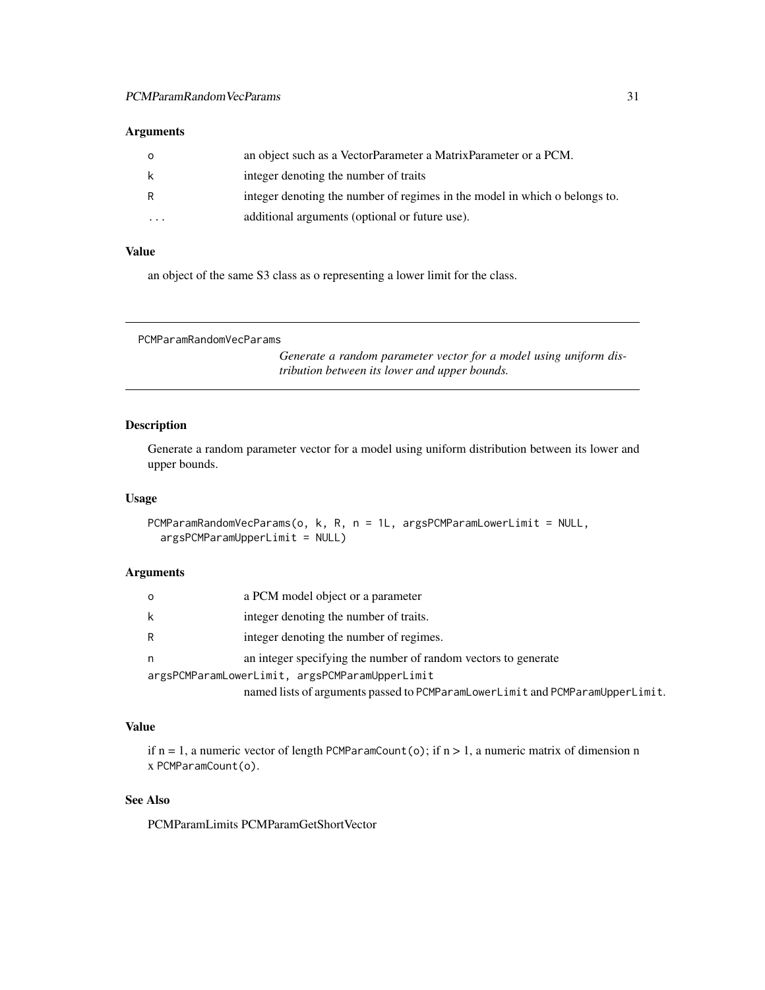### <span id="page-30-0"></span>Arguments

| $\Omega$ | an object such as a VectorParameter a MatrixParameter or a PCM.            |
|----------|----------------------------------------------------------------------------|
| k        | integer denoting the number of traits                                      |
| R        | integer denoting the number of regimes in the model in which o belongs to. |
| $\cdots$ | additional arguments (optional or future use).                             |

### Value

an object of the same S3 class as o representing a lower limit for the class.

PCMParamRandomVecParams

*Generate a random parameter vector for a model using uniform distribution between its lower and upper bounds.*

### Description

Generate a random parameter vector for a model using uniform distribution between its lower and upper bounds.

#### Usage

```
PCMParamRandomVecParams(o, k, R, n = 1L, argsPCMParamLowerLimit = NULL,
  argsPCMParamUpperLimit = NULL)
```
### Arguments

| O | a PCM model object or a parameter                                             |
|---|-------------------------------------------------------------------------------|
| k | integer denoting the number of traits.                                        |
| R | integer denoting the number of regimes.                                       |
| n | an integer specifying the number of random vectors to generate                |
|   | argsPCMParamLowerLimit, argsPCMParamUpperLimit                                |
|   | named lists of arguments passed to PCMParamLowerLimit and PCMParamUpperLimit. |

#### Value

if  $n = 1$ , a numeric vector of length PCMParamCount(o); if  $n > 1$ , a numeric matrix of dimension n x PCMParamCount(o).

### See Also

PCMParamLimits PCMParamGetShortVector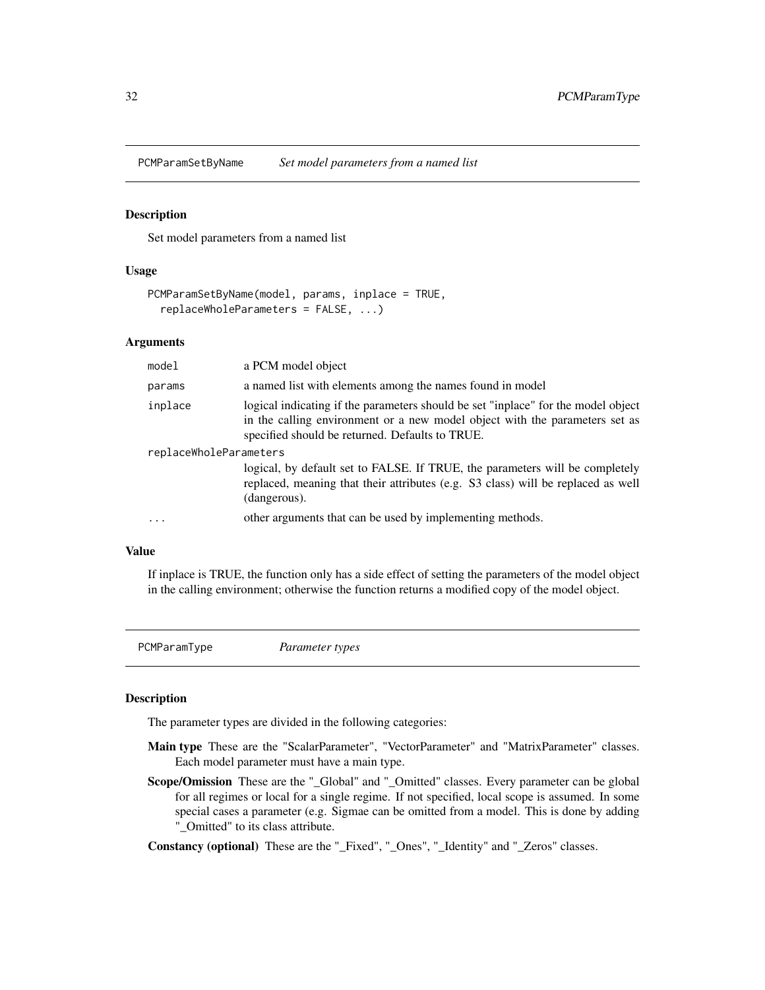<span id="page-31-0"></span>

#### Description

Set model parameters from a named list

#### Usage

```
PCMParamSetByName(model, params, inplace = TRUE,
  replaceWholeParameters = FALSE, ...)
```
#### Arguments

| model                  | a PCM model object                                                                                                                                                                                                  |
|------------------------|---------------------------------------------------------------------------------------------------------------------------------------------------------------------------------------------------------------------|
| params                 | a named list with elements among the names found in model                                                                                                                                                           |
| inplace                | logical indicating if the parameters should be set "inplace" for the model object<br>in the calling environment or a new model object with the parameters set as<br>specified should be returned. Defaults to TRUE. |
| replaceWholeParameters |                                                                                                                                                                                                                     |
|                        | logical, by default set to FALSE. If TRUE, the parameters will be completely<br>replaced, meaning that their attributes (e.g. S3 class) will be replaced as well<br>(dangerous).                                    |
| $\cdot$                | other arguments that can be used by implementing methods.                                                                                                                                                           |

#### Value

If inplace is TRUE, the function only has a side effect of setting the parameters of the model object in the calling environment; otherwise the function returns a modified copy of the model object.

PCMParamType *Parameter types*

#### <span id="page-31-1"></span>Description

The parameter types are divided in the following categories:

- Main type These are the "ScalarParameter", "VectorParameter" and "MatrixParameter" classes. Each model parameter must have a main type.
- Scope/Omission These are the "\_Global" and "\_Omitted" classes. Every parameter can be global for all regimes or local for a single regime. If not specified, local scope is assumed. In some special cases a parameter (e.g. Sigmae can be omitted from a model. This is done by adding "\_Omitted" to its class attribute.

Constancy (optional) These are the "\_Fixed", "\_Ones", "\_Identity" and "\_Zeros" classes.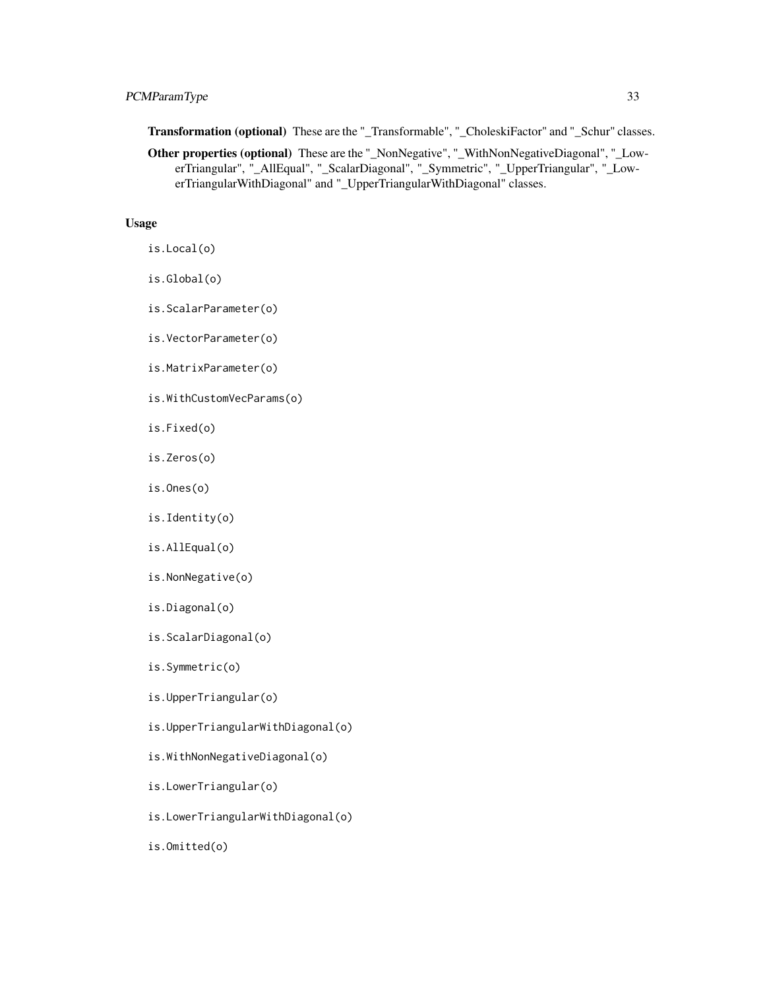### PCMParamType 33

Transformation (optional) These are the "\_Transformable", "\_CholeskiFactor" and "\_Schur" classes.

Other properties (optional) These are the "\_NonNegative", "\_WithNonNegativeDiagonal", "\_LowerTriangular", "\_AllEqual", "\_ScalarDiagonal", "\_Symmetric", "\_UpperTriangular", "\_LowerTriangularWithDiagonal" and "\_UpperTriangularWithDiagonal" classes.

#### Usage

is.Local(o)

- is.Global(o)
- is.ScalarParameter(o)
- is.VectorParameter(o)
- is.MatrixParameter(o)
- is.WithCustomVecParams(o)
- is.Fixed(o)
- is.Zeros(o)
- is.Ones(o)
- is.Identity(o)
- is.AllEqual(o)
- is.NonNegative(o)
- is.Diagonal(o)
- is.ScalarDiagonal(o)
- is.Symmetric(o)
- is.UpperTriangular(o)
- is.UpperTriangularWithDiagonal(o)
- is.WithNonNegativeDiagonal(o)
- is.LowerTriangular(o)
- is.LowerTriangularWithDiagonal(o)

is.Omitted(o)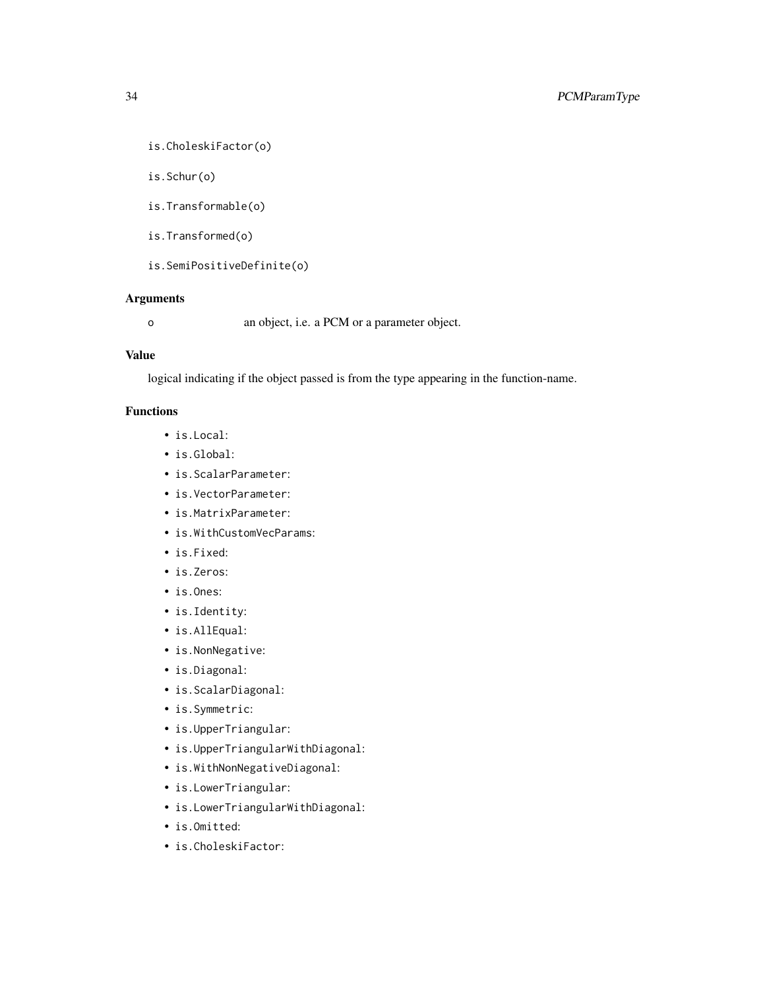```
is.CholeskiFactor(o)
```
is.Schur(o)

is.Transformable(o)

is.Transformed(o)

is.SemiPositiveDefinite(o)

### Arguments

o an object, i.e. a PCM or a parameter object.

### Value

logical indicating if the object passed is from the type appearing in the function-name.

### Functions

- is.Local:
- is.Global:
- is.ScalarParameter:
- is.VectorParameter:
- is.MatrixParameter:
- is.WithCustomVecParams:
- is.Fixed:
- is.Zeros:
- is.Ones:
- is.Identity:
- is.AllEqual:
- is.NonNegative:
- is.Diagonal:
- is.ScalarDiagonal:
- is.Symmetric:
- is.UpperTriangular:
- is.UpperTriangularWithDiagonal:
- is.WithNonNegativeDiagonal:
- is.LowerTriangular:
- is.LowerTriangularWithDiagonal:
- is.Omitted:
- is.CholeskiFactor: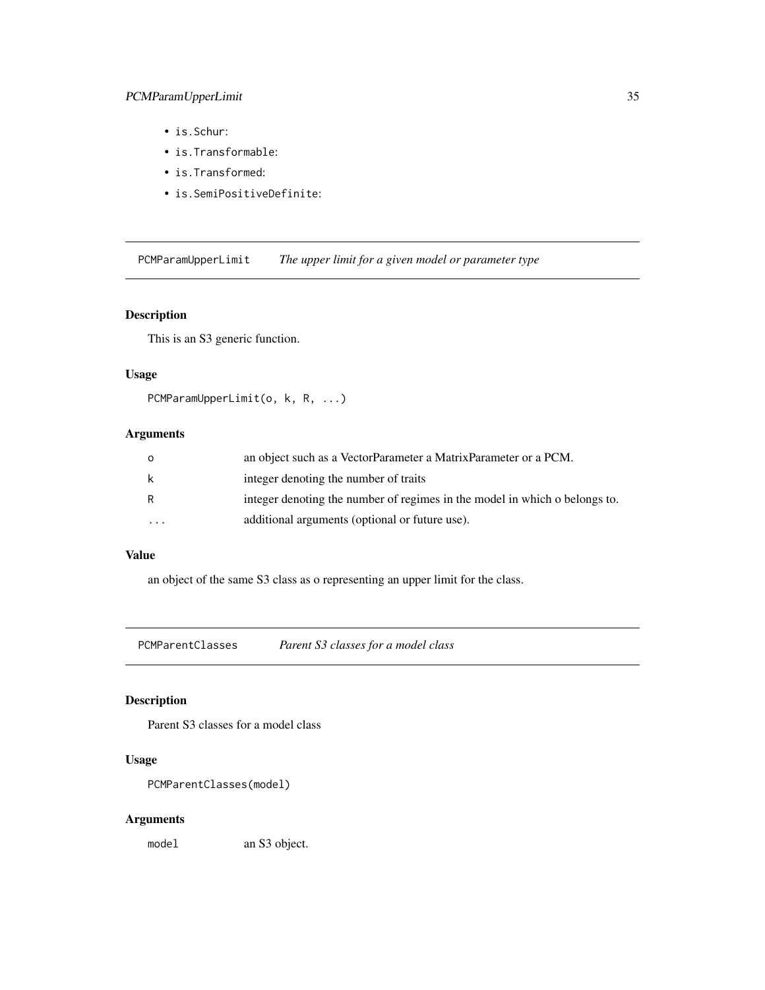- <span id="page-34-0"></span>• is.Schur:
- is.Transformable:
- is.Transformed:
- is.SemiPositiveDefinite:

PCMParamUpperLimit *The upper limit for a given model or parameter type*

### Description

This is an S3 generic function.

#### Usage

```
PCMParamUpperLimit(o, k, R, ...)
```
### Arguments

| $\circ$              | an object such as a VectorParameter a MatrixParameter or a PCM.            |
|----------------------|----------------------------------------------------------------------------|
| -k                   | integer denoting the number of traits                                      |
| -R                   | integer denoting the number of regimes in the model in which o belongs to. |
| $\ddot{\phantom{0}}$ | additional arguments (optional or future use).                             |

### Value

an object of the same S3 class as o representing an upper limit for the class.

PCMParentClasses *Parent S3 classes for a model class*

### Description

Parent S3 classes for a model class

### Usage

```
PCMParentClasses(model)
```
#### Arguments

model an S3 object.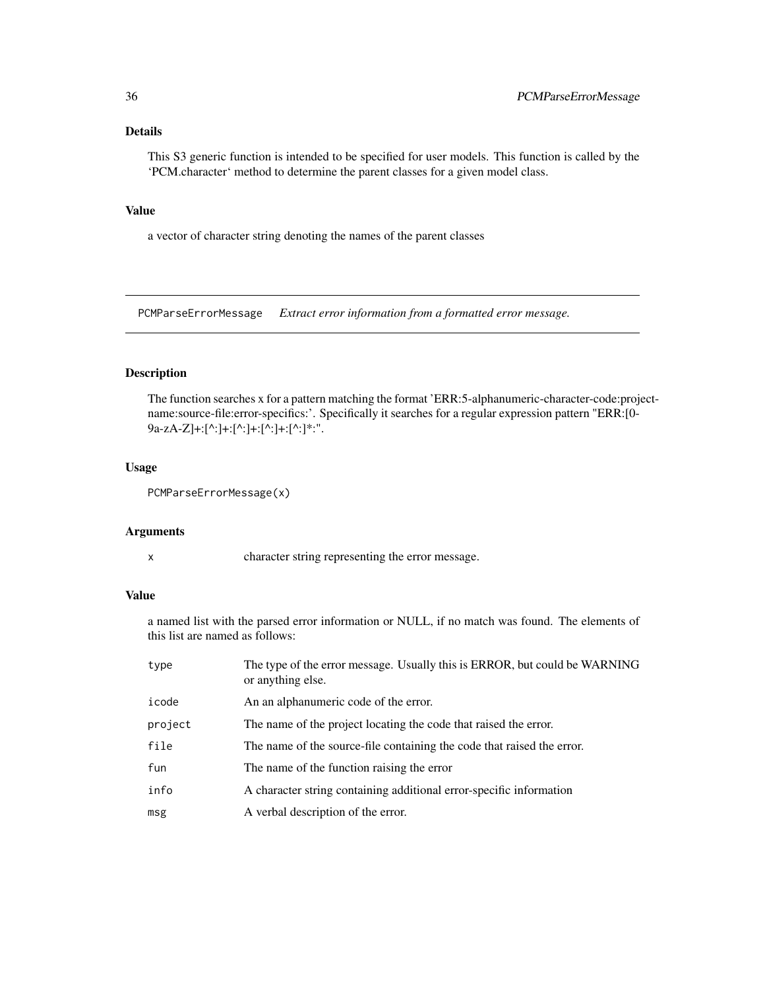### <span id="page-35-0"></span>Details

This S3 generic function is intended to be specified for user models. This function is called by the 'PCM.character' method to determine the parent classes for a given model class.

#### Value

a vector of character string denoting the names of the parent classes

<span id="page-35-1"></span>PCMParseErrorMessage *Extract error information from a formatted error message.*

#### Description

The function searches x for a pattern matching the format 'ERR:5-alphanumeric-character-code:projectname:source-file:error-specifics:'. Specifically it searches for a regular expression pattern "ERR:[0- 9a-zA-Z]+:[^:]+:[^:]+:[^:]+:[^:]\*:".

#### Usage

```
PCMParseErrorMessage(x)
```
#### Arguments

x character string representing the error message.

### Value

a named list with the parsed error information or NULL, if no match was found. The elements of this list are named as follows:

| type    | The type of the error message. Usually this is ERROR, but could be WARNING<br>or anything else. |
|---------|-------------------------------------------------------------------------------------------------|
| icode   | An an alphanumeric code of the error.                                                           |
| project | The name of the project locating the code that raised the error.                                |
| file    | The name of the source-file containing the code that raised the error.                          |
| fun     | The name of the function raising the error                                                      |
| info    | A character string containing additional error-specific information                             |
| msg     | A verbal description of the error.                                                              |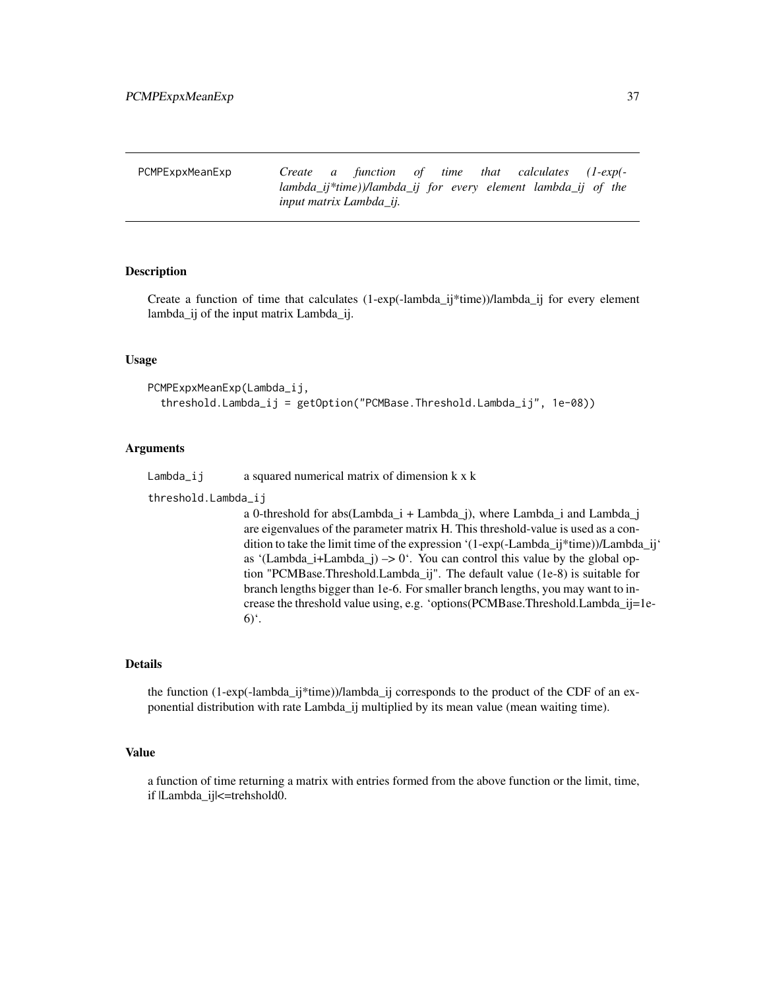<span id="page-36-1"></span><span id="page-36-0"></span>PCMPExpxMeanExp *Create a function of time that calculates (1-exp( lambda\_ij\*time))/lambda\_ij for every element lambda\_ij of the input matrix Lambda\_ij.*

#### Description

Create a function of time that calculates  $(1-exp(-lambda_i)*time))/lambda_i$  if for every element lambda\_ij of the input matrix Lambda\_ij.

#### Usage

```
PCMPExpxMeanExp(Lambda_ij,
  threshold.Lambda_ij = getOption("PCMBase.Threshold.Lambda_ij", 1e-08))
```
#### Arguments

Lambda<sub>l</sub> i a squared numerical matrix of dimension  $k \times k$ 

threshold.Lambda\_ij

a 0-threshold for abs(Lambda\_i + Lambda\_j), where Lambda\_i and Lambda\_j are eigenvalues of the parameter matrix H. This threshold-value is used as a condition to take the limit time of the expression '(1-exp(-Lambda\_ij\*time))/Lambda\_ij' as '(Lambda\_i+Lambda\_j)  $\rightarrow$  0'. You can control this value by the global option "PCMBase.Threshold.Lambda\_ij". The default value (1e-8) is suitable for branch lengths bigger than 1e-6. For smaller branch lengths, you may want to increase the threshold value using, e.g. 'options(PCMBase.Threshold.Lambda\_ij=1e- $6)$ <sup>c</sup>.

#### Details

the function (1-exp(-lambda\_ij\*time))/lambda\_ij corresponds to the product of the CDF of an exponential distribution with rate Lambda\_ij multiplied by its mean value (mean waiting time).

#### Value

a function of time returning a matrix with entries formed from the above function or the limit, time, if |Lambda\_ij|<=trehshold0.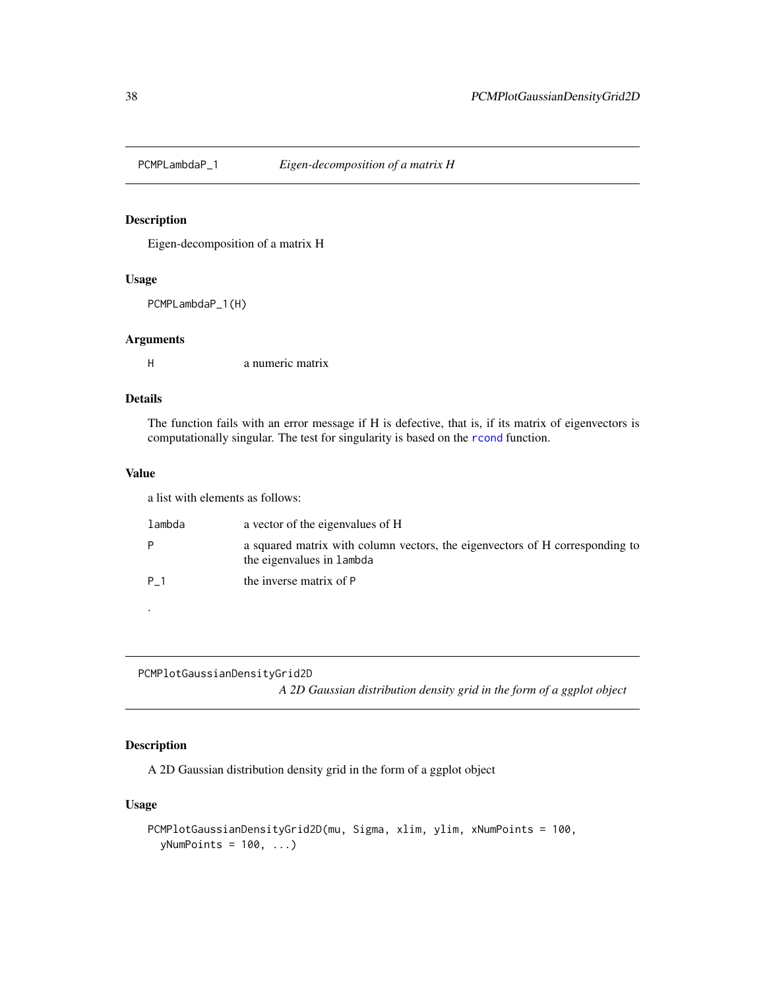<span id="page-37-0"></span>

### Description

Eigen-decomposition of a matrix H

#### Usage

PCMPLambdaP\_1(H)

#### Arguments

H a numeric matrix

### Details

The function fails with an error message if H is defective, that is, if its matrix of eigenvectors is computationally singular. The test for singularity is based on the [rcond](#page-0-0) function.

#### Value

a list with elements as follows:

| lambda | a vector of the eigenvalues of H                                                                          |
|--------|-----------------------------------------------------------------------------------------------------------|
|        | a squared matrix with column vectors, the eigenvectors of H corresponding to<br>the eigenvalues in lambda |
| P 1    | the inverse matrix of P                                                                                   |
|        |                                                                                                           |

PCMPlotGaussianDensityGrid2D

*A 2D Gaussian distribution density grid in the form of a ggplot object*

### Description

A 2D Gaussian distribution density grid in the form of a ggplot object

### Usage

```
PCMPlotGaussianDensityGrid2D(mu, Sigma, xlim, ylim, xNumPoints = 100,
  yNumPoints = 100, ...)
```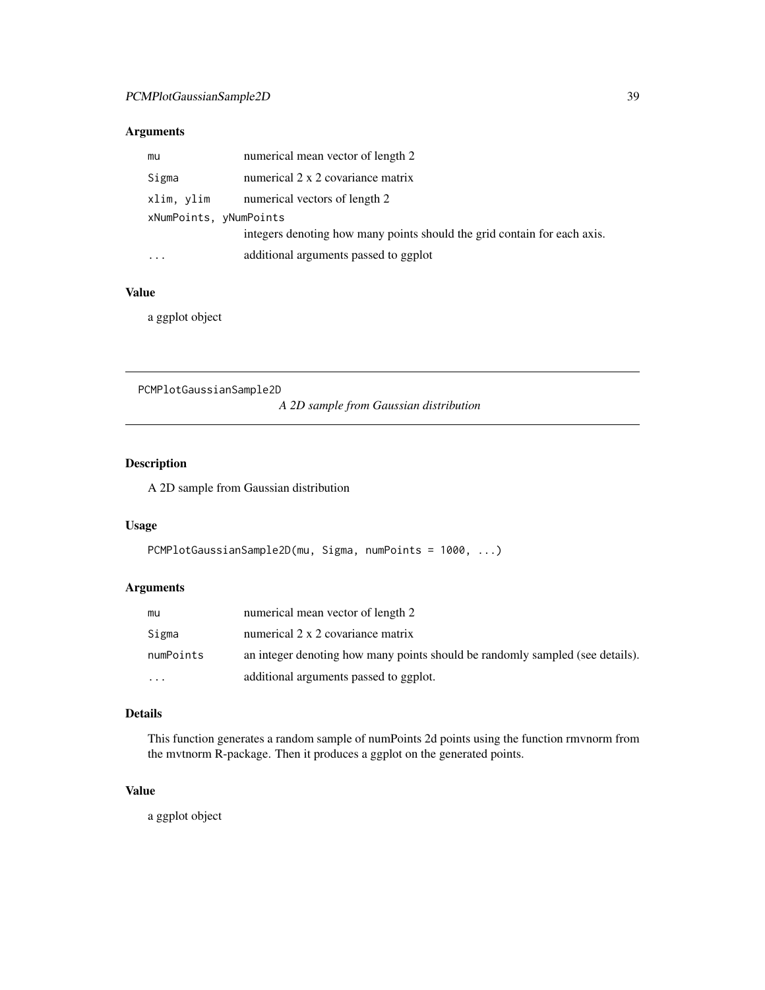#### <span id="page-38-0"></span>Arguments

| mu                     | numerical mean vector of length 2                                        |
|------------------------|--------------------------------------------------------------------------|
| Sigma                  | numerical 2 x 2 covariance matrix                                        |
| xlim, ylim             | numerical vectors of length 2                                            |
| xNumPoints, yNumPoints |                                                                          |
|                        | integers denoting how many points should the grid contain for each axis. |
|                        | additional arguments passed to ggplot                                    |

### Value

a ggplot object

PCMPlotGaussianSample2D

*A 2D sample from Gaussian distribution*

### Description

A 2D sample from Gaussian distribution

### Usage

```
PCMPlotGaussianSample2D(mu, Sigma, numPoints = 1000, ...)
```
### Arguments

| mu        | numerical mean vector of length 2                                             |
|-----------|-------------------------------------------------------------------------------|
| Sigma     | numerical 2 x 2 covariance matrix                                             |
| numPoints | an integer denoting how many points should be randomly sampled (see details). |
| $\cdots$  | additional arguments passed to ggplot.                                        |

#### Details

This function generates a random sample of numPoints 2d points using the function rmvnorm from the mvtnorm R-package. Then it produces a ggplot on the generated points.

### Value

a ggplot object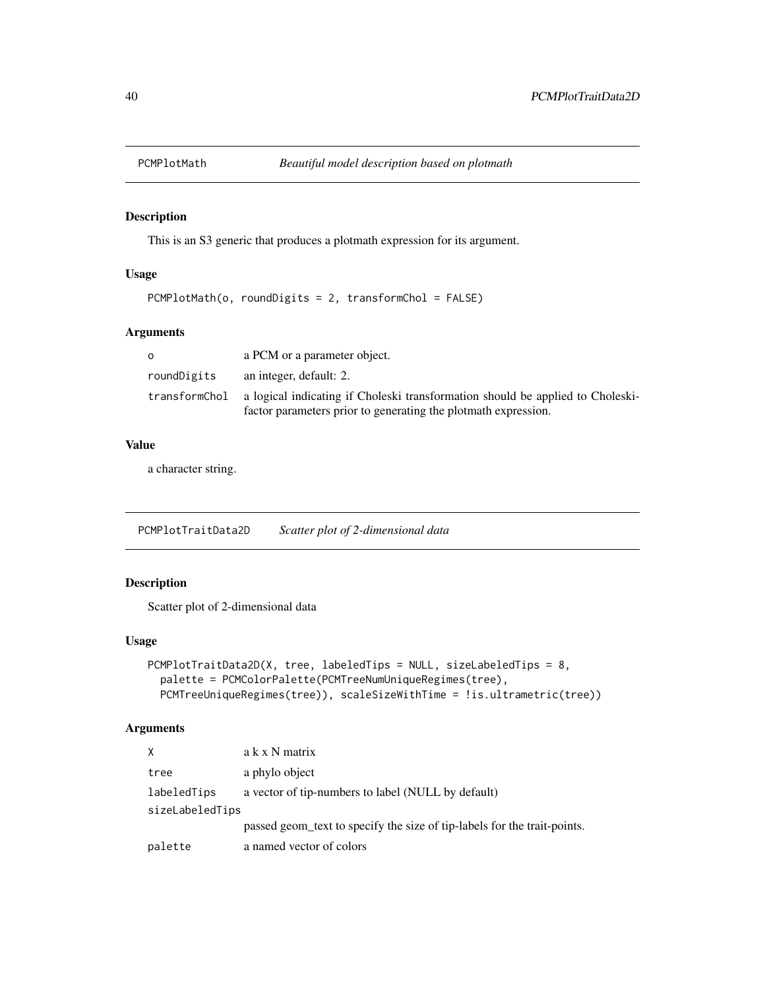<span id="page-39-0"></span>

### Description

This is an S3 generic that produces a plotmath expression for its argument.

### Usage

```
PCMPlotMath(o, roundDigits = 2, transformChol = FALSE)
```
#### Arguments

| റ             | a PCM or a parameter object.                                                  |
|---------------|-------------------------------------------------------------------------------|
| roundDigits   | an integer, default: 2.                                                       |
| transformChol | a logical indicating if Choleski transformation should be applied to Choleski |
|               | factor parameters prior to generating the plotmath expression.                |

#### Value

a character string.

PCMPlotTraitData2D *Scatter plot of 2-dimensional data*

### Description

Scatter plot of 2-dimensional data

### Usage

```
PCMPlotTraitData2D(X, tree, labeledTips = NULL, sizeLabeledTips = 8,
  palette = PCMColorPalette(PCMTreeNumUniqueRegimes(tree),
 PCMTreeUniqueRegimes(tree)), scaleSizeWithTime = !is.ultrametric(tree))
```
### Arguments

| X               | a k x N matrix                                                           |
|-----------------|--------------------------------------------------------------------------|
| tree            | a phylo object                                                           |
| labeledTips     | a vector of tip-numbers to label (NULL by default)                       |
| sizeLabeledTips |                                                                          |
|                 | passed geom_text to specify the size of tip-labels for the trait-points. |
| palette         | a named vector of colors                                                 |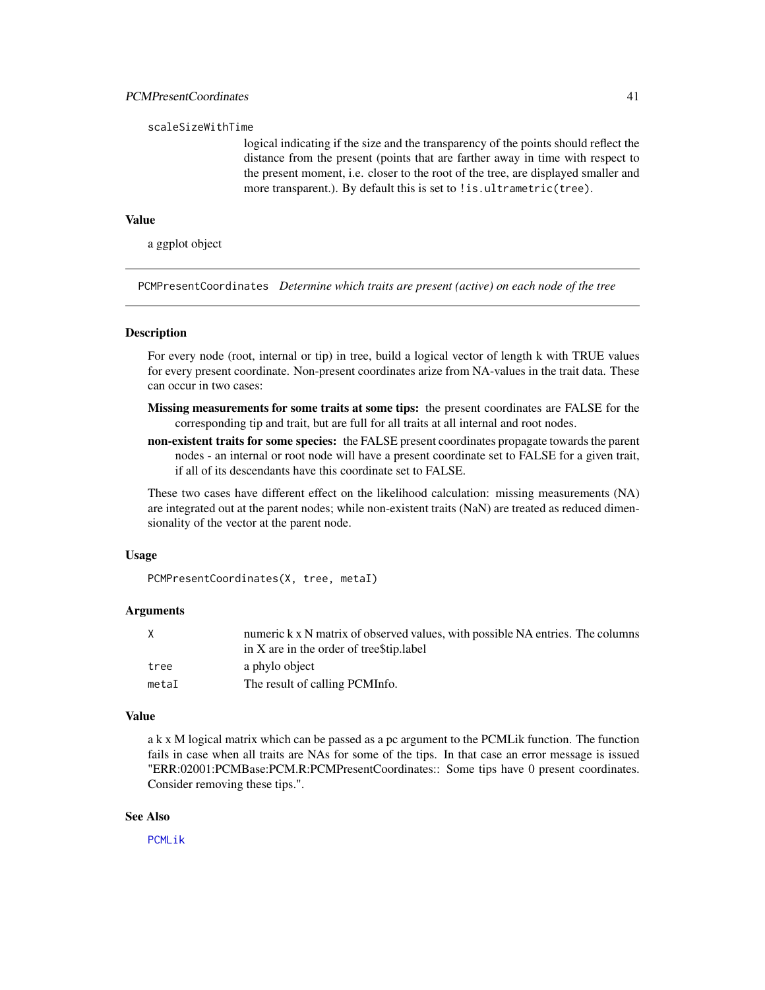#### <span id="page-40-0"></span>scaleSizeWithTime

logical indicating if the size and the transparency of the points should reflect the distance from the present (points that are farther away in time with respect to the present moment, i.e. closer to the root of the tree, are displayed smaller and more transparent.). By default this is set to ! is.ultrametric(tree).

### Value

a ggplot object

<span id="page-40-1"></span>PCMPresentCoordinates *Determine which traits are present (active) on each node of the tree*

#### **Description**

For every node (root, internal or tip) in tree, build a logical vector of length k with TRUE values for every present coordinate. Non-present coordinates arize from NA-values in the trait data. These can occur in two cases:

- Missing measurements for some traits at some tips: the present coordinates are FALSE for the corresponding tip and trait, but are full for all traits at all internal and root nodes.
- non-existent traits for some species: the FALSE present coordinates propagate towards the parent nodes - an internal or root node will have a present coordinate set to FALSE for a given trait, if all of its descendants have this coordinate set to FALSE.

These two cases have different effect on the likelihood calculation: missing measurements (NA) are integrated out at the parent nodes; while non-existent traits (NaN) are treated as reduced dimensionality of the vector at the parent node.

#### Usage

PCMPresentCoordinates(X, tree, metaI)

### Arguments

| X     | numeric k x N matrix of observed values, with possible NA entries. The columns |
|-------|--------------------------------------------------------------------------------|
|       | in X are in the order of treestip. label                                       |
| tree  | a phylo object                                                                 |
| metaI | The result of calling PCMInfo.                                                 |

#### Value

a k x M logical matrix which can be passed as a pc argument to the PCMLik function. The function fails in case when all traits are NAs for some of the tips. In that case an error message is issued "ERR:02001:PCMBase:PCM.R:PCMPresentCoordinates:: Some tips have 0 present coordinates. Consider removing these tips.".

#### See Also

[PCMLik](#page-18-1)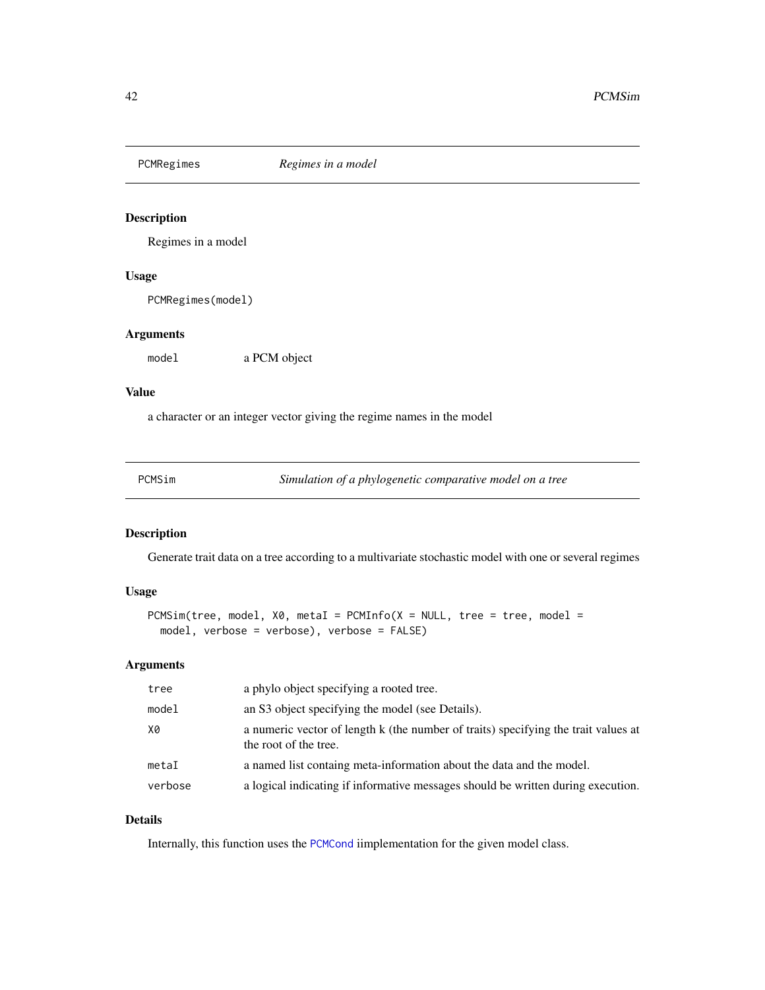<span id="page-41-0"></span>

### Description

Regimes in a model

### Usage

PCMRegimes(model)

### Arguments

model a PCM object

#### Value

a character or an integer vector giving the regime names in the model

<span id="page-41-1"></span>

| PCMSim |
|--------|
|--------|

Simulation of a phylogenetic comparative model on a tree

### **Description**

Generate trait data on a tree according to a multivariate stochastic model with one or several regimes

### Usage

```
PCMSim(tree, model, X0, metal = PCMInfo(X = NULL, tree = tree, model =model, verbose = verbose), verbose = FALSE)
```
#### Arguments

| tree    | a phylo object specifying a rooted tree.                                                                    |
|---------|-------------------------------------------------------------------------------------------------------------|
| model   | an S3 object specifying the model (see Details).                                                            |
| X0      | a numeric vector of length k (the number of traits) specifying the trait values at<br>the root of the tree. |
| metaI   | a named list containg meta-information about the data and the model.                                        |
| verbose | a logical indicating if informative messages should be written during execution.                            |

### Details

Internally, this function uses the [PCMCond](#page-10-1) iimplementation for the given model class.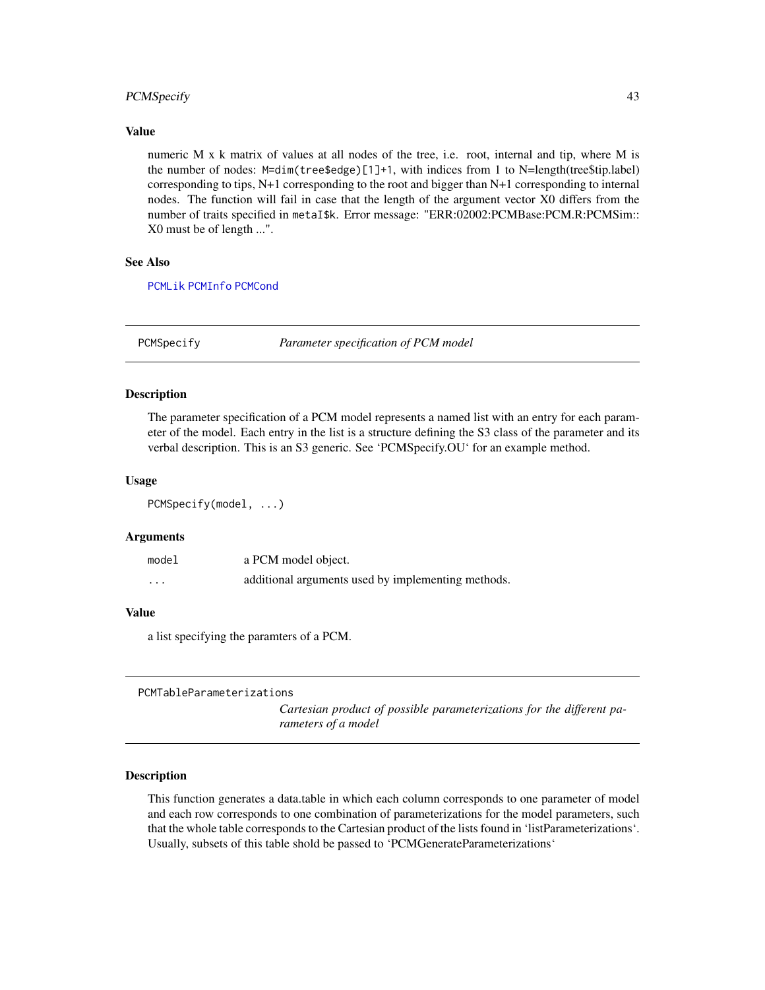### <span id="page-42-0"></span>PCMSpecify 43

#### Value

numeric M x k matrix of values at all nodes of the tree, i.e. root, internal and tip, where M is the number of nodes: M=dim(tree\$edge)[1]+1, with indices from 1 to N=length(tree\$tip.label) corresponding to tips, N+1 corresponding to the root and bigger than N+1 corresponding to internal nodes. The function will fail in case that the length of the argument vector X0 differs from the number of traits specified in metaI\$k. Error message: "ERR:02002:PCMBase:PCM.R:PCMSim:: X0 must be of length ...".

### See Also

[PCMLik](#page-18-1) [PCMInfo](#page-17-1) [PCMCond](#page-10-1)

<span id="page-42-1"></span>PCMSpecify *Parameter specification of PCM model*

#### Description

The parameter specification of a PCM model represents a named list with an entry for each parameter of the model. Each entry in the list is a structure defining the S3 class of the parameter and its verbal description. This is an S3 generic. See 'PCMSpecify.OU' for an example method.

#### Usage

PCMSpecify(model, ...)

#### Arguments

| model    | a PCM model object.                                |
|----------|----------------------------------------------------|
| $\cdots$ | additional arguments used by implementing methods. |

#### Value

a list specifying the paramters of a PCM.

PCMTableParameterizations

*Cartesian product of possible parameterizations for the different parameters of a model*

#### **Description**

This function generates a data.table in which each column corresponds to one parameter of model and each row corresponds to one combination of parameterizations for the model parameters, such that the whole table corresponds to the Cartesian product of the lists found in 'listParameterizations'. Usually, subsets of this table shold be passed to 'PCMGenerateParameterizations'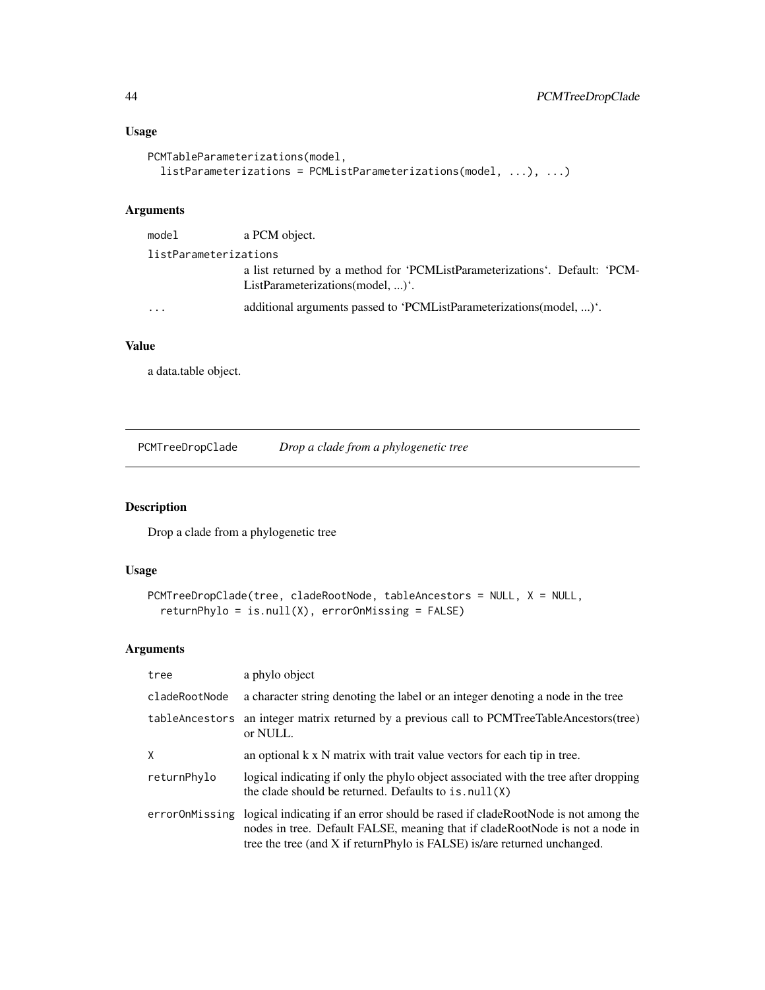### <span id="page-43-0"></span>Usage

```
PCMTableParameterizations(model,
  listParameterizations = PCMListParameterizations(model, ...), ...)
```
### Arguments

| model                 | a PCM object.                                                              |  |
|-----------------------|----------------------------------------------------------------------------|--|
| listParameterizations |                                                                            |  |
|                       | a list returned by a method for 'PCMListParameterizations'. Default: 'PCM- |  |
|                       | ListParameterizations(model, )'.                                           |  |
| .                     | additional arguments passed to 'PCMListParameterizations(model, )'.        |  |
|                       |                                                                            |  |

### Value

a data.table object.

PCMTreeDropClade *Drop a clade from a phylogenetic tree*

### Description

Drop a clade from a phylogenetic tree

### Usage

```
PCMTreeDropClade(tree, cladeRootNode, tableAncestors = NULL, X = NULL,
  returnPhylo = is.null(X), errorOnMissing = FALSE)
```
### Arguments

| tree           | a phylo object                                                                                                                                                                                                                               |
|----------------|----------------------------------------------------------------------------------------------------------------------------------------------------------------------------------------------------------------------------------------------|
| cladeRootNode  | a character string denoting the label or an integer denoting a node in the tree                                                                                                                                                              |
| tableAncestors | an integer matrix returned by a previous call to PCMTreeTableAncestors(tree)<br>or NULL.                                                                                                                                                     |
| X              | an optional $k \times N$ matrix with trait value vectors for each tip in tree.                                                                                                                                                               |
| returnPhylo    | logical indicating if only the phylo object associated with the tree after dropping<br>the clade should be returned. Defaults to $is .null(X)$                                                                                               |
| errorOnMissing | logical indicating if an error should be rased if cladeRootNode is not among the<br>nodes in tree. Default FALSE, meaning that if cladeRootNode is not a node in<br>tree the tree (and X if returnPhylo is FALSE) is/are returned unchanged. |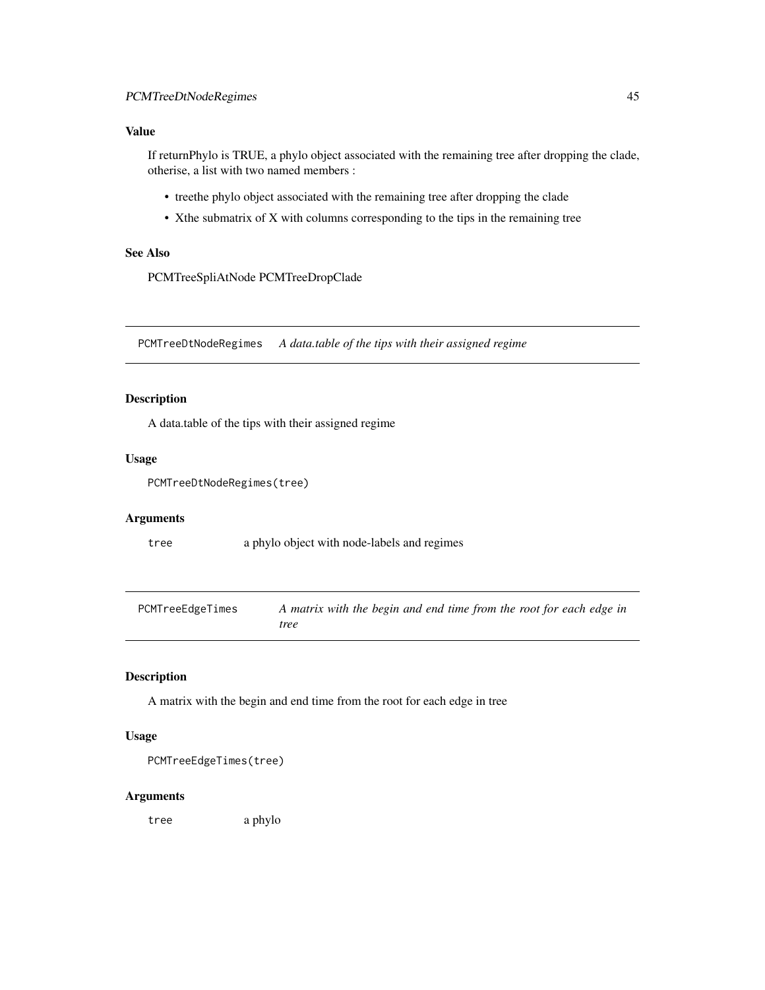### <span id="page-44-0"></span>Value

If returnPhylo is TRUE, a phylo object associated with the remaining tree after dropping the clade, otherise, a list with two named members :

- treethe phylo object associated with the remaining tree after dropping the clade
- Xthe submatrix of X with columns corresponding to the tips in the remaining tree

### See Also

PCMTreeSpliAtNode PCMTreeDropClade

PCMTreeDtNodeRegimes *A data.table of the tips with their assigned regime*

### Description

A data.table of the tips with their assigned regime

#### Usage

```
PCMTreeDtNodeRegimes(tree)
```
#### Arguments

tree a phylo object with node-labels and regimes

<span id="page-44-1"></span>

| PCMTreeEdgeTimes | A matrix with the begin and end time from the root for each edge in |
|------------------|---------------------------------------------------------------------|
|                  | tree                                                                |

#### Description

A matrix with the begin and end time from the root for each edge in tree

#### Usage

```
PCMTreeEdgeTimes(tree)
```
#### Arguments

tree a phylo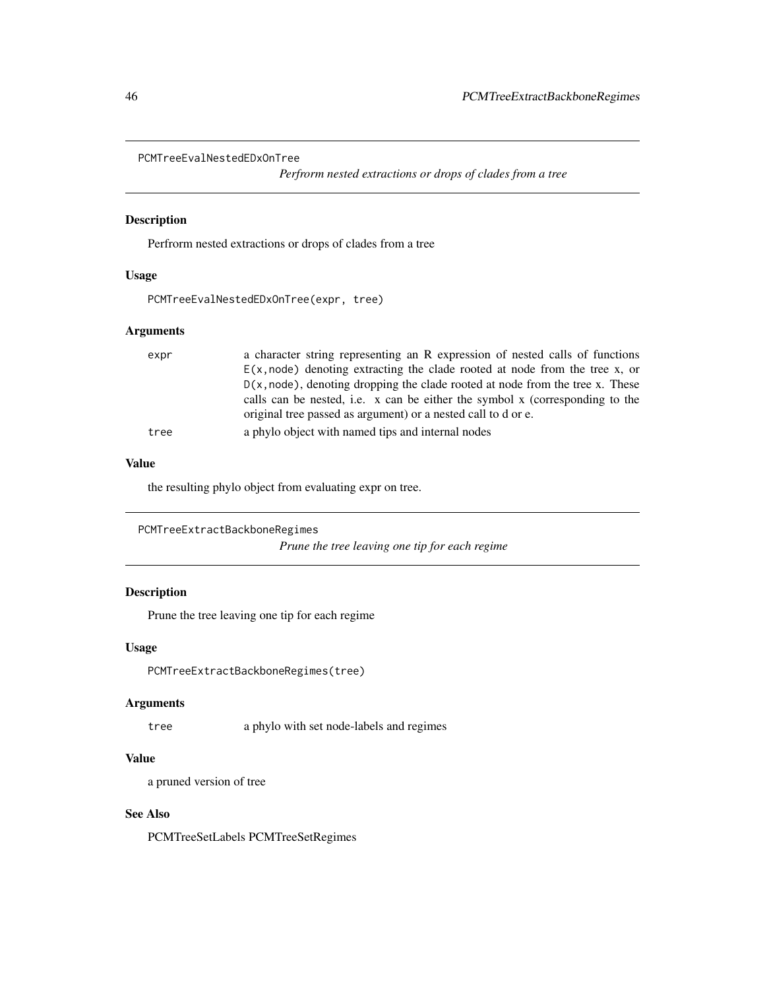```
PCMTreeEvalNestedEDxOnTree
```
*Perfrorm nested extractions or drops of clades from a tree*

### Description

Perfrorm nested extractions or drops of clades from a tree

### Usage

```
PCMTreeEvalNestedEDxOnTree(expr, tree)
```
### Arguments

| expr | a character string representing an R expression of nested calls of functions     |
|------|----------------------------------------------------------------------------------|
|      | $E(x, node)$ denoting extracting the clade rooted at node from the tree x, or    |
|      | $D(x, node)$ , denoting dropping the clade rooted at node from the tree x. These |
|      | calls can be nested, i.e. x can be either the symbol x (corresponding to the     |
|      | original tree passed as argument) or a nested call to d or e.                    |
| tree | a phylo object with named tips and internal nodes                                |

### Value

the resulting phylo object from evaluating expr on tree.

```
PCMTreeExtractBackboneRegimes
```
*Prune the tree leaving one tip for each regime*

### Description

Prune the tree leaving one tip for each regime

### Usage

PCMTreeExtractBackboneRegimes(tree)

#### Arguments

tree a phylo with set node-labels and regimes

### Value

a pruned version of tree

#### See Also

PCMTreeSetLabels PCMTreeSetRegimes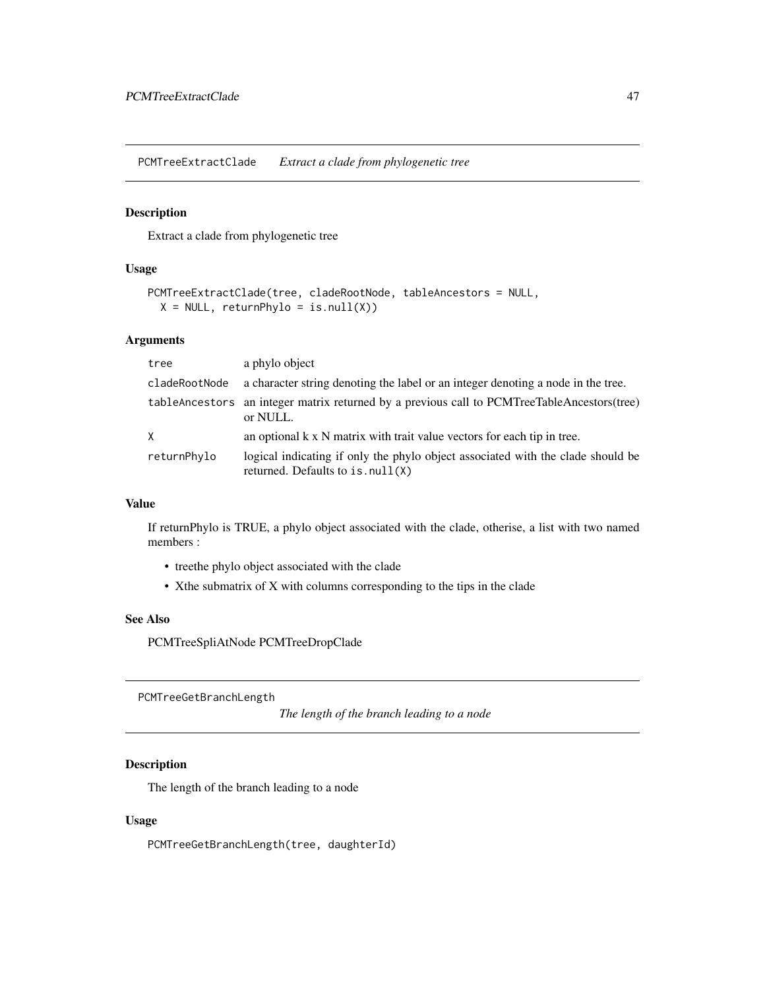<span id="page-46-0"></span>PCMTreeExtractClade *Extract a clade from phylogenetic tree*

### Description

Extract a clade from phylogenetic tree

### Usage

```
PCMTreeExtractClade(tree, cladeRootNode, tableAncestors = NULL,
 X = NULL, returnPhylo = is.null(X))
```
### Arguments

| tree          | a phylo object                                                                                                        |
|---------------|-----------------------------------------------------------------------------------------------------------------------|
| cladeRootNode | a character string denoting the label or an integer denoting a node in the tree.                                      |
|               | tableAncestors an integer matrix returned by a previous call to PCMTreeTableAncestors(tree)<br>or NULL.               |
| X             | an optional k x N matrix with trait value vectors for each tip in tree.                                               |
| returnPhylo   | logical indicating if only the phylo object associated with the clade should be<br>returned. Defaults to $is.null(X)$ |

#### Value

If returnPhylo is TRUE, a phylo object associated with the clade, otherise, a list with two named members :

- treethe phylo object associated with the clade
- Xthe submatrix of X with columns corresponding to the tips in the clade

### See Also

PCMTreeSpliAtNode PCMTreeDropClade

PCMTreeGetBranchLength

*The length of the branch leading to a node*

### Description

The length of the branch leading to a node

#### Usage

PCMTreeGetBranchLength(tree, daughterId)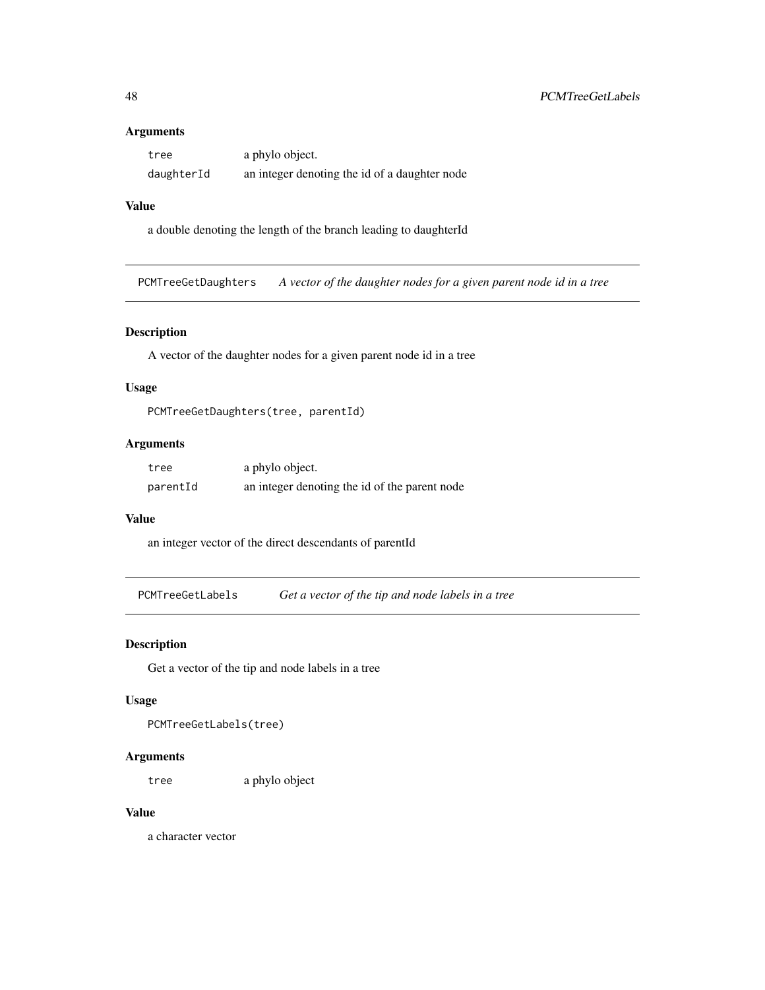#### Arguments

| tree       | a phylo object.                               |
|------------|-----------------------------------------------|
| daughterId | an integer denoting the id of a daughter node |

### Value

a double denoting the length of the branch leading to daughterId

PCMTreeGetDaughters *A vector of the daughter nodes for a given parent node id in a tree*

### Description

A vector of the daughter nodes for a given parent node id in a tree

### Usage

PCMTreeGetDaughters(tree, parentId)

### Arguments

| tree     | a phylo object.                               |
|----------|-----------------------------------------------|
| parentId | an integer denoting the id of the parent node |

#### Value

an integer vector of the direct descendants of parentId

PCMTreeGetLabels *Get a vector of the tip and node labels in a tree*

### Description

Get a vector of the tip and node labels in a tree

#### Usage

PCMTreeGetLabels(tree)

#### Arguments

tree a phylo object

#### Value

a character vector

<span id="page-47-0"></span>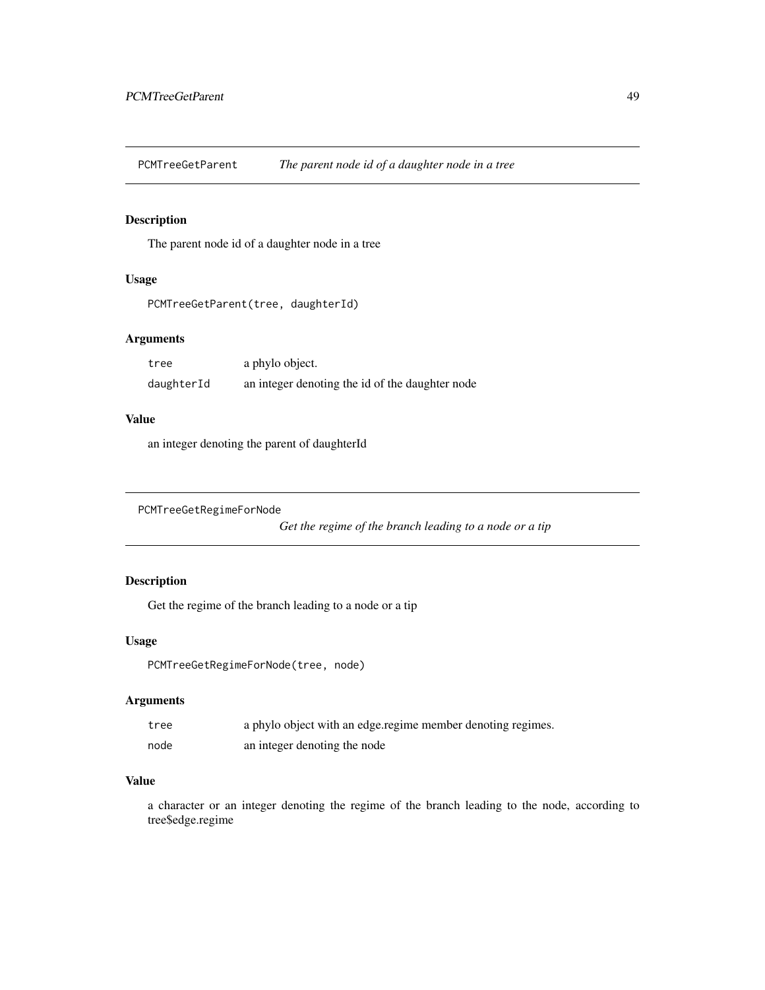<span id="page-48-0"></span>PCMTreeGetParent *The parent node id of a daughter node in a tree*

### Description

The parent node id of a daughter node in a tree

### Usage

```
PCMTreeGetParent(tree, daughterId)
```
### Arguments

| tree       | a phylo object.                                 |
|------------|-------------------------------------------------|
| daughterId | an integer denoting the id of the daughter node |

### Value

an integer denoting the parent of daughterId

```
PCMTreeGetRegimeForNode
```
*Get the regime of the branch leading to a node or a tip*

### Description

Get the regime of the branch leading to a node or a tip

#### Usage

```
PCMTreeGetRegimeForNode(tree, node)
```
### Arguments

| tree | a phylo object with an edge regime member denoting regimes. |
|------|-------------------------------------------------------------|
| node | an integer denoting the node                                |

### Value

a character or an integer denoting the regime of the branch leading to the node, according to tree\$edge.regime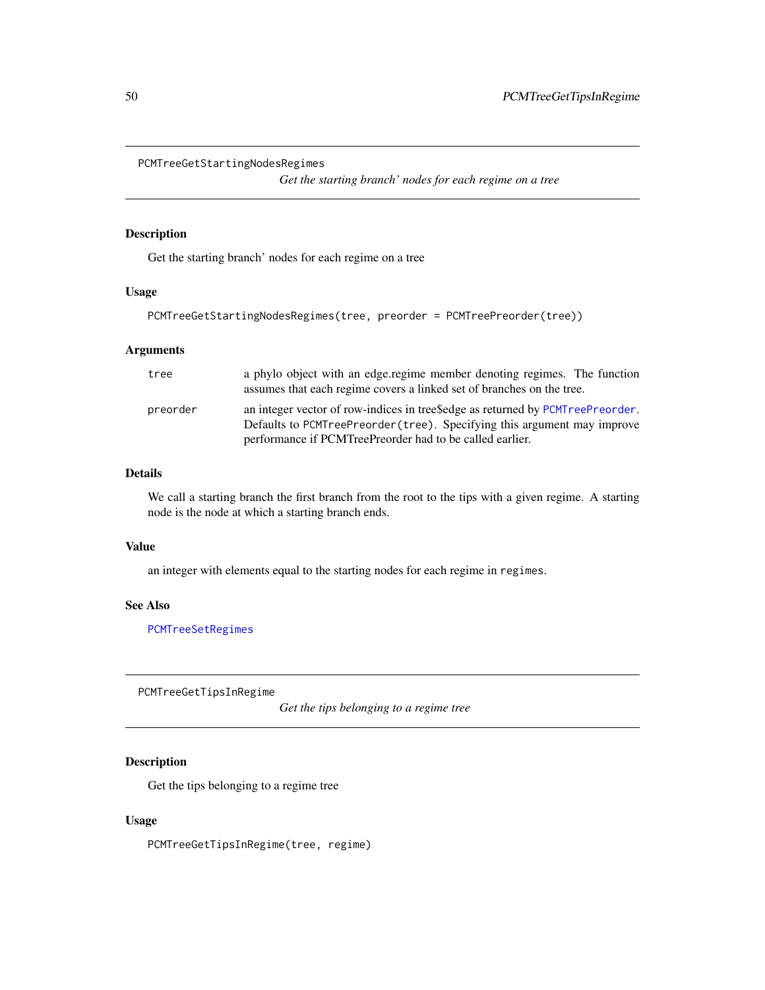<span id="page-49-1"></span><span id="page-49-0"></span>PCMTreeGetStartingNodesRegimes

*Get the starting branch' nodes for each regime on a tree*

### Description

Get the starting branch' nodes for each regime on a tree

#### Usage

```
PCMTreeGetStartingNodesRegimes(tree, preorder = PCMTreePreorder(tree))
```
### Arguments

| tree     | a phylo object with an edge regime member denoting regimes. The function<br>assumes that each regime covers a linked set of branches on the tree.                                                                      |
|----------|------------------------------------------------------------------------------------------------------------------------------------------------------------------------------------------------------------------------|
| preorder | an integer vector of row-indices in tree\$edge as returned by PCMTreePreorder.<br>Defaults to PCMTreePreorder (tree). Specifying this argument may improve<br>performance if PCMTreePreorder had to be called earlier. |

### Details

We call a starting branch the first branch from the root to the tips with a given regime. A starting node is the node at which a starting branch ends.

#### Value

an integer with elements equal to the starting nodes for each regime in regimes.

### See Also

[PCMTreeSetRegimes](#page-61-1)

PCMTreeGetTipsInRegime

*Get the tips belonging to a regime tree*

#### Description

Get the tips belonging to a regime tree

### Usage

PCMTreeGetTipsInRegime(tree, regime)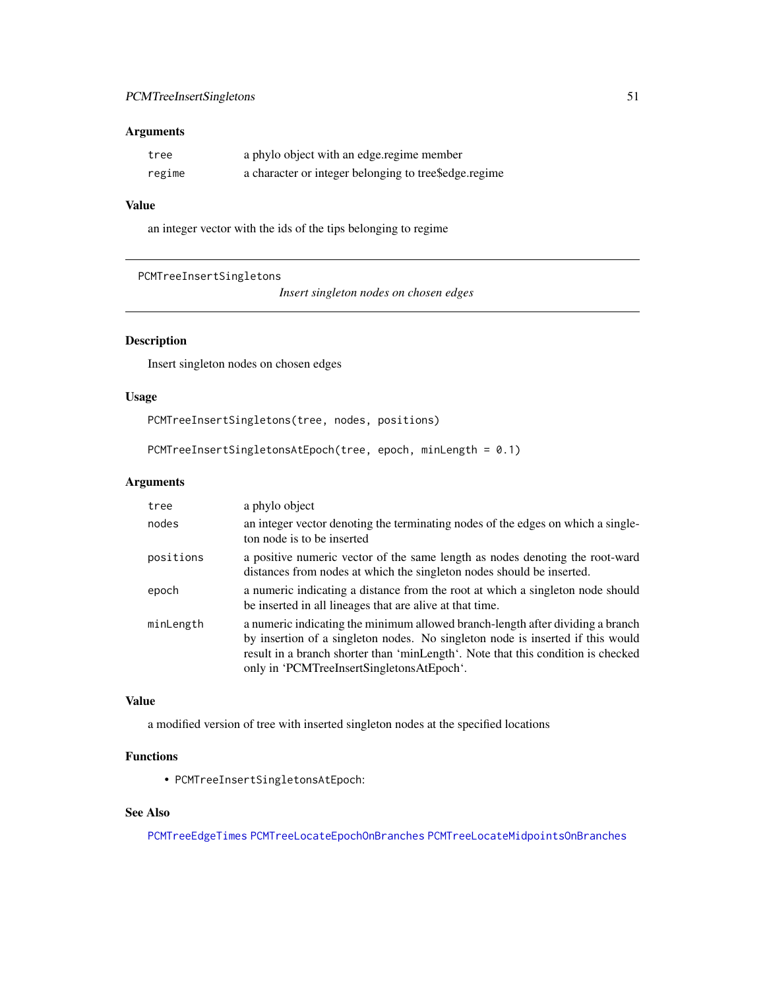### <span id="page-50-0"></span>Arguments

| tree   | a phylo object with an edge regime member             |
|--------|-------------------------------------------------------|
| regime | a character or integer belonging to tree\$edge.regime |

#### Value

an integer vector with the ids of the tips belonging to regime

```
PCMTreeInsertSingletons
```
*Insert singleton nodes on chosen edges*

### Description

Insert singleton nodes on chosen edges

#### Usage

PCMTreeInsertSingletons(tree, nodes, positions)

```
PCMTreeInsertSingletonsAtEpoch(tree, epoch, minLength = 0.1)
```
### Arguments

| tree      | a phylo object                                                                                                                                                                                                                                                                                    |
|-----------|---------------------------------------------------------------------------------------------------------------------------------------------------------------------------------------------------------------------------------------------------------------------------------------------------|
| nodes     | an integer vector denoting the terminating nodes of the edges on which a single-<br>ton node is to be inserted                                                                                                                                                                                    |
| positions | a positive numeric vector of the same length as nodes denoting the root-ward<br>distances from nodes at which the singleton nodes should be inserted.                                                                                                                                             |
| epoch     | a numeric indicating a distance from the root at which a singleton node should<br>be inserted in all lineages that are alive at that time.                                                                                                                                                        |
| minLength | a numeric indicating the minimum allowed branch-length after dividing a branch<br>by insertion of a singleton nodes. No singleton node is inserted if this would<br>result in a branch shorter than 'minLength'. Note that this condition is checked<br>only in 'PCMTreeInsertSingletonsAtEpoch'. |

### Value

a modified version of tree with inserted singleton nodes at the specified locations

### Functions

• PCMTreeInsertSingletonsAtEpoch:

### See Also

[PCMTreeEdgeTimes](#page-44-1) [PCMTreeLocateEpochOnBranches](#page-53-1) [PCMTreeLocateMidpointsOnBranches](#page-54-1)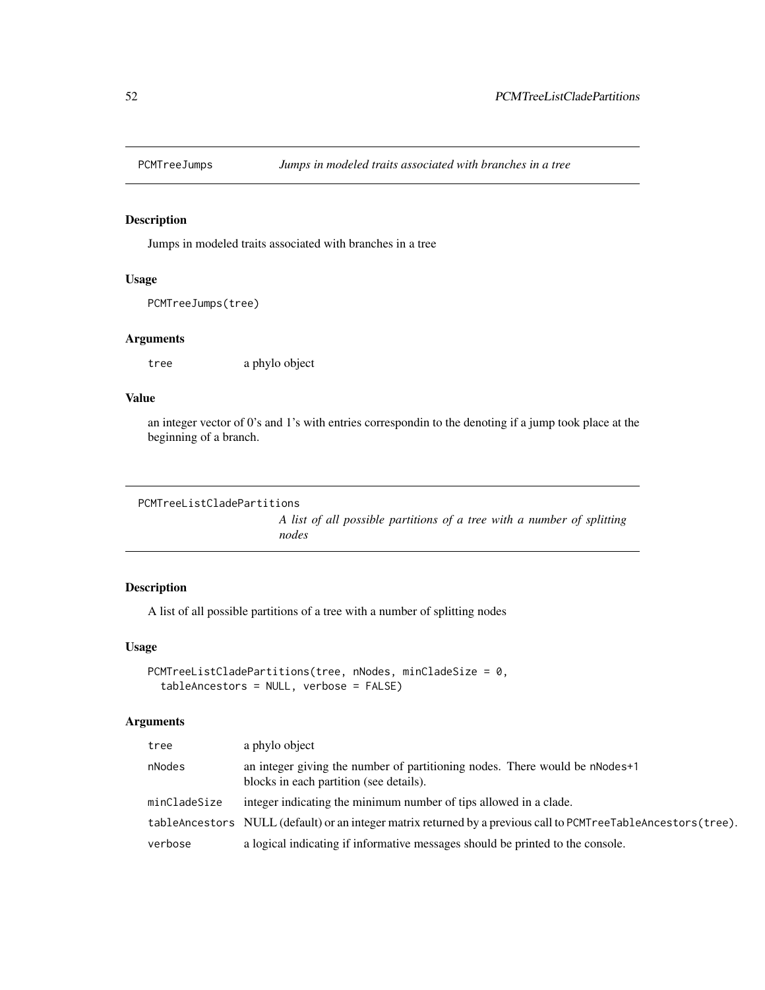<span id="page-51-0"></span>

### Description

Jumps in modeled traits associated with branches in a tree

### Usage

PCMTreeJumps(tree)

### Arguments

tree a phylo object

### Value

an integer vector of 0's and 1's with entries correspondin to the denoting if a jump took place at the beginning of a branch.

```
PCMTreeListCladePartitions
```
*A list of all possible partitions of a tree with a number of splitting nodes*

### Description

A list of all possible partitions of a tree with a number of splitting nodes

### Usage

```
PCMTreeListCladePartitions(tree, nNodes, minCladeSize = 0,
  tableAncestors = NULL, verbose = FALSE)
```
### Arguments

| tree         | a phylo object                                                                                                         |
|--------------|------------------------------------------------------------------------------------------------------------------------|
| nNodes       | an integer giving the number of partitioning nodes. There would be nNodes+1<br>blocks in each partition (see details). |
| minCladeSize | integer indicating the minimum number of tips allowed in a clade.                                                      |
|              | tableAncestors NULL (default) or an integer matrix returned by a previous call to PCMTreeTableAncestors(tree).         |
| verbose      | a logical indicating if informative messages should be printed to the console.                                         |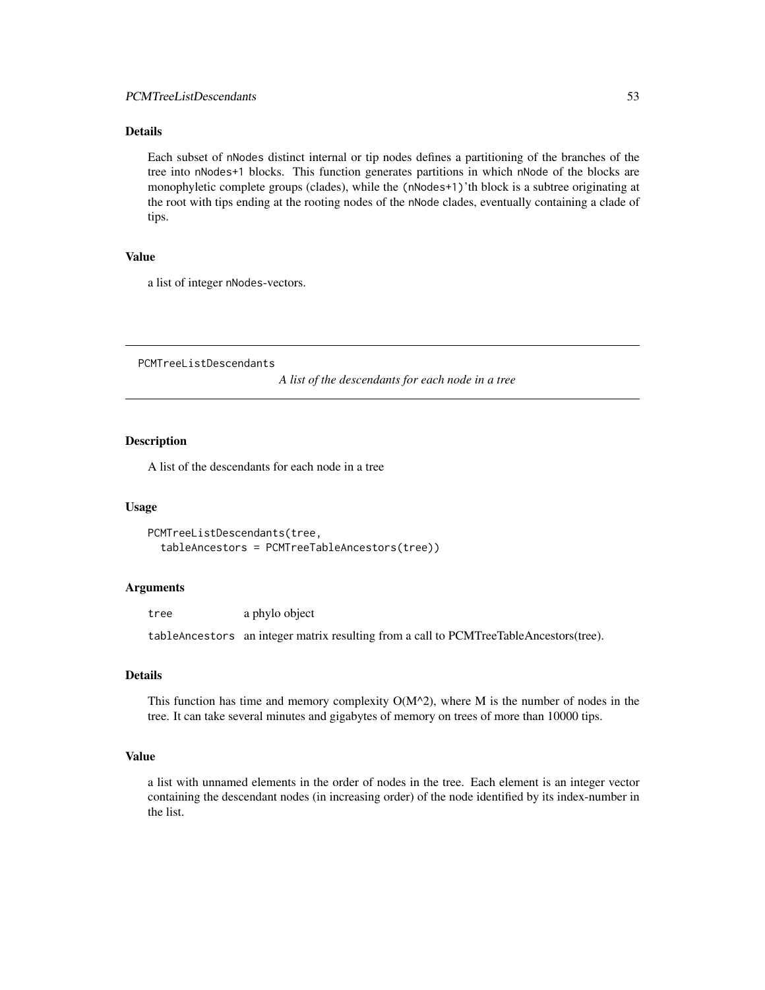### <span id="page-52-0"></span>Details

Each subset of nNodes distinct internal or tip nodes defines a partitioning of the branches of the tree into nNodes+1 blocks. This function generates partitions in which nNode of the blocks are monophyletic complete groups (clades), while the (nNodes+1)'th block is a subtree originating at the root with tips ending at the rooting nodes of the nNode clades, eventually containing a clade of tips.

#### Value

a list of integer nNodes-vectors.

PCMTreeListDescendants

*A list of the descendants for each node in a tree*

### **Description**

A list of the descendants for each node in a tree

#### Usage

```
PCMTreeListDescendants(tree,
  tableAncestors = PCMTreeTableAncestors(tree))
```
#### Arguments

tree a phylo object

tableAncestors an integer matrix resulting from a call to PCMTreeTableAncestors(tree).

#### Details

This function has time and memory complexity  $O(M^2)$ , where M is the number of nodes in the tree. It can take several minutes and gigabytes of memory on trees of more than 10000 tips.

### Value

a list with unnamed elements in the order of nodes in the tree. Each element is an integer vector containing the descendant nodes (in increasing order) of the node identified by its index-number in the list.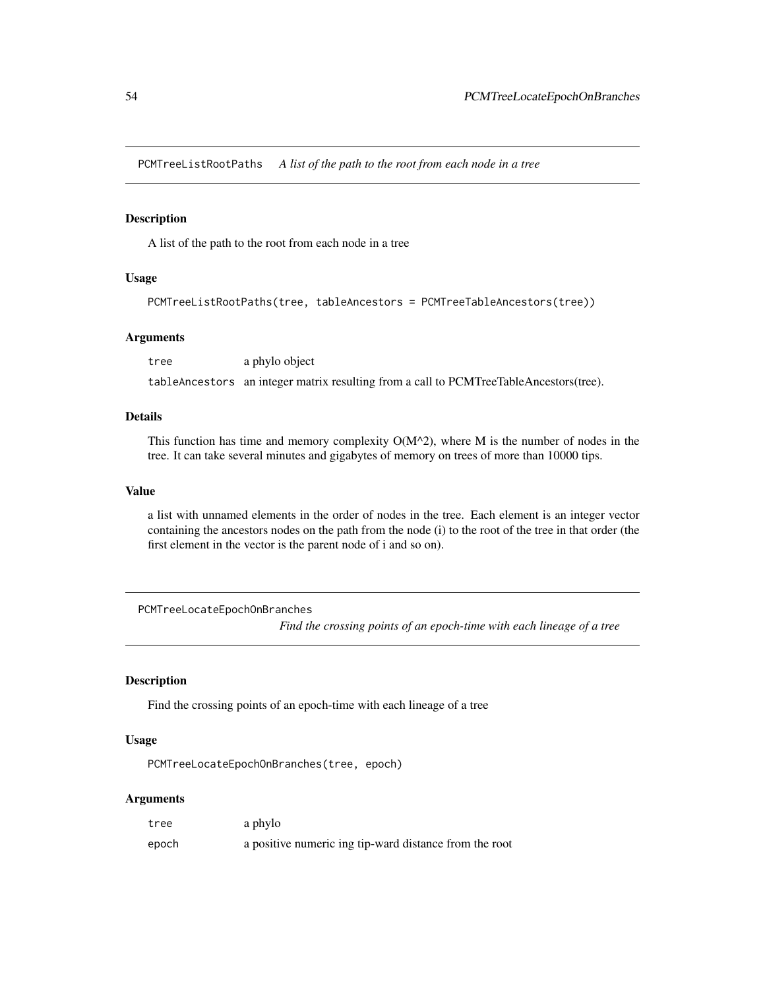<span id="page-53-0"></span>PCMTreeListRootPaths *A list of the path to the root from each node in a tree*

### Description

A list of the path to the root from each node in a tree

#### Usage

```
PCMTreeListRootPaths(tree, tableAncestors = PCMTreeTableAncestors(tree))
```
### Arguments

tree a phylo object

tableAncestors an integer matrix resulting from a call to PCMTreeTableAncestors(tree).

### Details

This function has time and memory complexity  $O(M^2)$ , where M is the number of nodes in the tree. It can take several minutes and gigabytes of memory on trees of more than 10000 tips.

#### Value

a list with unnamed elements in the order of nodes in the tree. Each element is an integer vector containing the ancestors nodes on the path from the node (i) to the root of the tree in that order (the first element in the vector is the parent node of i and so on).

<span id="page-53-1"></span>PCMTreeLocateEpochOnBranches

*Find the crossing points of an epoch-time with each lineage of a tree*

### Description

Find the crossing points of an epoch-time with each lineage of a tree

#### Usage

PCMTreeLocateEpochOnBranches(tree, epoch)

#### Arguments

| tree  | a phylo                                                |
|-------|--------------------------------------------------------|
| epoch | a positive numeric ing tip-ward distance from the root |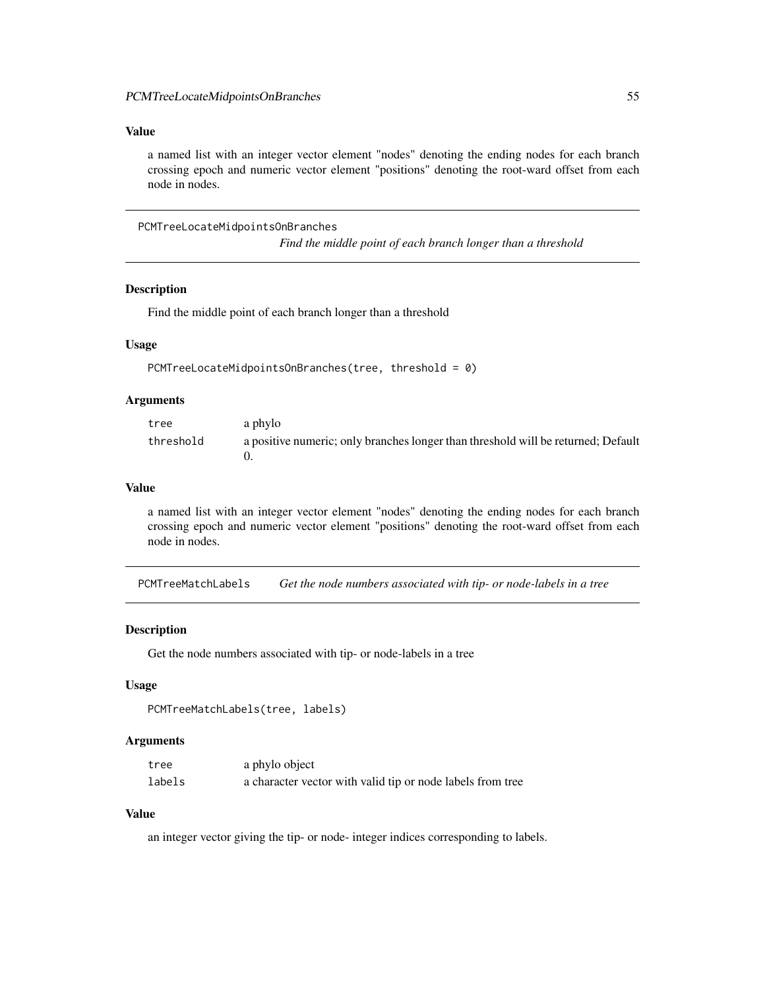#### <span id="page-54-0"></span>Value

a named list with an integer vector element "nodes" denoting the ending nodes for each branch crossing epoch and numeric vector element "positions" denoting the root-ward offset from each node in nodes.

<span id="page-54-1"></span>PCMTreeLocateMidpointsOnBranches

*Find the middle point of each branch longer than a threshold*

#### Description

Find the middle point of each branch longer than a threshold

#### Usage

PCMTreeLocateMidpointsOnBranches(tree, threshold = 0)

#### Arguments

| tree      | a phylo                                                                           |
|-----------|-----------------------------------------------------------------------------------|
| threshold | a positive numeric; only branches longer than threshold will be returned; Default |

### Value

a named list with an integer vector element "nodes" denoting the ending nodes for each branch crossing epoch and numeric vector element "positions" denoting the root-ward offset from each node in nodes.

PCMTreeMatchLabels *Get the node numbers associated with tip- or node-labels in a tree*

#### **Description**

Get the node numbers associated with tip- or node-labels in a tree

#### Usage

```
PCMTreeMatchLabels(tree, labels)
```
#### Arguments

| tree   | a phylo object                                             |
|--------|------------------------------------------------------------|
| labels | a character vector with valid tip or node labels from tree |

#### Value

an integer vector giving the tip- or node- integer indices corresponding to labels.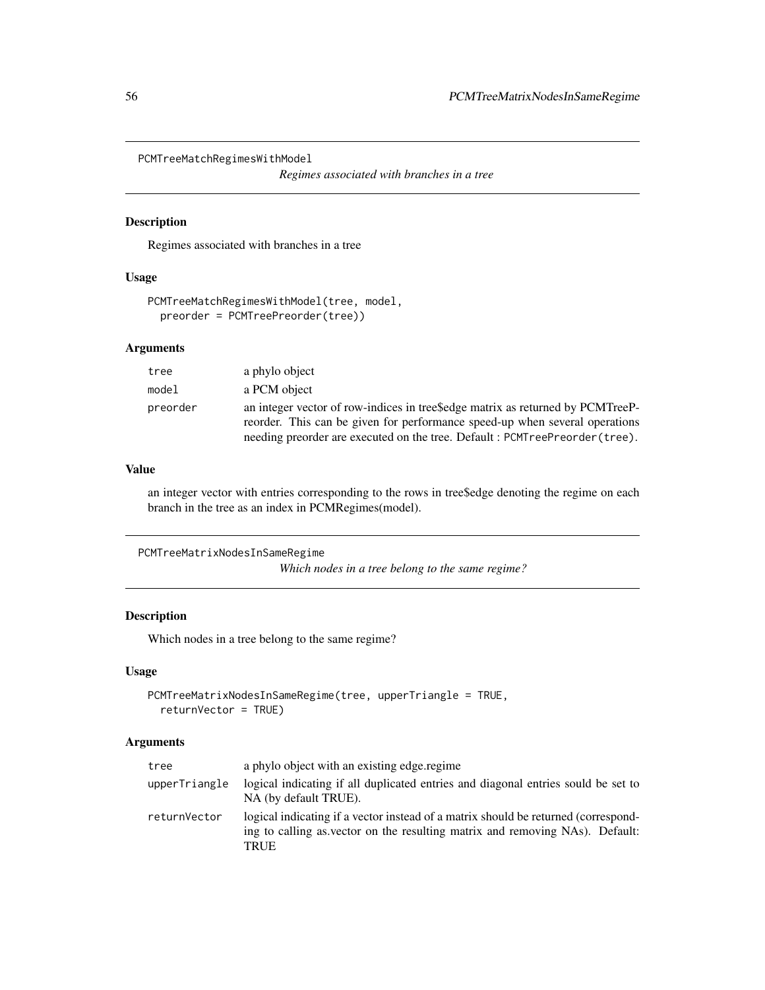<span id="page-55-0"></span>PCMTreeMatchRegimesWithModel

*Regimes associated with branches in a tree*

#### Description

Regimes associated with branches in a tree

#### Usage

```
PCMTreeMatchRegimesWithModel(tree, model,
 preorder = PCMTreePreorder(tree))
```
#### Arguments

| tree     | a phylo object                                                                                                                                                |
|----------|---------------------------------------------------------------------------------------------------------------------------------------------------------------|
| model    | a PCM object                                                                                                                                                  |
| preorder | an integer vector of row-indices in tree\$edge matrix as returned by PCMTreeP-<br>reorder. This can be given for performance speed-up when several operations |
|          | needing preorder are executed on the tree. Default: PCMTreePreorder (tree).                                                                                   |

#### Value

an integer vector with entries corresponding to the rows in tree\$edge denoting the regime on each branch in the tree as an index in PCMRegimes(model).

```
PCMTreeMatrixNodesInSameRegime
```
*Which nodes in a tree belong to the same regime?*

### Description

Which nodes in a tree belong to the same regime?

#### Usage

```
PCMTreeMatrixNodesInSameRegime(tree, upperTriangle = TRUE,
  returnVector = TRUE)
```
### Arguments

| tree          | a phylo object with an existing edge regime                                                                                                                                |
|---------------|----------------------------------------------------------------------------------------------------------------------------------------------------------------------------|
| upperTriangle | logical indicating if all duplicated entries and diagonal entries sould be set to<br>NA (by default TRUE).                                                                 |
| returnVector  | logical indicating if a vector instead of a matrix should be returned (correspond-<br>ing to calling as vector on the resulting matrix and removing NAs). Default:<br>TRUE |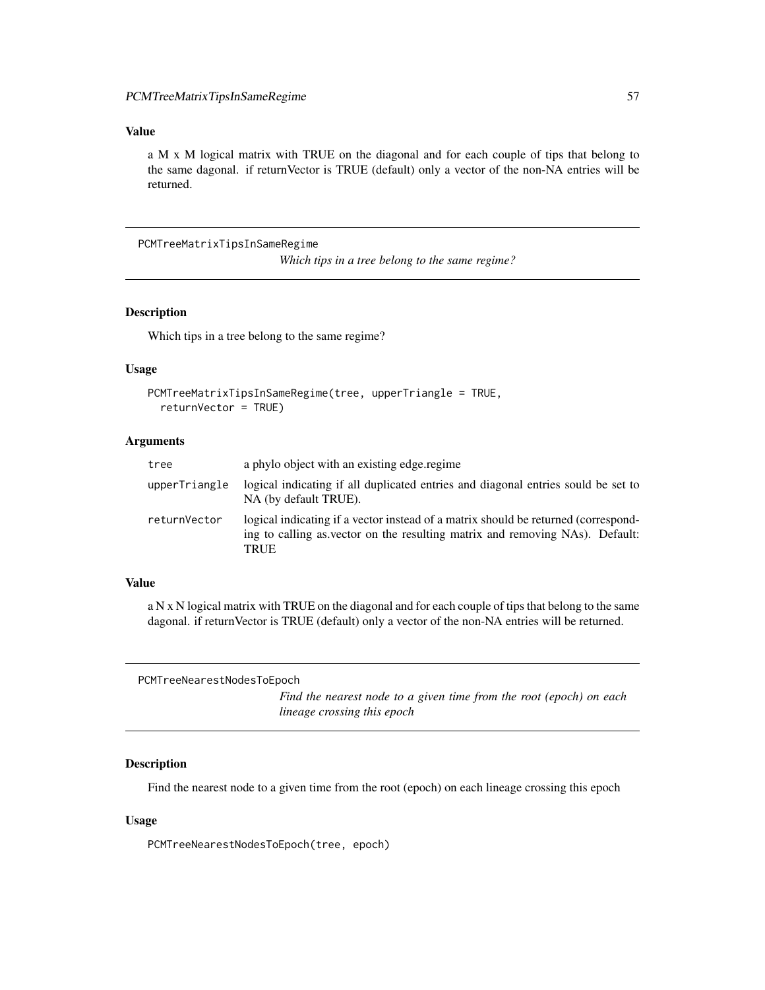#### <span id="page-56-0"></span>Value

a M x M logical matrix with TRUE on the diagonal and for each couple of tips that belong to the same dagonal. if returnVector is TRUE (default) only a vector of the non-NA entries will be returned.

PCMTreeMatrixTipsInSameRegime

*Which tips in a tree belong to the same regime?*

#### Description

Which tips in a tree belong to the same regime?

#### Usage

```
PCMTreeMatrixTipsInSameRegime(tree, upperTriangle = TRUE,
  returnVector = TRUE)
```
#### Arguments

| tree          | a phylo object with an existing edge regime                                                                                                                                |
|---------------|----------------------------------------------------------------------------------------------------------------------------------------------------------------------------|
| upperTriangle | logical indicating if all duplicated entries and diagonal entries sould be set to<br>NA (by default TRUE).                                                                 |
| returnVector  | logical indicating if a vector instead of a matrix should be returned (correspond-<br>ing to calling as vector on the resulting matrix and removing NAs). Default:<br>TRUE |

#### Value

a N x N logical matrix with TRUE on the diagonal and for each couple of tips that belong to the same dagonal. if returnVector is TRUE (default) only a vector of the non-NA entries will be returned.

PCMTreeNearestNodesToEpoch

*Find the nearest node to a given time from the root (epoch) on each lineage crossing this epoch*

### Description

Find the nearest node to a given time from the root (epoch) on each lineage crossing this epoch

#### Usage

PCMTreeNearestNodesToEpoch(tree, epoch)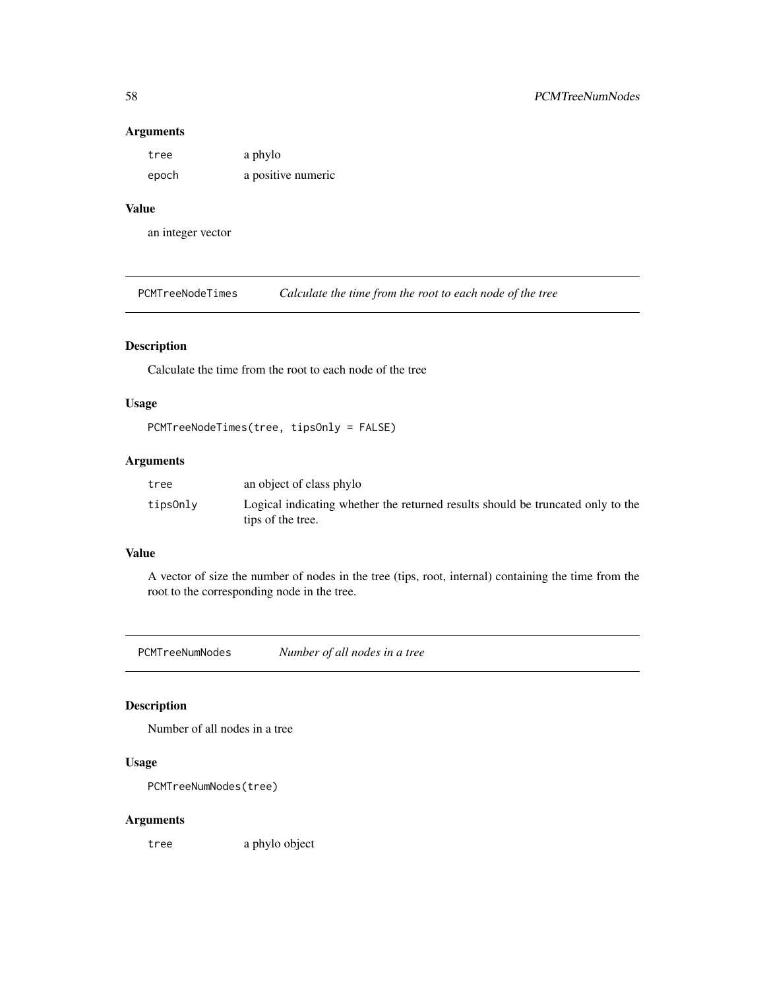#### Arguments

| tree  | a phylo            |
|-------|--------------------|
| epoch | a positive numeric |

### Value

an integer vector

PCMTreeNodeTimes *Calculate the time from the root to each node of the tree*

### Description

Calculate the time from the root to each node of the tree

### Usage

```
PCMTreeNodeTimes(tree, tipsOnly = FALSE)
```
### Arguments

| tree     | an object of class phylo                                                                             |
|----------|------------------------------------------------------------------------------------------------------|
| tips0nly | Logical indicating whether the returned results should be truncated only to the<br>tips of the tree. |

### Value

A vector of size the number of nodes in the tree (tips, root, internal) containing the time from the root to the corresponding node in the tree.

PCMTreeNumNodes *Number of all nodes in a tree*

### Description

Number of all nodes in a tree

### Usage

PCMTreeNumNodes(tree)

#### Arguments

tree a phylo object

<span id="page-57-0"></span>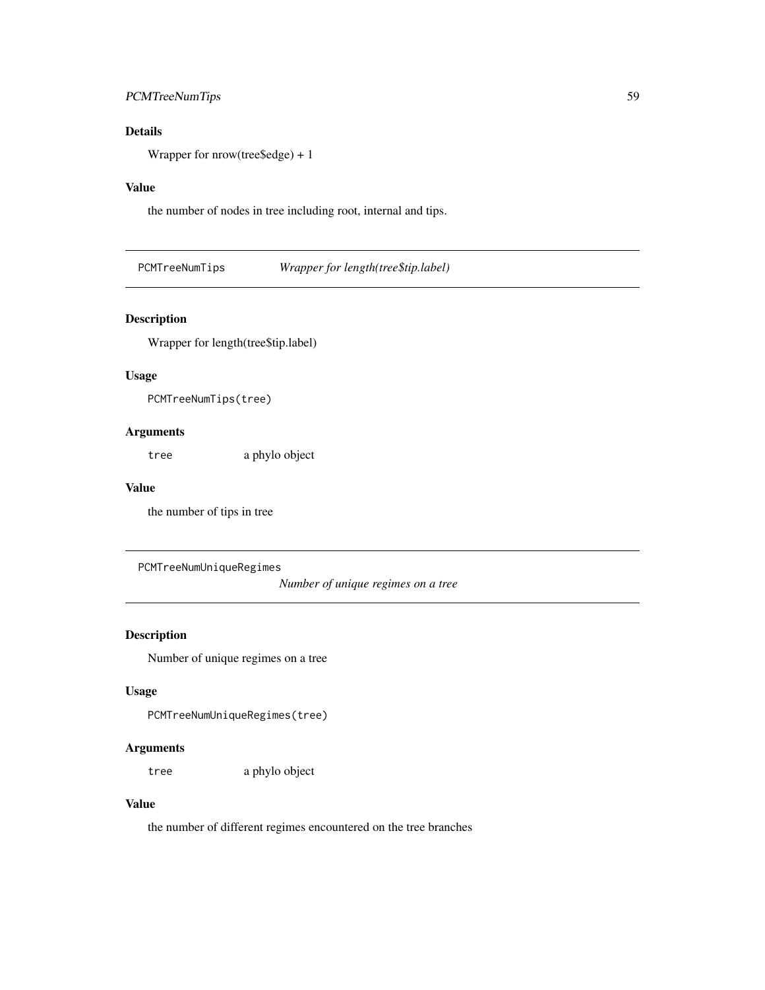### <span id="page-58-0"></span>PCMTreeNumTips 59

### Details

Wrapper for nrow(tree\$edge) + 1

### Value

the number of nodes in tree including root, internal and tips.

PCMTreeNumTips *Wrapper for length(tree\$tip.label)*

### Description

Wrapper for length(tree\$tip.label)

#### Usage

PCMTreeNumTips(tree)

### Arguments

tree a phylo object

### Value

the number of tips in tree

PCMTreeNumUniqueRegimes

*Number of unique regimes on a tree*

### Description

Number of unique regimes on a tree

### Usage

```
PCMTreeNumUniqueRegimes(tree)
```
#### Arguments

tree a phylo object

### Value

the number of different regimes encountered on the tree branches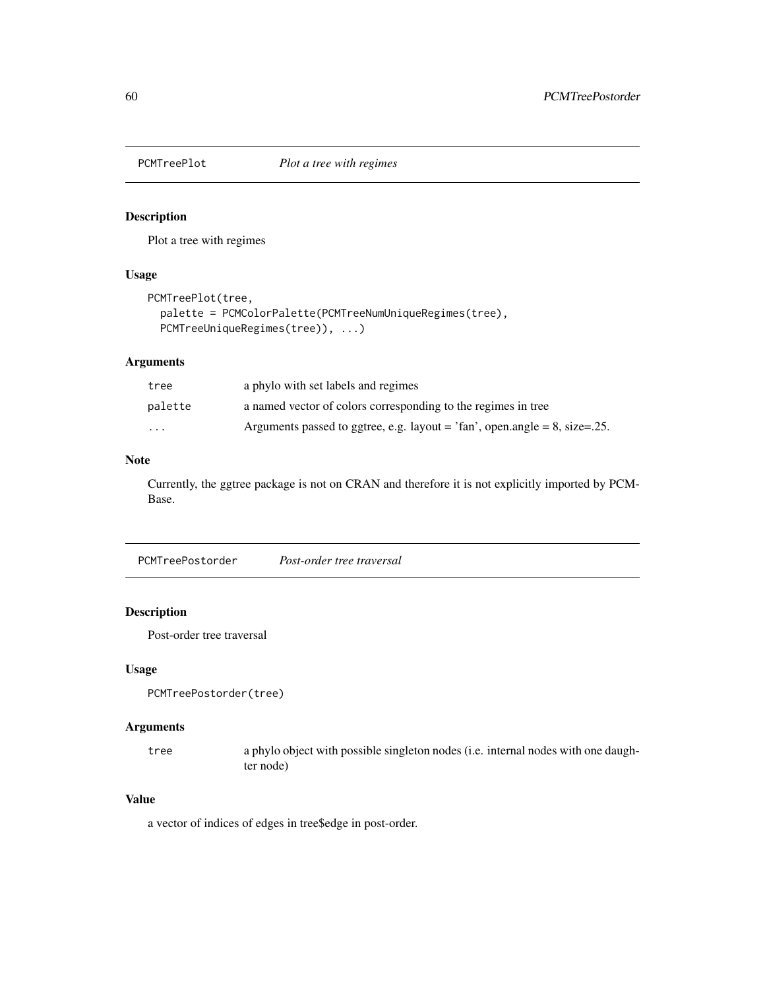<span id="page-59-0"></span>

### Description

Plot a tree with regimes

### Usage

```
PCMTreePlot(tree,
 palette = PCMColorPalette(PCMTreeNumUniqueRegimes(tree),
 PCMTreeUniqueRegimes(tree)), ...)
```
#### Arguments

| tree     | a phylo with set labels and regimes                                                |
|----------|------------------------------------------------------------------------------------|
| palette  | a named vector of colors corresponding to the regimes in tree                      |
| $\cdots$ | Arguments passed to ggtree, e.g. layout = $\text{tan}$ , open.angle = 8, size=.25. |

### Note

Currently, the ggtree package is not on CRAN and therefore it is not explicitly imported by PCM-Base.

PCMTreePostorder *Post-order tree traversal*

### Description

Post-order tree traversal

#### Usage

PCMTreePostorder(tree)

### Arguments

tree a phylo object with possible singleton nodes (i.e. internal nodes with one daughter node)

### Value

a vector of indices of edges in tree\$edge in post-order.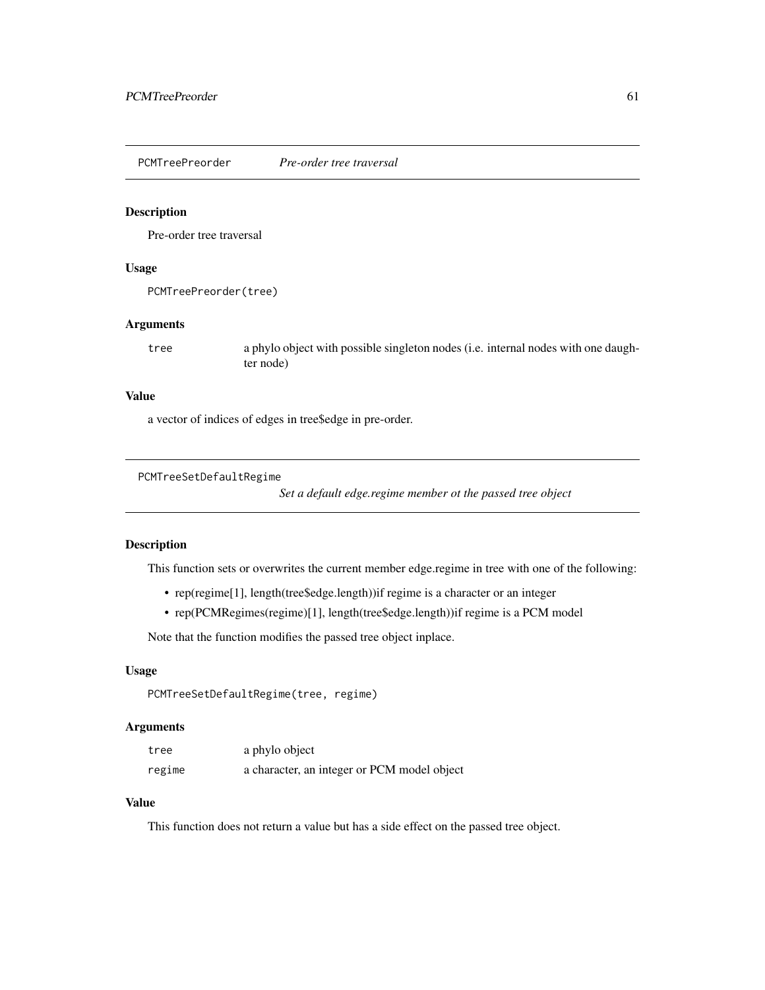<span id="page-60-1"></span><span id="page-60-0"></span>PCMTreePreorder *Pre-order tree traversal*

#### Description

Pre-order tree traversal

### Usage

PCMTreePreorder(tree)

#### Arguments

tree a phylo object with possible singleton nodes (i.e. internal nodes with one daughter node)

#### Value

a vector of indices of edges in tree\$edge in pre-order.

```
PCMTreeSetDefaultRegime
```
*Set a default edge.regime member ot the passed tree object*

### Description

This function sets or overwrites the current member edge.regime in tree with one of the following:

- rep(regime[1], length(tree\$edge.length))if regime is a character or an integer
- rep(PCMRegimes(regime)[1], length(tree\$edge.length))if regime is a PCM model

Note that the function modifies the passed tree object inplace.

#### Usage

```
PCMTreeSetDefaultRegime(tree, regime)
```
#### Arguments

| tree   | a phylo object                              |
|--------|---------------------------------------------|
| regime | a character, an integer or PCM model object |

### Value

This function does not return a value but has a side effect on the passed tree object.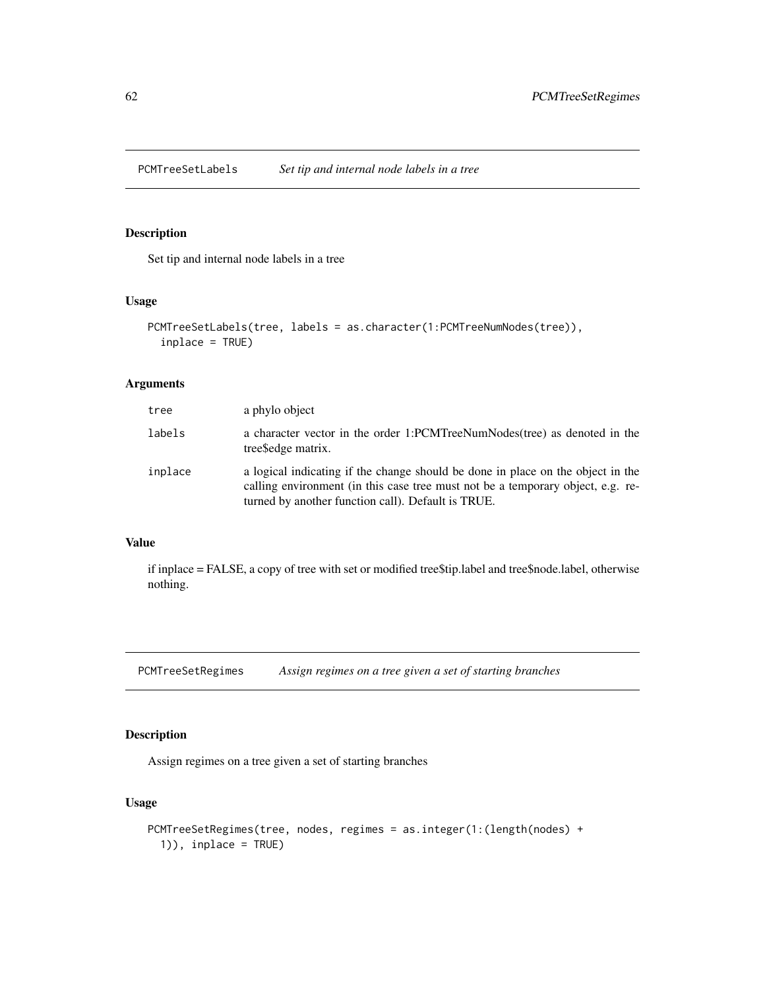<span id="page-61-0"></span>PCMTreeSetLabels *Set tip and internal node labels in a tree*

### Description

Set tip and internal node labels in a tree

#### Usage

```
PCMTreeSetLabels(tree, labels = as.character(1:PCMTreeNumNodes(tree)),
  inplace = TRUE)
```
### Arguments

| tree    | a phylo object                                                                                                                                                                                                           |
|---------|--------------------------------------------------------------------------------------------------------------------------------------------------------------------------------------------------------------------------|
| labels  | a character vector in the order 1:PCMTreeNumNodes(tree) as denoted in the<br>tree Sedge matrix.                                                                                                                          |
| inplace | a logical indicating if the change should be done in place on the object in the<br>calling environment (in this case tree must not be a temporary object, e.g. re-<br>turned by another function call). Default is TRUE. |

### Value

if inplace = FALSE, a copy of tree with set or modified tree\$tip.label and tree\$node.label, otherwise nothing.

<span id="page-61-1"></span>PCMTreeSetRegimes *Assign regimes on a tree given a set of starting branches*

### Description

Assign regimes on a tree given a set of starting branches

### Usage

```
PCMTreeSetRegimes(tree, nodes, regimes = as.integer(1:(length(nodes) +
  1)), inplace = TRUE)
```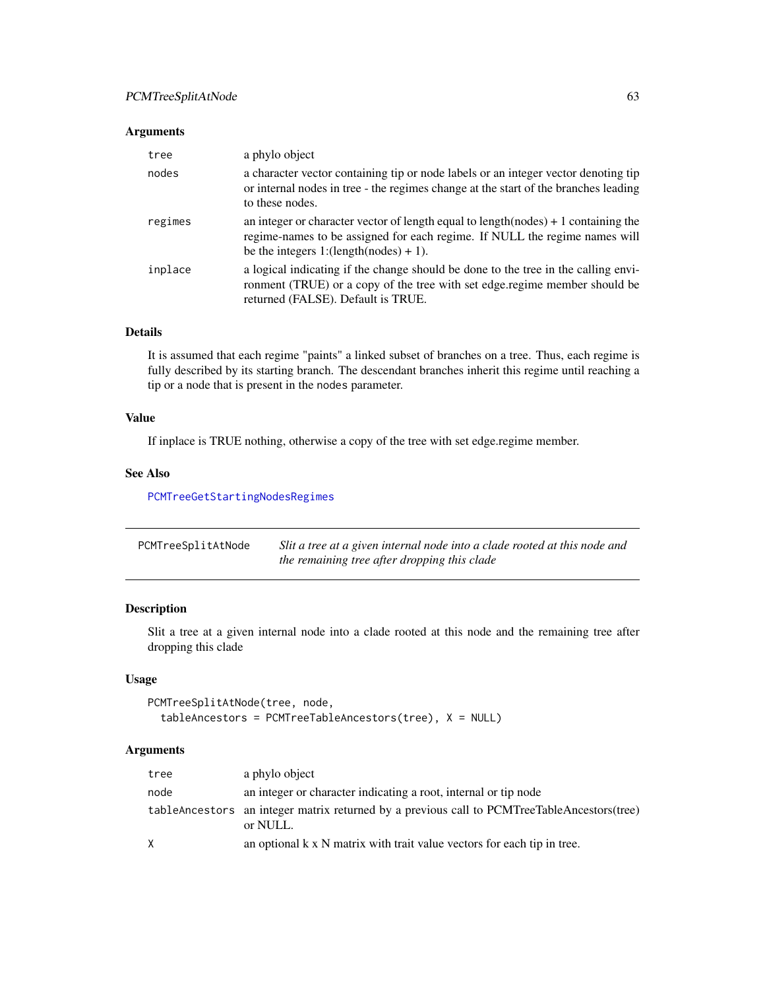### <span id="page-62-0"></span>Arguments

| tree    | a phylo object                                                                                                                                                                                                |
|---------|---------------------------------------------------------------------------------------------------------------------------------------------------------------------------------------------------------------|
| nodes   | a character vector containing tip or node labels or an integer vector denoting tip<br>or internal nodes in tree - the regimes change at the start of the branches leading<br>to these nodes.                  |
| regimes | an integer or character vector of length equal to length $(nodes) + 1$ containing the<br>regime-names to be assigned for each regime. If NULL the regime names will<br>be the integers 1:(length(nodes) + 1). |
| inplace | a logical indicating if the change should be done to the tree in the calling envi-<br>ronment (TRUE) or a copy of the tree with set edge regime member should be<br>returned (FALSE). Default is TRUE.        |

### Details

It is assumed that each regime "paints" a linked subset of branches on a tree. Thus, each regime is fully described by its starting branch. The descendant branches inherit this regime until reaching a tip or a node that is present in the nodes parameter.

### Value

If inplace is TRUE nothing, otherwise a copy of the tree with set edge.regime member.

#### See Also

[PCMTreeGetStartingNodesRegimes](#page-49-1)

| PCMTreeSplitAtNode | Slit a tree at a given internal node into a clade rooted at this node and |
|--------------------|---------------------------------------------------------------------------|
|                    | the remaining tree after dropping this clade                              |

### Description

Slit a tree at a given internal node into a clade rooted at this node and the remaining tree after dropping this clade

### Usage

```
PCMTreeSplitAtNode(tree, node,
  tableAncestors = PCMTreeTableAncestors(tree), X = NULL)
```
#### Arguments

| tree         | a phylo object                                                                                          |
|--------------|---------------------------------------------------------------------------------------------------------|
| node         | an integer or character indicating a root, internal or tip node                                         |
|              | tableAncestors an integer matrix returned by a previous call to PCMTreeTableAncestors(tree)<br>or NULL. |
| $\mathsf{X}$ | an optional $k \times N$ matrix with trait value vectors for each tip in tree.                          |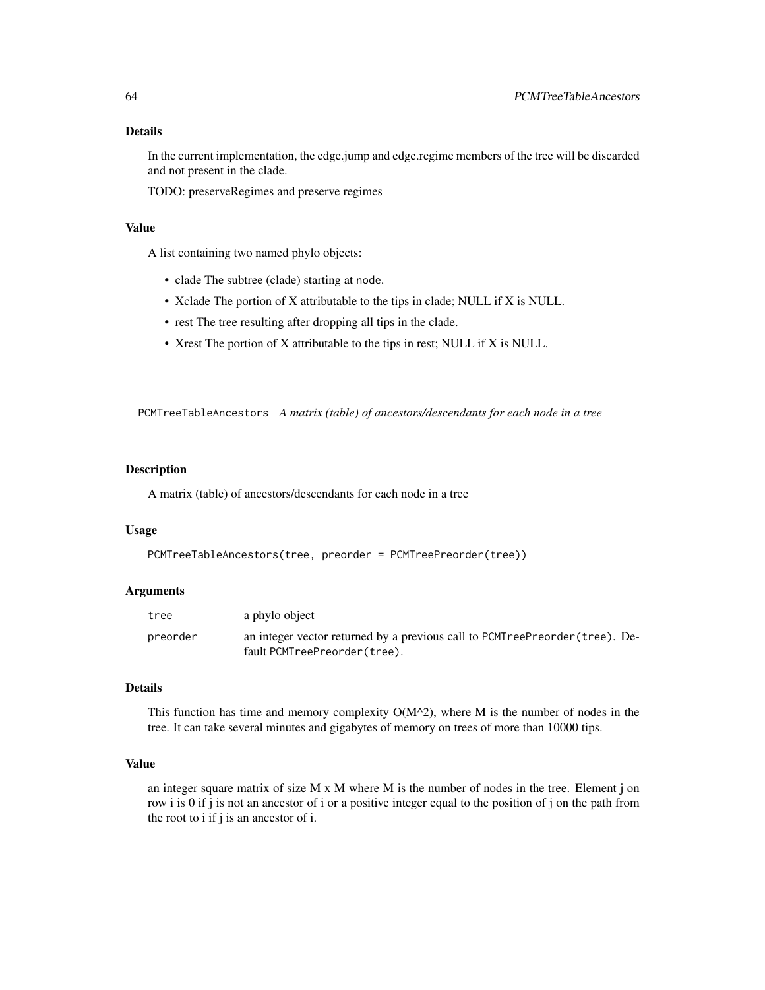#### <span id="page-63-0"></span>Details

In the current implementation, the edge.jump and edge.regime members of the tree will be discarded and not present in the clade.

TODO: preserveRegimes and preserve regimes

### Value

A list containing two named phylo objects:

- clade The subtree (clade) starting at node.
- Xclade The portion of X attributable to the tips in clade; NULL if X is NULL.
- rest The tree resulting after dropping all tips in the clade.
- Xrest The portion of X attributable to the tips in rest; NULL if X is NULL.

PCMTreeTableAncestors *A matrix (table) of ancestors/descendants for each node in a tree*

#### Description

A matrix (table) of ancestors/descendants for each node in a tree

#### Usage

```
PCMTreeTableAncestors(tree, preorder = PCMTreePreorder(tree))
```
### Arguments

| tree     | a phylo object                                                               |
|----------|------------------------------------------------------------------------------|
| preorder | an integer vector returned by a previous call to PCMTreePreorder (tree). De- |
|          | fault PCMTreePreorder(tree).                                                 |

#### Details

This function has time and memory complexity  $O(M^2)$ , where M is the number of nodes in the tree. It can take several minutes and gigabytes of memory on trees of more than 10000 tips.

#### Value

an integer square matrix of size  $M \times M$  where  $M$  is the number of nodes in the tree. Element j on row i is 0 if j is not an ancestor of i or a positive integer equal to the position of j on the path from the root to i if j is an ancestor of i.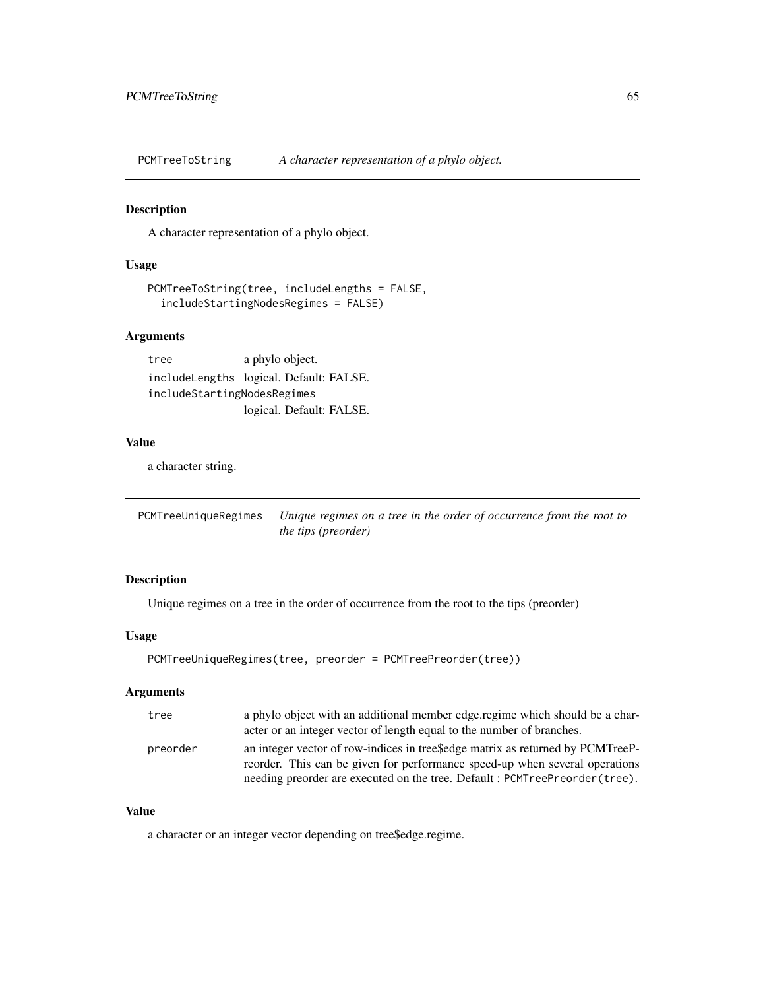<span id="page-64-0"></span>PCMTreeToString *A character representation of a phylo object.*

#### Description

A character representation of a phylo object.

#### Usage

```
PCMTreeToString(tree, includeLengths = FALSE,
  includeStartingNodesRegimes = FALSE)
```
### Arguments

tree a phylo object. includeLengths logical. Default: FALSE. includeStartingNodesRegimes logical. Default: FALSE.

#### Value

a character string.

<span id="page-64-1"></span>PCMTreeUniqueRegimes *Unique regimes on a tree in the order of occurrence from the root to the tips (preorder)*

#### Description

Unique regimes on a tree in the order of occurrence from the root to the tips (preorder)

#### Usage

```
PCMTreeUniqueRegimes(tree, preorder = PCMTreePreorder(tree))
```
### Arguments

| tree     | a phylo object with an additional member edge regime which should be a char-<br>acter or an integer vector of length equal to the number of branches.                                                                                       |
|----------|---------------------------------------------------------------------------------------------------------------------------------------------------------------------------------------------------------------------------------------------|
| preorder | an integer vector of row-indices in treesedge matrix as returned by PCMTreeP-<br>reorder. This can be given for performance speed-up when several operations<br>needing preorder are executed on the tree. Default: PCMTreePreorder (tree). |

#### Value

a character or an integer vector depending on tree\$edge.regime.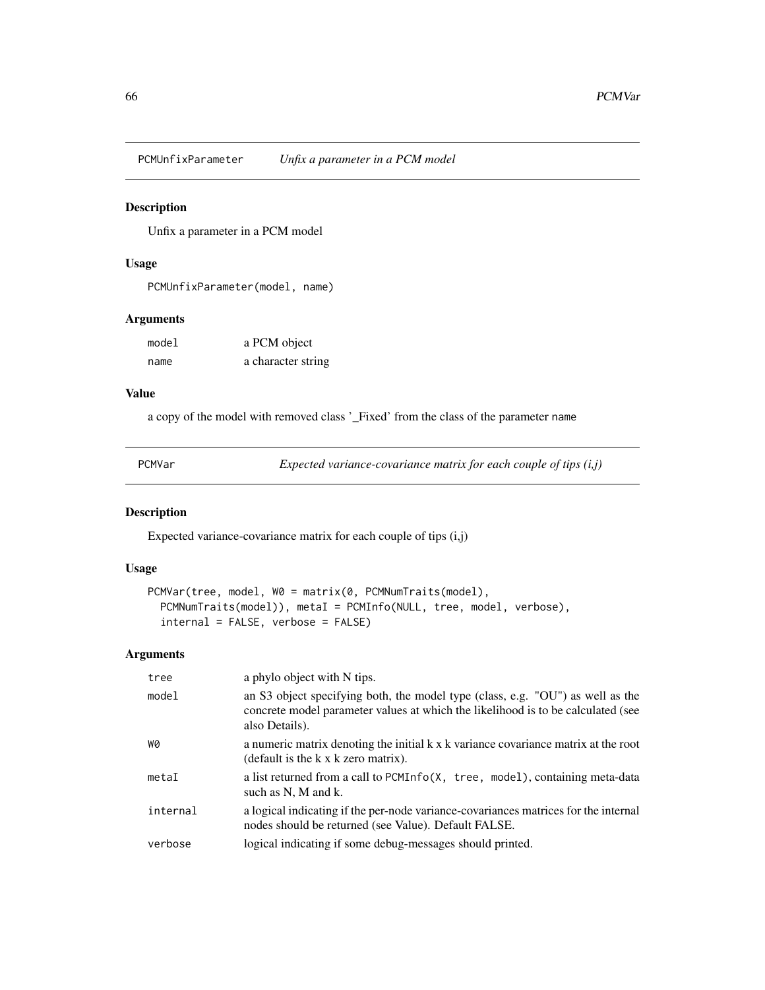<span id="page-65-0"></span>PCMUnfixParameter *Unfix a parameter in a PCM model*

### Description

Unfix a parameter in a PCM model

#### Usage

PCMUnfixParameter(model, name)

#### Arguments

| model | a PCM object       |
|-------|--------------------|
| name  | a character string |

#### Value

a copy of the model with removed class '\_Fixed' from the class of the parameter name

PCMVar *Expected variance-covariance matrix for each couple of tips (i,j)*

### Description

Expected variance-covariance matrix for each couple of tips (i,j)

#### Usage

```
PCMVar(tree, model, W0 = matrix(0, PCMNumTraits(model),
 PCMNumTraits(model)), metaI = PCMInfo(NULL, tree, model, verbose),
  internal = FALSE, verbose = FALSE)
```
#### Arguments

| tree     | a phylo object with N tips.                                                                                                                                                          |
|----------|--------------------------------------------------------------------------------------------------------------------------------------------------------------------------------------|
| model    | an S3 object specifying both, the model type (class, e.g. "OU") as well as the<br>concrete model parameter values at which the likelihood is to be calculated (see<br>also Details). |
| WØ       | a numeric matrix denoting the initial k x k variance covariance matrix at the root<br>(default is the k x k zero matrix).                                                            |
| metaI    | a list returned from a call to PCMInfo(X, tree, model), containing meta-data<br>such as N, M and k.                                                                                  |
| internal | a logical indicating if the per-node variance-covariances matrices for the internal<br>nodes should be returned (see Value). Default FALSE.                                          |
| verbose  | logical indicating if some debug-messages should printed.                                                                                                                            |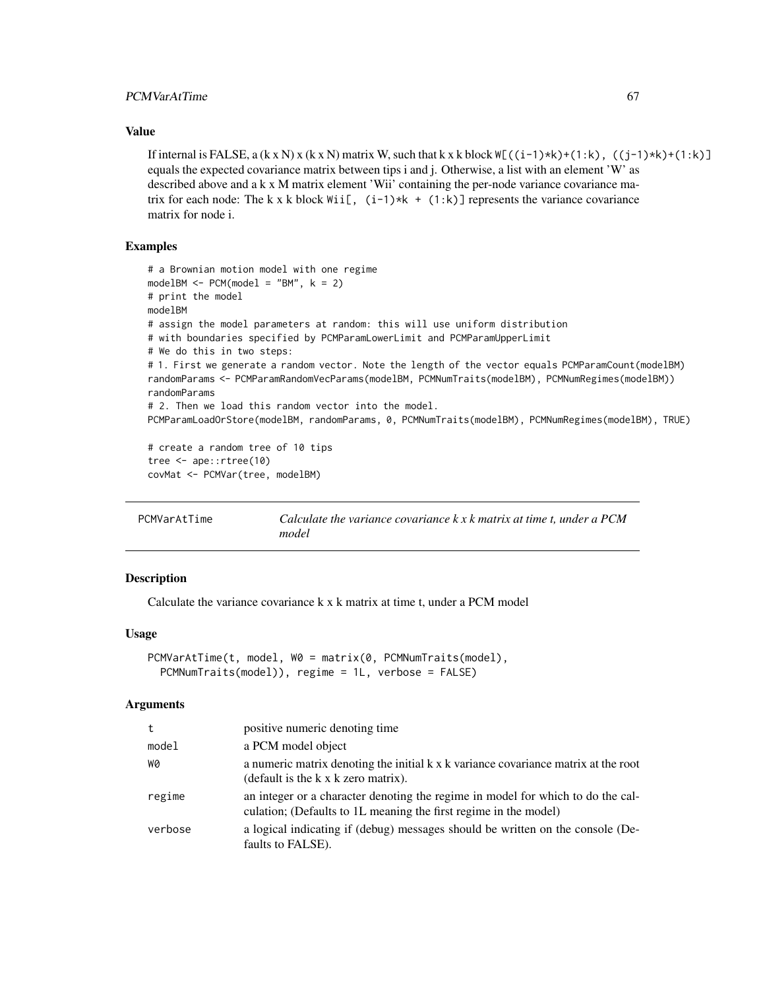### <span id="page-66-0"></span>PCMVarAtTime 67

#### Value

If internal is FALSE, a  $(k \times N)$  x  $(k \times N)$  matrix W, such that k x k block  $W[(1-1)*k)+(1:k)$ ,  $((1-1)*k)+(1:k)$ equals the expected covariance matrix between tips i and j. Otherwise, a list with an element 'W' as described above and a k x M matrix element 'Wii' containing the per-node variance covariance matrix for each node: The k x k block  $Wii[$ ,  $(i-1)*k + (1:k)$ ] represents the variance covariance matrix for node i.

### Examples

```
# a Brownian motion model with one regime
modelBM < - PCM(model1 = "BM", k = 2)# print the model
modelBM
# assign the model parameters at random: this will use uniform distribution
# with boundaries specified by PCMParamLowerLimit and PCMParamUpperLimit
# We do this in two steps:
# 1. First we generate a random vector. Note the length of the vector equals PCMParamCount(modelBM)
randomParams <- PCMParamRandomVecParams(modelBM, PCMNumTraits(modelBM), PCMNumRegimes(modelBM))
randomParams
# 2. Then we load this random vector into the model.
PCMParamLoadOrStore(modelBM, randomParams, 0, PCMNumTraits(modelBM), PCMNumRegimes(modelBM), TRUE)
# create a random tree of 10 tips
tree <- ape::rtree(10)
covMat <- PCMVar(tree, modelBM)
```
PCMVarAtTime *Calculate the variance covariance k x k matrix at time t, under a PCM model*

#### **Description**

Calculate the variance covariance k x k matrix at time t, under a PCM model

#### Usage

```
PCMVarAtTime(t, model, W0 = matrix(0, PCMNumTraits(model),
 PCMNumTraits(model)), regime = 1L, verbose = FALSE)
```
#### Arguments

| t.      | positive numeric denoting time                                                                                                                      |
|---------|-----------------------------------------------------------------------------------------------------------------------------------------------------|
| model   | a PCM model object                                                                                                                                  |
| WØ      | a numeric matrix denoting the initial k x k variance covariance matrix at the root<br>(default is the k x k zero matrix).                           |
| regime  | an integer or a character denoting the regime in model for which to do the cal-<br>culation; (Defaults to 1L meaning the first regime in the model) |
| verbose | a logical indicating if (debug) messages should be written on the console (De-<br>faults to FALSE).                                                 |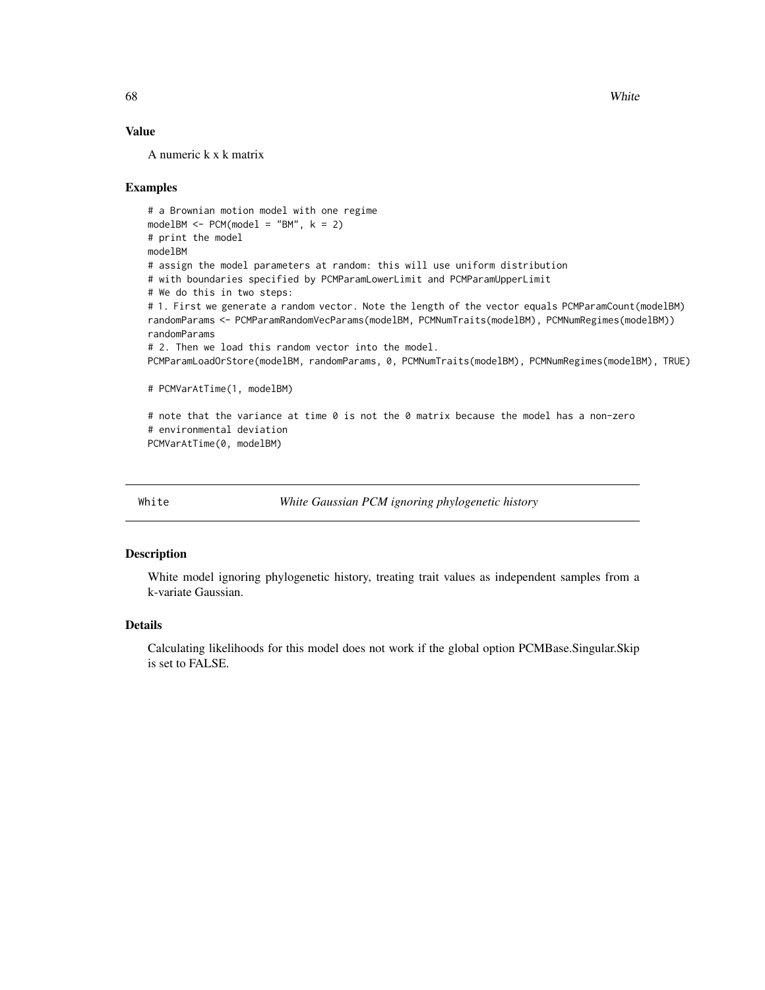68 White

#### Value

A numeric k x k matrix

#### Examples

```
# a Brownian motion model with one regime
modelBM \leq PCM(model = "BM", k = 2)
# print the model
modelBM
# assign the model parameters at random: this will use uniform distribution
# with boundaries specified by PCMParamLowerLimit and PCMParamUpperLimit
# We do this in two steps:
# 1. First we generate a random vector. Note the length of the vector equals PCMParamCount(modelBM)
randomParams <- PCMParamRandomVecParams(modelBM, PCMNumTraits(modelBM), PCMNumRegimes(modelBM))
randomParams
# 2. Then we load this random vector into the model.
PCMParamLoadOrStore(modelBM, randomParams, 0, PCMNumTraits(modelBM), PCMNumRegimes(modelBM), TRUE)
# PCMVarAtTime(1, modelBM)
# note that the variance at time 0 is not the 0 matrix because the model has a non-zero
# environmental deviation
```
PCMVarAtTime(0, modelBM)

White *White Gaussian PCM ignoring phylogenetic history*

#### Description

White model ignoring phylogenetic history, treating trait values as independent samples from a k-variate Gaussian.

#### Details

Calculating likelihoods for this model does not work if the global option PCMBase.Singular.Skip is set to FALSE.

<span id="page-67-0"></span>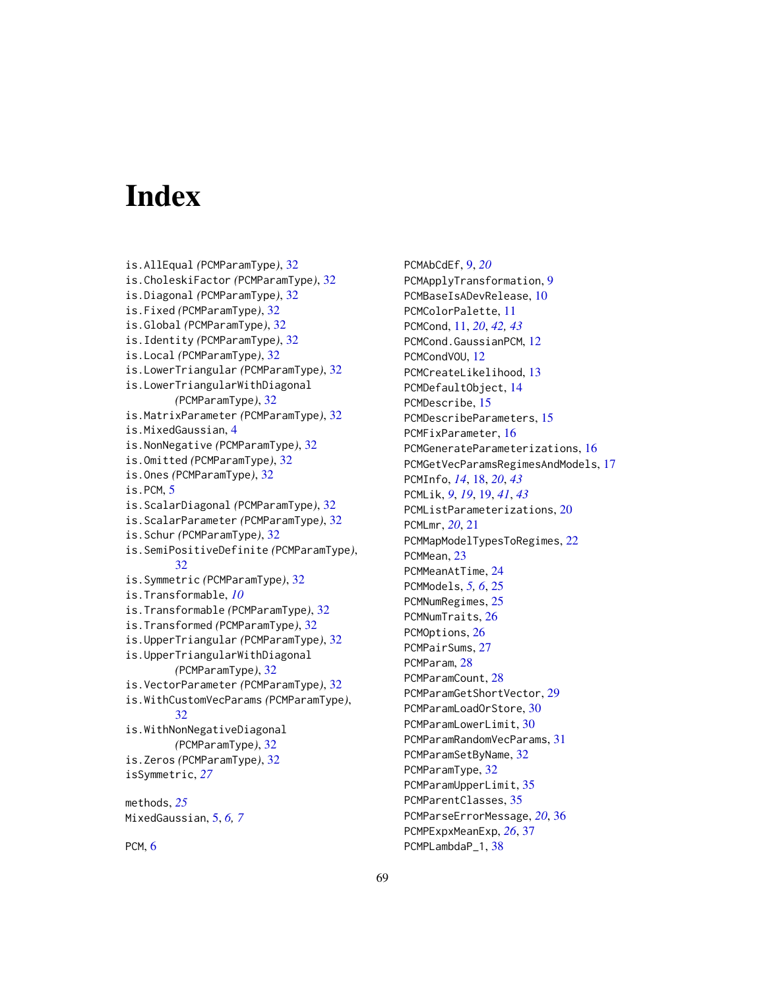# <span id="page-68-0"></span>**Index**

is.AllEqual *(*PCMParamType*)*, [32](#page-31-0) is.CholeskiFactor *(*PCMParamType*)*, [32](#page-31-0) is.Diagonal *(*PCMParamType*)*, [32](#page-31-0) is.Fixed *(*PCMParamType*)*, [32](#page-31-0) is.Global *(*PCMParamType*)*, [32](#page-31-0) is.Identity *(*PCMParamType*)*, [32](#page-31-0) is.Local *(*PCMParamType*)*, [32](#page-31-0) is.LowerTriangular *(*PCMParamType*)*, [32](#page-31-0) is.LowerTriangularWithDiagonal *(*PCMParamType*)*, [32](#page-31-0) is.MatrixParameter *(*PCMParamType*)*, [32](#page-31-0) is.MixedGaussian, [4](#page-3-0) is.NonNegative *(*PCMParamType*)*, [32](#page-31-0) is.Omitted *(*PCMParamType*)*, [32](#page-31-0) is.Ones *(*PCMParamType*)*, [32](#page-31-0) is.PCM, [5](#page-4-0) is.ScalarDiagonal *(*PCMParamType*)*, [32](#page-31-0) is.ScalarParameter *(*PCMParamType*)*, [32](#page-31-0) is.Schur *(*PCMParamType*)*, [32](#page-31-0) is.SemiPositiveDefinite *(*PCMParamType*)*, [32](#page-31-0) is.Symmetric *(*PCMParamType*)*, [32](#page-31-0) is.Transformable, *[10](#page-9-0)* is.Transformable *(*PCMParamType*)*, [32](#page-31-0) is.Transformed *(*PCMParamType*)*, [32](#page-31-0) is.UpperTriangular *(*PCMParamType*)*, [32](#page-31-0) is.UpperTriangularWithDiagonal *(*PCMParamType*)*, [32](#page-31-0) is.VectorParameter *(*PCMParamType*)*, [32](#page-31-0) is.WithCustomVecParams *(*PCMParamType*)*, [32](#page-31-0) is.WithNonNegativeDiagonal *(*PCMParamType*)*, [32](#page-31-0) is.Zeros *(*PCMParamType*)*, [32](#page-31-0) isSymmetric, *[27](#page-26-0)* methods, *[25](#page-24-0)* MixedGaussian, [5,](#page-4-0) *[6,](#page-5-0) [7](#page-6-0)*

PCM, [6](#page-5-0)

PCMAbCdEf, [9,](#page-8-0) *[20](#page-19-0)* PCMApplyTransformation, [9](#page-8-0) PCMBaseIsADevRelease, [10](#page-9-0) PCMColorPalette, [11](#page-10-0) PCMCond, [11,](#page-10-0) *[20](#page-19-0)*, *[42,](#page-41-0) [43](#page-42-0)* PCMCond.GaussianPCM, [12](#page-11-0) PCMCondVOU, [12](#page-11-0) PCMCreateLikelihood, [13](#page-12-0) PCMDefaultObject, [14](#page-13-0) PCMDescribe, [15](#page-14-0) PCMDescribeParameters, [15](#page-14-0) PCMFixParameter, [16](#page-15-0) PCMGenerateParameterizations, [16](#page-15-0) PCMGetVecParamsRegimesAndModels, [17](#page-16-0) PCMInfo, *[14](#page-13-0)*, [18,](#page-17-0) *[20](#page-19-0)*, *[43](#page-42-0)* PCMLik, *[9](#page-8-0)*, *[19](#page-18-0)*, [19,](#page-18-0) *[41](#page-40-0)*, *[43](#page-42-0)* PCMListParameterizations, [20](#page-19-0) PCMLmr, *[20](#page-19-0)*, [21](#page-20-0) PCMMapModelTypesToRegimes, [22](#page-21-0) PCMMean, [23](#page-22-0) PCMMeanAtTime, [24](#page-23-0) PCMModels, *[5,](#page-4-0) [6](#page-5-0)*, [25](#page-24-0) PCMNumRegimes, [25](#page-24-0) PCMNumTraits, [26](#page-25-0) PCMOptions, [26](#page-25-0) PCMPairSums, [27](#page-26-0) PCMParam, [28](#page-27-0) PCMParamCount, [28](#page-27-0) PCMParamGetShortVector, [29](#page-28-0) PCMParamLoadOrStore, [30](#page-29-0) PCMParamLowerLimit, [30](#page-29-0) PCMParamRandomVecParams, [31](#page-30-0) PCMParamSetByName, [32](#page-31-0) PCMParamType, [32](#page-31-0) PCMParamUpperLimit, [35](#page-34-0) PCMParentClasses, [35](#page-34-0) PCMParseErrorMessage, *[20](#page-19-0)*, [36](#page-35-0) PCMPExpxMeanExp, *[26](#page-25-0)*, [37](#page-36-0) PCMPLambdaP\_1, [38](#page-37-0)